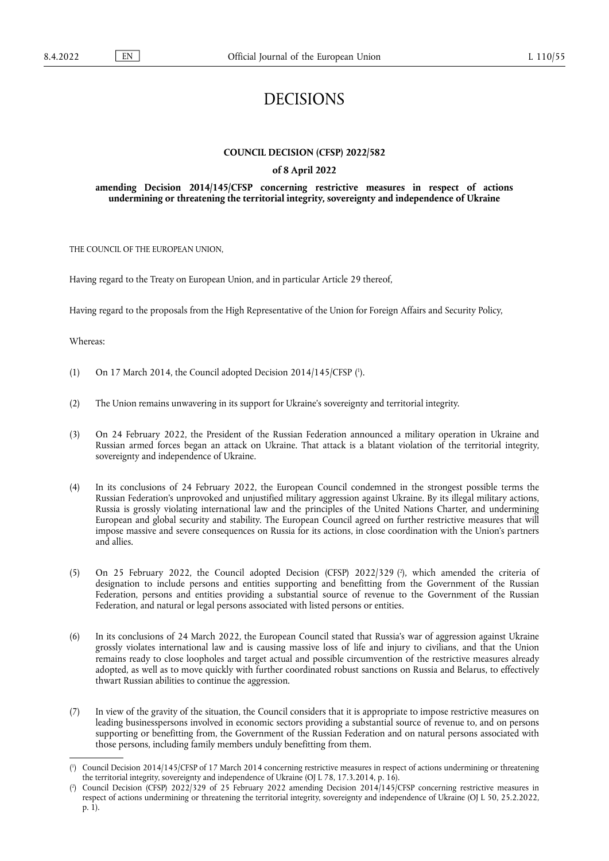# DECISIONS

# **COUNCIL DECISION (CFSP) 2022/582**

## **of 8 April 2022**

## **amending Decision 2014/145/CFSP concerning restrictive measures in respect of actions undermining or threatening the territorial integrity, sovereignty and independence of Ukraine**

THE COUNCIL OF THE EUROPEAN UNION,

Having regard to the Treaty on European Union, and in particular Article 29 thereof,

Having regard to the proposals from the High Representative of the Union for Foreign Affairs and Security Policy,

Whereas:

- <span id="page-0-2"></span>(1) On 17 March 2014, the Council adopted Decision 2014/145/CFSP ( 1 [\).](#page-0-0)
- (2) The Union remains unwavering in its support for Ukraine's sovereignty and territorial integrity.
- (3) On 24 February 2022, the President of the Russian Federation announced a military operation in Ukraine and Russian armed forces began an attack on Ukraine. That attack is a blatant violation of the territorial integrity, sovereignty and independence of Ukraine.
- (4) In its conclusions of 24 February 2022, the European Council condemned in the strongest possible terms the Russian Federation's unprovoked and unjustified military aggression against Ukraine. By its illegal military actions, Russia is grossly violating international law and the principles of the United Nations Charter, and undermining European and global security and stability. The European Council agreed on further restrictive measures that will impose massive and severe consequences on Russia for its actions, in close coordination with the Union's partners and allies.
- <span id="page-0-3"></span>(5) On 25 February 2022, the Council adopted Decision (CFSP) 2022/329 ( 2 [\),](#page-0-1) which amended the criteria of designation to include persons and entities supporting and benefitting from the Government of the Russian Federation, persons and entities providing a substantial source of revenue to the Government of the Russian Federation, and natural or legal persons associated with listed persons or entities.
- (6) In its conclusions of 24 March 2022, the European Council stated that Russia's war of aggression against Ukraine grossly violates international law and is causing massive loss of life and injury to civilians, and that the Union remains ready to close loopholes and target actual and possible circumvention of the restrictive measures already adopted, as well as to move quickly with further coordinated robust sanctions on Russia and Belarus, to effectively thwart Russian abilities to continue the aggression.
- (7) In view of the gravity of the situation, the Council considers that it is appropriate to impose restrictive measures on leading businesspersons involved in economic sectors providing a substantial source of revenue to, and on persons supporting or benefitting from, the Government of the Russian Federation and on natural persons associated with those persons, including family members unduly benefitting from them.

<span id="page-0-0"></span> $(^1$  $(^1$ ) Council Decision 2014/145/CFSP of 17 March 2014 concerning restrictive measures in respect of actions undermining or threatening the territorial integrity, sovereignty and independence of Ukraine (OJ L 78, 17.3.2014, p. 16).

<span id="page-0-1"></span>[<sup>\(</sup>](#page-0-3) 2 ) Council Decision (CFSP) 2022/329 of 25 February 2022 amending Decision 2014/145/CFSP concerning restrictive measures in respect of actions undermining or threatening the territorial integrity, sovereignty and independence of Ukraine (OJ L 50, 25.2.2022, p. 1).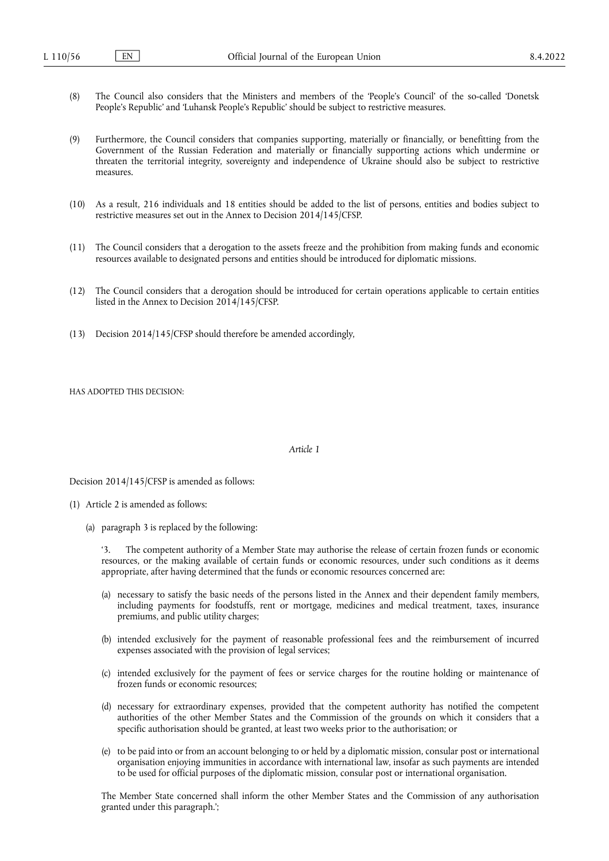- (8) The Council also considers that the Ministers and members of the 'People's Council' of the so-called 'Donetsk People's Republic' and 'Luhansk People's Republic' should be subject to restrictive measures.
- (9) Furthermore, the Council considers that companies supporting, materially or financially, or benefitting from the Government of the Russian Federation and materially or financially supporting actions which undermine or threaten the territorial integrity, sovereignty and independence of Ukraine should also be subject to restrictive measures.
- (10) As a result, 216 individuals and 18 entities should be added to the list of persons, entities and bodies subject to restrictive measures set out in the Annex to Decision 2014/145/CFSP.
- (11) The Council considers that a derogation to the assets freeze and the prohibition from making funds and economic resources available to designated persons and entities should be introduced for diplomatic missions.
- (12) The Council considers that a derogation should be introduced for certain operations applicable to certain entities listed in the Annex to Decision 2014/145/CFSP.
- (13) Decision 2014/145/CFSP should therefore be amended accordingly,

HAS ADOPTED THIS DECISION:

#### *Article 1*

Decision 2014/145/CFSP is amended as follows:

- (1) Article 2 is amended as follows:
	- (a) paragraph 3 is replaced by the following:

The competent authority of a Member State may authorise the release of certain frozen funds or economic resources, or the making available of certain funds or economic resources, under such conditions as it deems appropriate, after having determined that the funds or economic resources concerned are:

- (a) necessary to satisfy the basic needs of the persons listed in the Annex and their dependent family members, including payments for foodstuffs, rent or mortgage, medicines and medical treatment, taxes, insurance premiums, and public utility charges;
- (b) intended exclusively for the payment of reasonable professional fees and the reimbursement of incurred expenses associated with the provision of legal services;
- (c) intended exclusively for the payment of fees or service charges for the routine holding or maintenance of frozen funds or economic resources;
- (d) necessary for extraordinary expenses, provided that the competent authority has notified the competent authorities of the other Member States and the Commission of the grounds on which it considers that a specific authorisation should be granted, at least two weeks prior to the authorisation; or
- (e) to be paid into or from an account belonging to or held by a diplomatic mission, consular post or international organisation enjoying immunities in accordance with international law, insofar as such payments are intended to be used for official purposes of the diplomatic mission, consular post or international organisation.

The Member State concerned shall inform the other Member States and the Commission of any authorisation granted under this paragraph.';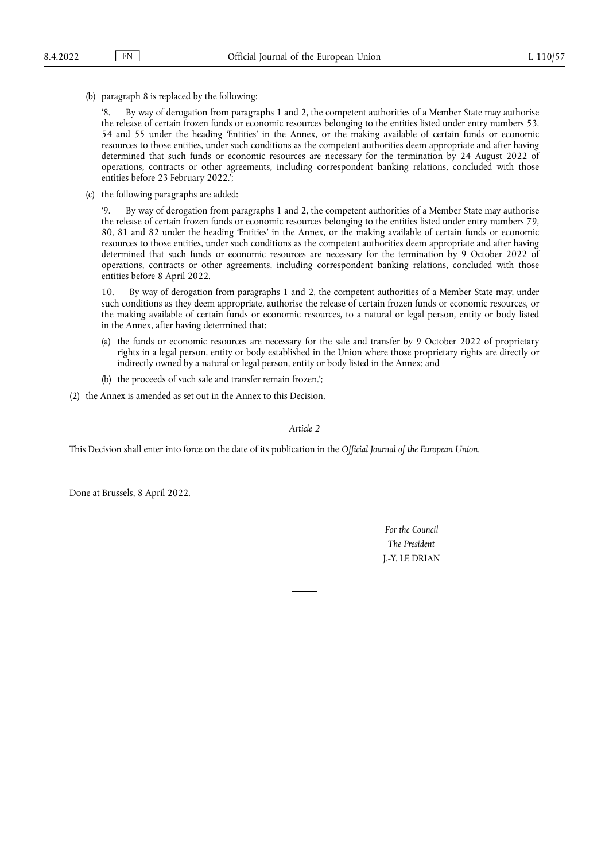(b) paragraph 8 is replaced by the following:

'8. By way of derogation from paragraphs 1 and 2, the competent authorities of a Member State may authorise the release of certain frozen funds or economic resources belonging to the entities listed under entry numbers 53, 54 and 55 under the heading 'Entities' in the Annex, or the making available of certain funds or economic resources to those entities, under such conditions as the competent authorities deem appropriate and after having determined that such funds or economic resources are necessary for the termination by 24 August 2022 of operations, contracts or other agreements, including correspondent banking relations, concluded with those entities before 23 February 2022.';

(c) the following paragraphs are added:

'9. By way of derogation from paragraphs 1 and 2, the competent authorities of a Member State may authorise the release of certain frozen funds or economic resources belonging to the entities listed under entry numbers 79, 80, 81 and 82 under the heading 'Entities' in the Annex, or the making available of certain funds or economic resources to those entities, under such conditions as the competent authorities deem appropriate and after having determined that such funds or economic resources are necessary for the termination by 9 October 2022 of operations, contracts or other agreements, including correspondent banking relations, concluded with those entities before 8 April 2022.

10. By way of derogation from paragraphs 1 and 2, the competent authorities of a Member State may, under such conditions as they deem appropriate, authorise the release of certain frozen funds or economic resources, or the making available of certain funds or economic resources, to a natural or legal person, entity or body listed in the Annex, after having determined that:

- (a) the funds or economic resources are necessary for the sale and transfer by 9 October 2022 of proprietary rights in a legal person, entity or body established in the Union where those proprietary rights are directly or indirectly owned by a natural or legal person, entity or body listed in the Annex; and
- (b) the proceeds of such sale and transfer remain frozen.';
- (2) the Annex is amended as set out in the Annex to this Decision.

## *Article 2*

This Decision shall enter into force on the date of its publication in the *Official Journal of the European Union*.

Done at Brussels, 8 April 2022.

*For the Council The President* J.-Y. LE DRIAN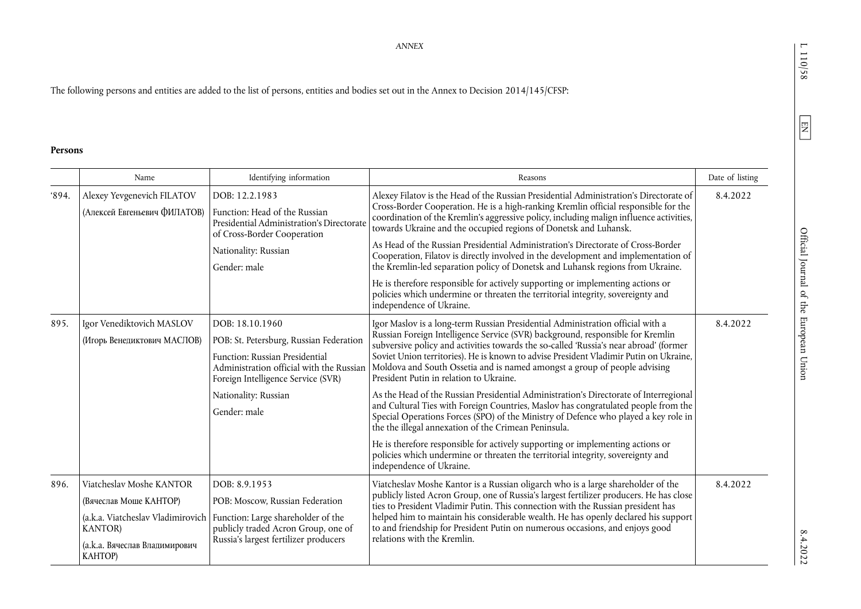$L\;110/58$ 

 $8.4.2022$ 

*ANNEX* 

The following persons and entities are added to the list of persons, entities and bodies set out in the Annex to Decision 2014/145/CFSP:

## **Persons**

|      | Name                                                                                                                     | Identifying information                                                                                                                                                                                                | Reasons                                                                                                                                                                                                                                                                                                                                                                                                                                                                                                                                                                                                                                                                                                                                                                                                                                                                                                                                                                                                   | Date of listing |
|------|--------------------------------------------------------------------------------------------------------------------------|------------------------------------------------------------------------------------------------------------------------------------------------------------------------------------------------------------------------|-----------------------------------------------------------------------------------------------------------------------------------------------------------------------------------------------------------------------------------------------------------------------------------------------------------------------------------------------------------------------------------------------------------------------------------------------------------------------------------------------------------------------------------------------------------------------------------------------------------------------------------------------------------------------------------------------------------------------------------------------------------------------------------------------------------------------------------------------------------------------------------------------------------------------------------------------------------------------------------------------------------|-----------------|
| 894. | Alexey Yevgenevich FILATOV<br>(Алексей Евгеньевич ФИЛАТОВ)                                                               | DOB: 12.2.1983<br>Function: Head of the Russian<br>Presidential Administration's Directorate<br>of Cross-Border Cooperation<br>Nationality: Russian<br>Gender: male                                                    | Alexey Filatov is the Head of the Russian Presidential Administration's Directorate of<br>Cross-Border Cooperation. He is a high-ranking Kremlin official responsible for the<br>coordination of the Kremlin's aggressive policy, including malign influence activities,<br>towards Ukraine and the occupied regions of Donetsk and Luhansk.<br>As Head of the Russian Presidential Administration's Directorate of Cross-Border<br>Cooperation, Filatov is directly involved in the development and implementation of<br>the Kremlin-led separation policy of Donetsk and Luhansk regions from Ukraine.<br>He is therefore responsible for actively supporting or implementing actions or<br>policies which undermine or threaten the territorial integrity, sovereignty and<br>independence of Ukraine.                                                                                                                                                                                                 | 8.4.2022        |
| 895. | Igor Venediktovich MASLOV<br>(Игорь Венедиктович МАСЛОВ)                                                                 | DOB: 18.10.1960<br>POB: St. Petersburg, Russian Federation<br>Function: Russian Presidential<br>Administration official with the Russian<br>Foreign Intelligence Service (SVR)<br>Nationality: Russian<br>Gender: male | Igor Maslov is a long-term Russian Presidential Administration official with a<br>Russian Foreign Intelligence Service (SVR) background, responsible for Kremlin<br>subversive policy and activities towards the so-called 'Russia's near abroad' (former<br>Soviet Union territories). He is known to advise President Vladimir Putin on Ukraine,<br>Moldova and South Ossetia and is named amongst a group of people advising<br>President Putin in relation to Ukraine.<br>As the Head of the Russian Presidential Administration's Directorate of Interregional<br>and Cultural Ties with Foreign Countries, Maslov has congratulated people from the<br>Special Operations Forces (SPO) of the Ministry of Defence who played a key role in<br>the the illegal annexation of the Crimean Peninsula.<br>He is therefore responsible for actively supporting or implementing actions or<br>policies which undermine or threaten the territorial integrity, sovereignty and<br>independence of Ukraine. | 8.4.2022        |
| 896. | Viatcheslav Moshe KANTOR<br>(Вячеслав Моше КАНТОР)<br><b>KANTOR</b> )<br>(а.к.а. Вячеслав Владимирович<br><b>KAHTOP)</b> | DOB: 8.9.1953<br>POB: Moscow, Russian Federation<br>(a.k.a. Viatcheslav Vladimirovich   Function: Large shareholder of the<br>publicly traded Acron Group, one of<br>Russia's largest fertilizer producers             | Viatcheslav Moshe Kantor is a Russian oligarch who is a large shareholder of the<br>publicly listed Acron Group, one of Russia's largest fertilizer producers. He has close<br>ties to President Vladimir Putin. This connection with the Russian president has<br>helped him to maintain his considerable wealth. He has openly declared his support<br>to and friendship for President Putin on numerous occasions, and enjoys good<br>relations with the Kremlin.                                                                                                                                                                                                                                                                                                                                                                                                                                                                                                                                      | 8.4.2022        |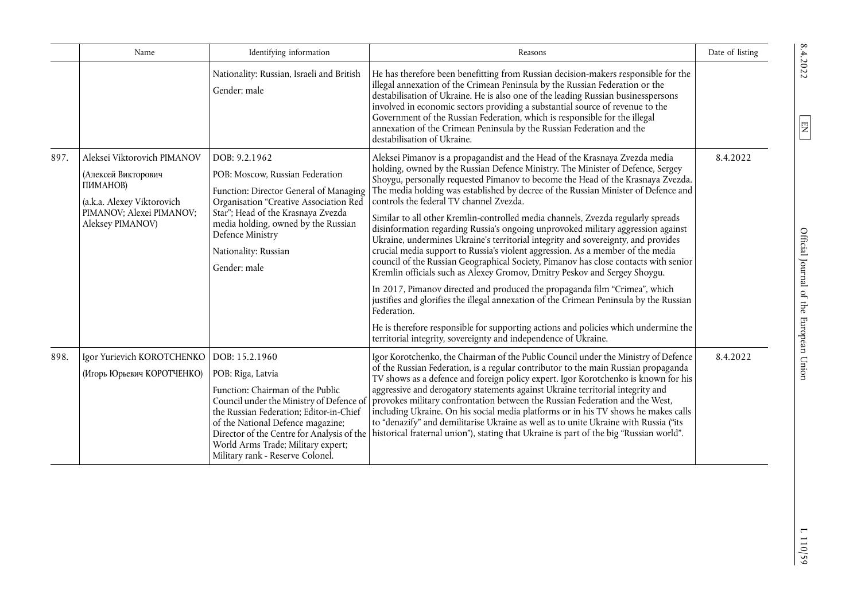|      | Name                                                                                                                                         | Identifying information                                                                                                                                                                                                                                                                                                     | Reasons                                                                                                                                                                                                                                                                                                                                                                                                                                                                                                                                                                                                                                                                                                                                                                                                                                                                                                                                                                                                                                                                                                                                                                                                                                                | Date of listing |
|------|----------------------------------------------------------------------------------------------------------------------------------------------|-----------------------------------------------------------------------------------------------------------------------------------------------------------------------------------------------------------------------------------------------------------------------------------------------------------------------------|--------------------------------------------------------------------------------------------------------------------------------------------------------------------------------------------------------------------------------------------------------------------------------------------------------------------------------------------------------------------------------------------------------------------------------------------------------------------------------------------------------------------------------------------------------------------------------------------------------------------------------------------------------------------------------------------------------------------------------------------------------------------------------------------------------------------------------------------------------------------------------------------------------------------------------------------------------------------------------------------------------------------------------------------------------------------------------------------------------------------------------------------------------------------------------------------------------------------------------------------------------|-----------------|
|      |                                                                                                                                              | Nationality: Russian, Israeli and British<br>Gender: male                                                                                                                                                                                                                                                                   | He has therefore been benefitting from Russian decision-makers responsible for the<br>illegal annexation of the Crimean Peninsula by the Russian Federation or the<br>destabilisation of Ukraine. He is also one of the leading Russian businesspersons<br>involved in economic sectors providing a substantial source of revenue to the<br>Government of the Russian Federation, which is responsible for the illegal<br>annexation of the Crimean Peninsula by the Russian Federation and the<br>destabilisation of Ukraine.                                                                                                                                                                                                                                                                                                                                                                                                                                                                                                                                                                                                                                                                                                                         |                 |
| 897. | Aleksei Viktorovich PIMANOV<br>(Алексей Викторович<br>ПИМАНОВ)<br>(a.k.a. Alexey Viktorovich<br>PIMANOV; Alexei PIMANOV;<br>Aleksey PIMANOV) | DOB: 9.2.1962<br>POB: Moscow, Russian Federation<br>Function: Director General of Managing<br>Organisation "Creative Association Red<br>Star"; Head of the Krasnaya Zvezda<br>media holding, owned by the Russian<br>Defence Ministry<br>Nationality: Russian<br>Gender: male                                               | Aleksei Pimanov is a propagandist and the Head of the Krasnaya Zvezda media<br>holding, owned by the Russian Defence Ministry. The Minister of Defence, Sergey<br>Shoygu, personally requested Pimanov to become the Head of the Krasnaya Zvezda.<br>The media holding was established by decree of the Russian Minister of Defence and<br>controls the federal TV channel Zvezda.<br>Similar to all other Kremlin-controlled media channels, Zvezda regularly spreads<br>disinformation regarding Russia's ongoing unprovoked military aggression against<br>Ukraine, undermines Ukraine's territorial integrity and sovereignty, and provides<br>crucial media support to Russia's violent aggression. As a member of the media<br>council of the Russian Geographical Society, Pimanov has close contacts with senior<br>Kremlin officials such as Alexey Gromov, Dmitry Peskov and Sergey Shoygu.<br>In 2017, Pimanov directed and produced the propaganda film "Crimea", which<br>justifies and glorifies the illegal annexation of the Crimean Peninsula by the Russian<br>Federation.<br>He is therefore responsible for supporting actions and policies which undermine the<br>territorial integrity, sovereignty and independence of Ukraine. | 8.4.2022        |
| 898. | Igor Yurievich KOROTCHENKO<br>(Игорь Юрьевич КОРОТЧЕНКО)                                                                                     | DOB: 15.2.1960<br>POB: Riga, Latvia<br>Function: Chairman of the Public<br>Council under the Ministry of Defence of<br>the Russian Federation; Editor-in-Chief<br>of the National Defence magazine;<br>Director of the Centre for Analysis of the<br>World Arms Trade; Military expert;<br>Military rank - Reserve Colonel. | Igor Korotchenko, the Chairman of the Public Council under the Ministry of Defence<br>of the Russian Federation, is a regular contributor to the main Russian propaganda<br>TV shows as a defence and foreign policy expert. Igor Korotchenko is known for his<br>aggressive and derogatory statements against Ukraine territorial integrity and<br>provokes military confrontation between the Russian Federation and the West,<br>including Ukraine. On his social media platforms or in his TV shows he makes calls<br>to "denazify" and demilitarise Ukraine as well as to unite Ukraine with Russia ("its<br>historical fraternal union"), stating that Ukraine is part of the big "Russian world".                                                                                                                                                                                                                                                                                                                                                                                                                                                                                                                                               | 8.4.2022        |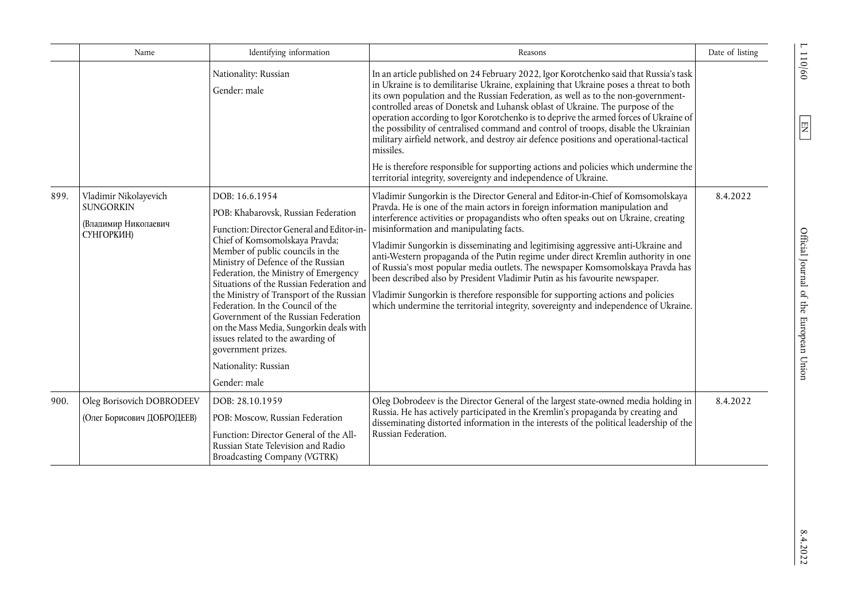|      | Name                                                                            | Identifying information                                                                                                                                                                                                                                                                                                                                                                                                                                                                                       | Reasons                                                                                                                                                                                                                                                                                                                                                                                                                                                                                                                                                                                                                                                                                                                                                                                                                                                        | Date of listing |
|------|---------------------------------------------------------------------------------|---------------------------------------------------------------------------------------------------------------------------------------------------------------------------------------------------------------------------------------------------------------------------------------------------------------------------------------------------------------------------------------------------------------------------------------------------------------------------------------------------------------|----------------------------------------------------------------------------------------------------------------------------------------------------------------------------------------------------------------------------------------------------------------------------------------------------------------------------------------------------------------------------------------------------------------------------------------------------------------------------------------------------------------------------------------------------------------------------------------------------------------------------------------------------------------------------------------------------------------------------------------------------------------------------------------------------------------------------------------------------------------|-----------------|
|      |                                                                                 | Nationality: Russian<br>Gender: male                                                                                                                                                                                                                                                                                                                                                                                                                                                                          | In an article published on 24 February 2022, Igor Korotchenko said that Russia's task<br>in Ukraine is to demilitarise Ukraine, explaining that Ukraine poses a threat to both<br>its own population and the Russian Federation, as well as to the non-government-<br>controlled areas of Donetsk and Luhansk oblast of Ukraine. The purpose of the<br>operation according to Igor Korotchenko is to deprive the armed forces of Ukraine of<br>the possibility of centralised command and control of troops, disable the Ukrainian<br>military airfield network, and destroy air defence positions and operational-tactical<br>missiles.                                                                                                                                                                                                                       |                 |
|      |                                                                                 |                                                                                                                                                                                                                                                                                                                                                                                                                                                                                                               | He is therefore responsible for supporting actions and policies which undermine the<br>territorial integrity, sovereignty and independence of Ukraine.                                                                                                                                                                                                                                                                                                                                                                                                                                                                                                                                                                                                                                                                                                         |                 |
| 899. | Vladimir Nikolayevich<br><b>SUNGORKIN</b><br>(Владимир Николаевич<br>СУНГОРКИН) | DOB: 16.6.1954<br>POB: Khabarovsk, Russian Federation<br>Function: Director General and Editor-in<br>Chief of Komsomolskaya Pravda;<br>Member of public councils in the<br>Ministry of Defence of the Russian<br>Federation, the Ministry of Emergency<br>Situations of the Russian Federation and<br>Federation. In the Council of the<br>Government of the Russian Federation<br>on the Mass Media, Sungorkin deals with<br>issues related to the awarding of<br>government prizes.<br>Nationality: Russian | Vladimir Sungorkin is the Director General and Editor-in-Chief of Komsomolskaya<br>Pravda. He is one of the main actors in foreign information manipulation and<br>interference activities or propagandists who often speaks out on Ukraine, creating<br>misinformation and manipulating facts.<br>Vladimir Sungorkin is disseminating and legitimising aggressive anti-Ukraine and<br>anti-Western propaganda of the Putin regime under direct Kremlin authority in one<br>of Russia's most popular media outlets. The newspaper Komsomolskaya Pravda has<br>been described also by President Vladimir Putin as his favourite newspaper.<br>the Ministry of Transport of the Russian   Vladimir Sungorkin is therefore responsible for supporting actions and policies<br>which undermine the territorial integrity, sovereignty and independence of Ukraine. | 8.4.2022        |
|      |                                                                                 | Gender: male                                                                                                                                                                                                                                                                                                                                                                                                                                                                                                  |                                                                                                                                                                                                                                                                                                                                                                                                                                                                                                                                                                                                                                                                                                                                                                                                                                                                |                 |
| 900. | Oleg Borisovich DOBRODEEV<br>(Олег Борисович ДОБРОДЕЕВ)                         | DOB: 28.10.1959<br>POB: Moscow, Russian Federation<br>Function: Director General of the All-<br>Russian State Television and Radio<br>Broadcasting Company (VGTRK)                                                                                                                                                                                                                                                                                                                                            | Oleg Dobrodeev is the Director General of the largest state-owned media holding in<br>Russia. He has actively participated in the Kremlin's propaganda by creating and<br>disseminating distorted information in the interests of the political leadership of the<br>Russian Federation.                                                                                                                                                                                                                                                                                                                                                                                                                                                                                                                                                                       | 8.4.2022        |

 $\frac{110}{60}$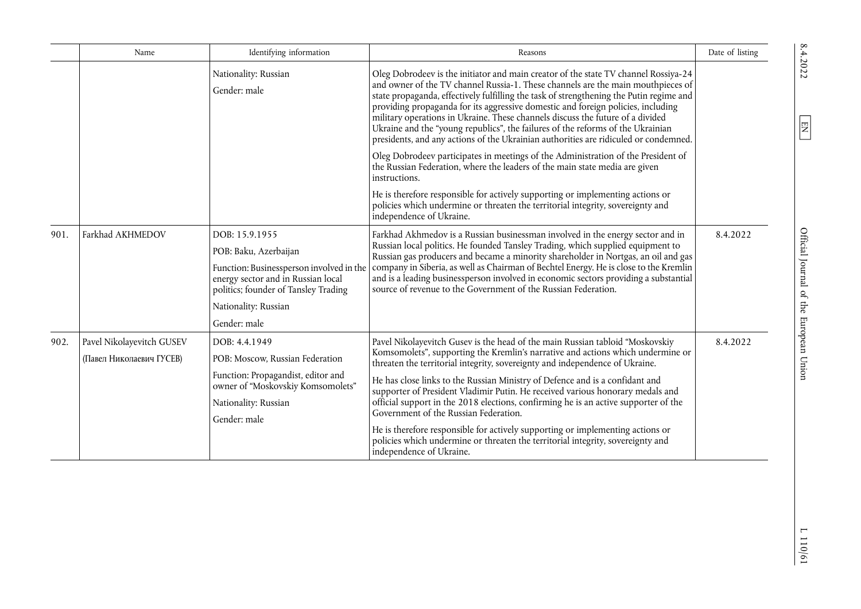|      | Name                                                  | Identifying information                                                                                                                                                                   | Reasons                                                                                                                                                                                                                                                                                                                                                                                                                                                                                                                                                                                                                                                                                                                                             | Date of listing |
|------|-------------------------------------------------------|-------------------------------------------------------------------------------------------------------------------------------------------------------------------------------------------|-----------------------------------------------------------------------------------------------------------------------------------------------------------------------------------------------------------------------------------------------------------------------------------------------------------------------------------------------------------------------------------------------------------------------------------------------------------------------------------------------------------------------------------------------------------------------------------------------------------------------------------------------------------------------------------------------------------------------------------------------------|-----------------|
|      |                                                       | Nationality: Russian<br>Gender: male                                                                                                                                                      | Oleg Dobrodeev is the initiator and main creator of the state TV channel Rossiya-24<br>and owner of the TV channel Russia-1. These channels are the main mouthpieces of<br>state propaganda, effectively fulfilling the task of strengthening the Putin regime and<br>providing propaganda for its aggressive domestic and foreign policies, including<br>military operations in Ukraine. These channels discuss the future of a divided<br>Ukraine and the "young republics", the failures of the reforms of the Ukrainian<br>presidents, and any actions of the Ukrainian authorities are ridiculed or condemned.                                                                                                                                 |                 |
|      |                                                       |                                                                                                                                                                                           | Oleg Dobrodeev participates in meetings of the Administration of the President of<br>the Russian Federation, where the leaders of the main state media are given<br>instructions.                                                                                                                                                                                                                                                                                                                                                                                                                                                                                                                                                                   |                 |
|      |                                                       |                                                                                                                                                                                           | He is therefore responsible for actively supporting or implementing actions or<br>policies which undermine or threaten the territorial integrity, sovereignty and<br>independence of Ukraine.                                                                                                                                                                                                                                                                                                                                                                                                                                                                                                                                                       |                 |
| 901. | Farkhad AKHMEDOV                                      | DOB: 15.9.1955<br>POB: Baku, Azerbaijan<br>Function: Businessperson involved in the<br>energy sector and in Russian local<br>politics; founder of Tansley Trading<br>Nationality: Russian | Farkhad Akhmedov is a Russian businessman involved in the energy sector and in<br>Russian local politics. He founded Tansley Trading, which supplied equipment to<br>Russian gas producers and became a minority shareholder in Nortgas, an oil and gas<br>company in Siberia, as well as Chairman of Bechtel Energy. He is close to the Kremlin<br>and is a leading businessperson involved in economic sectors providing a substantial<br>source of revenue to the Government of the Russian Federation.                                                                                                                                                                                                                                          | 8.4.2022        |
| 902. | Pavel Nikolayevitch GUSEV<br>(Павел Николаевич ГУСЕВ) | Gender: male<br>DOB: 4.4.1949<br>POB: Moscow, Russian Federation<br>Function: Propagandist, editor and<br>owner of "Moskovskiy Komsomolets"<br>Nationality: Russian<br>Gender: male       | Pavel Nikolayevitch Gusev is the head of the main Russian tabloid "Moskovskiy<br>Komsomolets", supporting the Kremlin's narrative and actions which undermine or<br>threaten the territorial integrity, sovereignty and independence of Ukraine.<br>He has close links to the Russian Ministry of Defence and is a confidant and<br>supporter of President Vladimir Putin. He received various honorary medals and<br>official support in the 2018 elections, confirming he is an active supporter of the<br>Government of the Russian Federation.<br>He is therefore responsible for actively supporting or implementing actions or<br>policies which undermine or threaten the territorial integrity, sovereignty and<br>independence of Ukraine. | 8.4.2022        |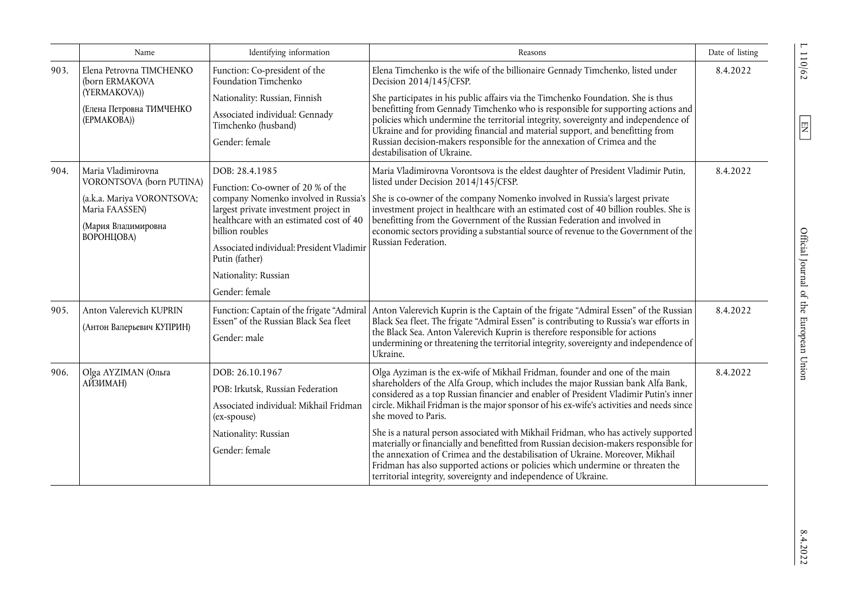|      | Name                                                                                                                                | Identifying information                                                                                                                                                                                                                                             | Reasons                                                                                                                                                                                                                                                                                                                                                                                                                                                                                                                                                                                                                                                                                                                                                                                            | Date of listing |
|------|-------------------------------------------------------------------------------------------------------------------------------------|---------------------------------------------------------------------------------------------------------------------------------------------------------------------------------------------------------------------------------------------------------------------|----------------------------------------------------------------------------------------------------------------------------------------------------------------------------------------------------------------------------------------------------------------------------------------------------------------------------------------------------------------------------------------------------------------------------------------------------------------------------------------------------------------------------------------------------------------------------------------------------------------------------------------------------------------------------------------------------------------------------------------------------------------------------------------------------|-----------------|
| 903. | Elena Petrovna TIMCHENKO<br>(born ERMAKOVA<br>(YERMAKOVA))<br>(Елена Петровна ТИМЧЕНКО<br>(EPMAKOBA))                               | Function: Co-president of the<br>Foundation Timchenko                                                                                                                                                                                                               | Elena Timchenko is the wife of the billionaire Gennady Timchenko, listed under<br>Decision 2014/145/CFSP.                                                                                                                                                                                                                                                                                                                                                                                                                                                                                                                                                                                                                                                                                          | 8.4.2022        |
|      |                                                                                                                                     | Nationality: Russian, Finnish<br>Associated individual: Gennady<br>Timchenko (husband)<br>Gender: female                                                                                                                                                            | She participates in his public affairs via the Timchenko Foundation. She is thus<br>benefitting from Gennady Timchenko who is responsible for supporting actions and<br>policies which undermine the territorial integrity, sovereignty and independence of<br>Ukraine and for providing financial and material support, and benefitting from<br>Russian decision-makers responsible for the annexation of Crimea and the<br>destabilisation of Ukraine.                                                                                                                                                                                                                                                                                                                                           |                 |
| 904. | Maria Vladimirovna<br>VORONTSOVA (born PUTINA)<br>(a.k.a. Mariya VORONTSOVA;<br>Maria FAASSEN)<br>(Мария Владимировна<br>ВОРОНЦОВА) | DOB: 28.4.1985<br>Function: Co-owner of 20 % of the<br>largest private investment project in<br>healthcare with an estimated cost of 40<br>billion roubles<br>Associated individual: President Vladimir<br>Putin (father)<br>Nationality: Russian<br>Gender: female | Maria Vladimirovna Vorontsova is the eldest daughter of President Vladimir Putin,<br>listed under Decision 2014/145/CFSP.<br>company Nomenko involved in Russia's   She is co-owner of the company Nomenko involved in Russia's largest private<br>investment project in healthcare with an estimated cost of 40 billion roubles. She is<br>benefitting from the Government of the Russian Federation and involved in<br>economic sectors providing a substantial source of revenue to the Government of the<br>Russian Federation.                                                                                                                                                                                                                                                                | 8.4.2022        |
| 905. | Anton Valerevich KUPRIN<br>(Антон Валерьевич КУПРИН)                                                                                | Function: Captain of the frigate "Admiral<br>Essen" of the Russian Black Sea fleet<br>Gender: male                                                                                                                                                                  | Anton Valerevich Kuprin is the Captain of the frigate "Admiral Essen" of the Russian<br>Black Sea fleet. The frigate "Admiral Essen" is contributing to Russia's war efforts in<br>the Black Sea. Anton Valerevich Kuprin is therefore responsible for actions<br>undermining or threatening the territorial integrity, sovereignty and independence of<br>Ukraine.                                                                                                                                                                                                                                                                                                                                                                                                                                | 8.4.2022        |
| 906. | Olga AYZIMAN (Ольга<br>АЙЗИМАН)                                                                                                     | DOB: 26.10.1967<br>POB: Irkutsk, Russian Federation<br>Associated individual: Mikhail Fridman<br>(ex-spouse)<br>Nationality: Russian<br>Gender: female                                                                                                              | Olga Ayziman is the ex-wife of Mikhail Fridman, founder and one of the main<br>shareholders of the Alfa Group, which includes the major Russian bank Alfa Bank,<br>considered as a top Russian financier and enabler of President Vladimir Putin's inner<br>circle. Mikhail Fridman is the major sponsor of his ex-wife's activities and needs since<br>she moved to Paris.<br>She is a natural person associated with Mikhail Fridman, who has actively supported<br>materially or financially and benefitted from Russian decision-makers responsible for<br>the annexation of Crimea and the destabilisation of Ukraine. Moreover, Mikhail<br>Fridman has also supported actions or policies which undermine or threaten the<br>territorial integrity, sovereignty and independence of Ukraine. | 8.4.2022        |

 $L 110/62$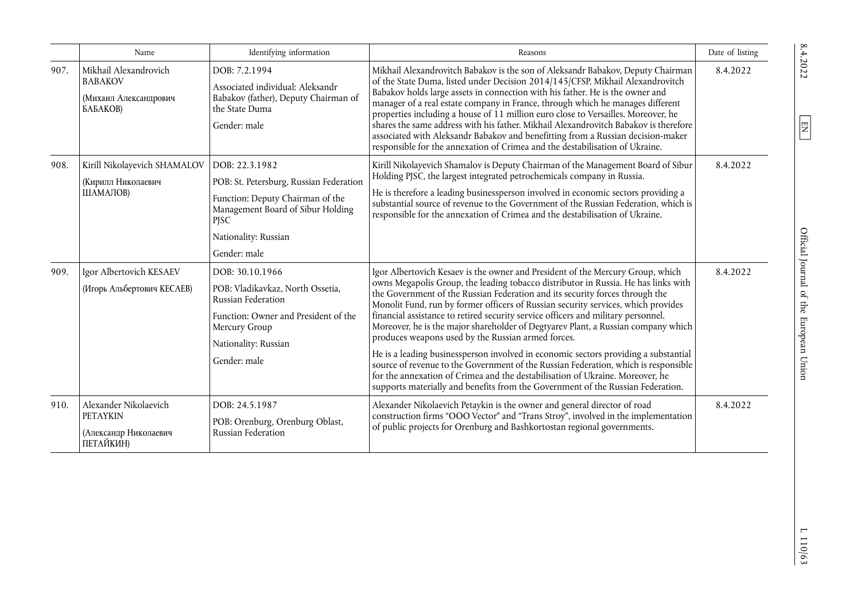|      | Name                                                                           | Identifying information                                                                                                                                                            | Reasons                                                                                                                                                                                                                                                                                                                                                                                                                                                                                                                                                                                                                                                                                                                                                                                                                                                                                                                     | Date of listing |
|------|--------------------------------------------------------------------------------|------------------------------------------------------------------------------------------------------------------------------------------------------------------------------------|-----------------------------------------------------------------------------------------------------------------------------------------------------------------------------------------------------------------------------------------------------------------------------------------------------------------------------------------------------------------------------------------------------------------------------------------------------------------------------------------------------------------------------------------------------------------------------------------------------------------------------------------------------------------------------------------------------------------------------------------------------------------------------------------------------------------------------------------------------------------------------------------------------------------------------|-----------------|
| 907. | Mikhail Alexandrovich<br><b>BABAKOV</b><br>(Михаил Александрович<br>БАБАКОВ)   | DOB: 7.2.1994<br>Associated individual: Aleksandr<br>Babakov (father), Deputy Chairman of<br>the State Duma<br>Gender: male                                                        | Mikhail Alexandrovitch Babakov is the son of Aleksandr Babakov, Deputy Chairman<br>of the State Duma, listed under Decision 2014/145/CFSP. Mikhail Alexandrovitch<br>Babakov holds large assets in connection with his father. He is the owner and<br>manager of a real estate company in France, through which he manages different<br>properties including a house of 11 million euro close to Versailles. Moreover, he<br>shares the same address with his father. Mikhail Alexandrovitch Babakov is therefore<br>associated with Aleksandr Babakov and benefitting from a Russian decision-maker<br>responsible for the annexation of Crimea and the destabilisation of Ukraine.                                                                                                                                                                                                                                        | 8.4.2022        |
| 908. | Kirill Nikolayevich SHAMALOV<br>(Кирилл Николаевич<br>ШАМАЛОВ)                 | DOB: 22.3.1982<br>POB: St. Petersburg, Russian Federation<br>Function: Deputy Chairman of the<br>Management Board of Sibur Holding<br>PJSC<br>Nationality: Russian<br>Gender: male | Kirill Nikolayevich Shamalov is Deputy Chairman of the Management Board of Sibur<br>Holding PJSC, the largest integrated petrochemicals company in Russia.<br>He is therefore a leading businessperson involved in economic sectors providing a<br>substantial source of revenue to the Government of the Russian Federation, which is<br>responsible for the annexation of Crimea and the destabilisation of Ukraine.                                                                                                                                                                                                                                                                                                                                                                                                                                                                                                      | 8.4.2022        |
| 909. | Igor Albertovich KESAEV<br>(Игорь Альбертович КЕСАЕВ)                          | DOB: 30.10.1966<br>POB: Vladikavkaz, North Ossetia,<br>Russian Federation<br>Function: Owner and President of the<br>Mercury Group<br>Nationality: Russian<br>Gender: male         | Igor Albertovich Kesaev is the owner and President of the Mercury Group, which<br>owns Megapolis Group, the leading tobacco distributor in Russia. He has links with<br>the Government of the Russian Federation and its security forces through the<br>Monolit Fund, run by former officers of Russian security services, which provides<br>financial assistance to retired security service officers and military personnel.<br>Moreover, he is the major shareholder of Degtyarev Plant, a Russian company which<br>produces weapons used by the Russian armed forces.<br>He is a leading businessperson involved in economic sectors providing a substantial<br>source of revenue to the Government of the Russian Federation, which is responsible<br>for the annexation of Crimea and the destabilisation of Ukraine. Moreover, he<br>supports materially and benefits from the Government of the Russian Federation. | 8.4.2022        |
| 910. | Alexander Nikolaevich<br><b>PETAYKIN</b><br>(Александр Николаевич<br>ПЕТАЙКИН) | DOB: 24.5.1987<br>POB: Orenburg, Orenburg Oblast,<br>Russian Federation                                                                                                            | Alexander Nikolaevich Petaykin is the owner and general director of road<br>construction firms "OOO Vector" and "Trans Stroy", involved in the implementation<br>of public projects for Orenburg and Bashkortostan regional governments.                                                                                                                                                                                                                                                                                                                                                                                                                                                                                                                                                                                                                                                                                    | 8.4.2022        |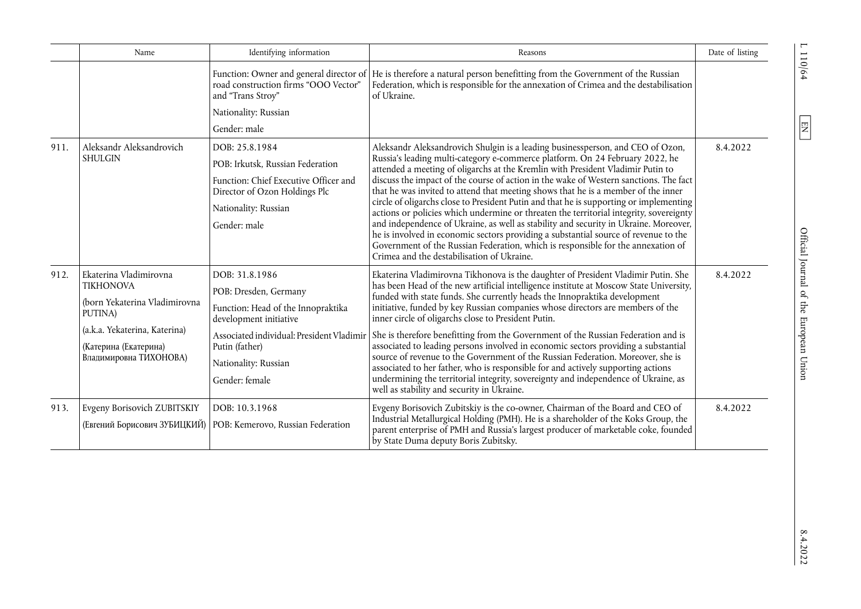|      | Name                                                                                                                                                                                              | Identifying information                                                | Reasons                                                                                                                                                                                                                                                                                                                                                                                                                                                                                                                                                                                                                                                                                                                                                                                                                                                                                                                                                                                                                                                                                                                                                                                                                                                                                                                                                                                                                                                                                                                                                                                                                                                                                                                                                                                                                                                                                                                                                     | Date of listing |
|------|---------------------------------------------------------------------------------------------------------------------------------------------------------------------------------------------------|------------------------------------------------------------------------|-------------------------------------------------------------------------------------------------------------------------------------------------------------------------------------------------------------------------------------------------------------------------------------------------------------------------------------------------------------------------------------------------------------------------------------------------------------------------------------------------------------------------------------------------------------------------------------------------------------------------------------------------------------------------------------------------------------------------------------------------------------------------------------------------------------------------------------------------------------------------------------------------------------------------------------------------------------------------------------------------------------------------------------------------------------------------------------------------------------------------------------------------------------------------------------------------------------------------------------------------------------------------------------------------------------------------------------------------------------------------------------------------------------------------------------------------------------------------------------------------------------------------------------------------------------------------------------------------------------------------------------------------------------------------------------------------------------------------------------------------------------------------------------------------------------------------------------------------------------------------------------------------------------------------------------------------------------|-----------------|
|      |                                                                                                                                                                                                   | road construction firms "OOO Vector"<br>and "Trans Stroy"              | Federation, which is responsible for the annexation of Crimea and the destabilisation<br>of Ukraine.                                                                                                                                                                                                                                                                                                                                                                                                                                                                                                                                                                                                                                                                                                                                                                                                                                                                                                                                                                                                                                                                                                                                                                                                                                                                                                                                                                                                                                                                                                                                                                                                                                                                                                                                                                                                                                                        |                 |
|      |                                                                                                                                                                                                   | Nationality: Russian                                                   |                                                                                                                                                                                                                                                                                                                                                                                                                                                                                                                                                                                                                                                                                                                                                                                                                                                                                                                                                                                                                                                                                                                                                                                                                                                                                                                                                                                                                                                                                                                                                                                                                                                                                                                                                                                                                                                                                                                                                             |                 |
|      |                                                                                                                                                                                                   | Gender: male                                                           |                                                                                                                                                                                                                                                                                                                                                                                                                                                                                                                                                                                                                                                                                                                                                                                                                                                                                                                                                                                                                                                                                                                                                                                                                                                                                                                                                                                                                                                                                                                                                                                                                                                                                                                                                                                                                                                                                                                                                             |                 |
| 911. | Aleksandr Aleksandrovich                                                                                                                                                                          | DOB: 25.8.1984                                                         | Aleksandr Aleksandrovich Shulgin is a leading businessperson, and CEO of Ozon,                                                                                                                                                                                                                                                                                                                                                                                                                                                                                                                                                                                                                                                                                                                                                                                                                                                                                                                                                                                                                                                                                                                                                                                                                                                                                                                                                                                                                                                                                                                                                                                                                                                                                                                                                                                                                                                                              | 8.4.2022        |
|      | <b>SHULGIN</b>                                                                                                                                                                                    | POB: Irkutsk, Russian Federation                                       |                                                                                                                                                                                                                                                                                                                                                                                                                                                                                                                                                                                                                                                                                                                                                                                                                                                                                                                                                                                                                                                                                                                                                                                                                                                                                                                                                                                                                                                                                                                                                                                                                                                                                                                                                                                                                                                                                                                                                             |                 |
|      |                                                                                                                                                                                                   | Function: Chief Executive Officer and<br>Director of Ozon Holdings Plc | Function: Owner and general director of   He is therefore a natural person benefitting from the Government of the Russian<br>Russia's leading multi-category e-commerce platform. On 24 February 2022, he<br>attended a meeting of oligarchs at the Kremlin with President Vladimir Putin to<br>discuss the impact of the course of action in the wake of Western sanctions. The fact<br>that he was invited to attend that meeting shows that he is a member of the inner<br>circle of oligarchs close to President Putin and that he is supporting or implementing<br>actions or policies which undermine or threaten the territorial integrity, sovereignty<br>and independence of Ukraine, as well as stability and security in Ukraine. Moreover,<br>he is involved in economic sectors providing a substantial source of revenue to the<br>Government of the Russian Federation, which is responsible for the annexation of<br>Crimea and the destabilisation of Ukraine.<br>Ekaterina Vladimirovna Tikhonova is the daughter of President Vladimir Putin. She<br>has been Head of the new artificial intelligence institute at Moscow State University,<br>funded with state funds. She currently heads the Innopraktika development<br>initiative, funded by key Russian companies whose directors are members of the<br>inner circle of oligarchs close to President Putin.<br>She is therefore benefitting from the Government of the Russian Federation and is<br>associated to leading persons involved in economic sectors providing a substantial<br>source of revenue to the Government of the Russian Federation. Moreover, she is<br>associated to her father, who is responsible for and actively supporting actions<br>undermining the territorial integrity, sovereignty and independence of Ukraine, as<br>well as stability and security in Ukraine.<br>Evgeny Borisovich Zubitskiy is the co-owner, Chairman of the Board and CEO of |                 |
|      |                                                                                                                                                                                                   | Nationality: Russian                                                   |                                                                                                                                                                                                                                                                                                                                                                                                                                                                                                                                                                                                                                                                                                                                                                                                                                                                                                                                                                                                                                                                                                                                                                                                                                                                                                                                                                                                                                                                                                                                                                                                                                                                                                                                                                                                                                                                                                                                                             |                 |
|      |                                                                                                                                                                                                   | Gender: male                                                           |                                                                                                                                                                                                                                                                                                                                                                                                                                                                                                                                                                                                                                                                                                                                                                                                                                                                                                                                                                                                                                                                                                                                                                                                                                                                                                                                                                                                                                                                                                                                                                                                                                                                                                                                                                                                                                                                                                                                                             |                 |
| 912. | Ekaterina Vladimirovna<br>DOB: 31.8.1986<br><b>TIKHONOVA</b><br>POB: Dresden, Germany<br>(born Yekaterina Vladimirovna<br>Function: Head of the Innopraktika<br>PUTINA)<br>development initiative |                                                                        |                                                                                                                                                                                                                                                                                                                                                                                                                                                                                                                                                                                                                                                                                                                                                                                                                                                                                                                                                                                                                                                                                                                                                                                                                                                                                                                                                                                                                                                                                                                                                                                                                                                                                                                                                                                                                                                                                                                                                             | 8.4.2022        |
|      |                                                                                                                                                                                                   |                                                                        |                                                                                                                                                                                                                                                                                                                                                                                                                                                                                                                                                                                                                                                                                                                                                                                                                                                                                                                                                                                                                                                                                                                                                                                                                                                                                                                                                                                                                                                                                                                                                                                                                                                                                                                                                                                                                                                                                                                                                             |                 |
|      |                                                                                                                                                                                                   |                                                                        |                                                                                                                                                                                                                                                                                                                                                                                                                                                                                                                                                                                                                                                                                                                                                                                                                                                                                                                                                                                                                                                                                                                                                                                                                                                                                                                                                                                                                                                                                                                                                                                                                                                                                                                                                                                                                                                                                                                                                             |                 |
|      | (a.k.a. Yekaterina, Katerina)<br>(Катерина (Екатерина)                                                                                                                                            | Associated individual: President Vladimir<br>Putin (father)            |                                                                                                                                                                                                                                                                                                                                                                                                                                                                                                                                                                                                                                                                                                                                                                                                                                                                                                                                                                                                                                                                                                                                                                                                                                                                                                                                                                                                                                                                                                                                                                                                                                                                                                                                                                                                                                                                                                                                                             |                 |
|      | Владимировна ТИХОНОВА)                                                                                                                                                                            | Nationality: Russian                                                   |                                                                                                                                                                                                                                                                                                                                                                                                                                                                                                                                                                                                                                                                                                                                                                                                                                                                                                                                                                                                                                                                                                                                                                                                                                                                                                                                                                                                                                                                                                                                                                                                                                                                                                                                                                                                                                                                                                                                                             |                 |
|      |                                                                                                                                                                                                   | Gender: female                                                         |                                                                                                                                                                                                                                                                                                                                                                                                                                                                                                                                                                                                                                                                                                                                                                                                                                                                                                                                                                                                                                                                                                                                                                                                                                                                                                                                                                                                                                                                                                                                                                                                                                                                                                                                                                                                                                                                                                                                                             |                 |
| 913. | Evgeny Borisovich ZUBITSKIY                                                                                                                                                                       | DOB: 10.3.1968                                                         |                                                                                                                                                                                                                                                                                                                                                                                                                                                                                                                                                                                                                                                                                                                                                                                                                                                                                                                                                                                                                                                                                                                                                                                                                                                                                                                                                                                                                                                                                                                                                                                                                                                                                                                                                                                                                                                                                                                                                             | 8.4.2022        |
|      | (Евгений Борисович ЗУБИЦКИЙ)                                                                                                                                                                      | POB: Kemerovo, Russian Federation                                      | Industrial Metallurgical Holding (PMH). He is a shareholder of the Koks Group, the<br>parent enterprise of PMH and Russia's largest producer of marketable coke, founded<br>by State Duma deputy Boris Zubitsky.                                                                                                                                                                                                                                                                                                                                                                                                                                                                                                                                                                                                                                                                                                                                                                                                                                                                                                                                                                                                                                                                                                                                                                                                                                                                                                                                                                                                                                                                                                                                                                                                                                                                                                                                            |                 |

 $110/64$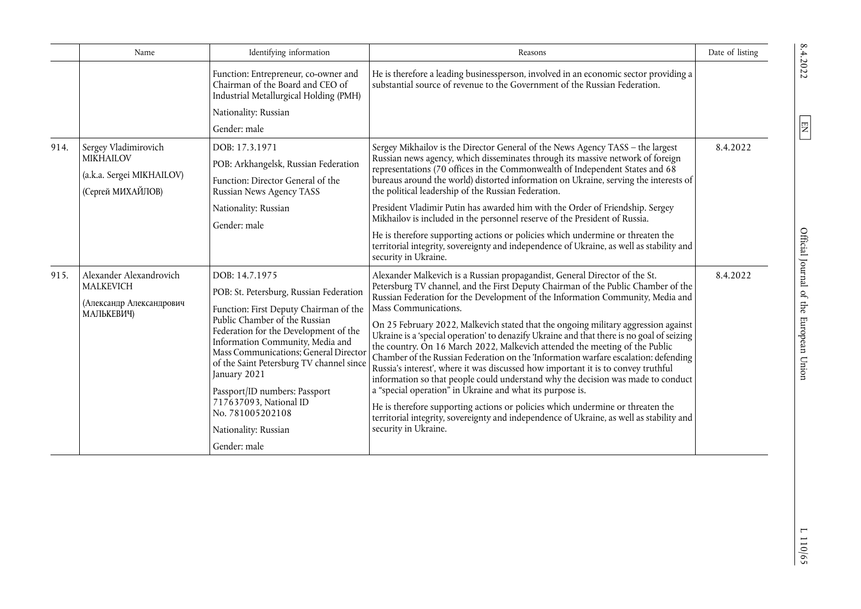|      | Name                                                                                                                                                                                                            | Identifying information                                                                                            | Reasons                                                                                                                                                                                                                                                                                                                                                                                                                                                                                                                                                                                                                                                                                                                                                                                                                                                                                                                                                                                                                                                                                                                                                                                                                                                                                                                                                                                                                                                                                                                              | Date of listing |
|------|-----------------------------------------------------------------------------------------------------------------------------------------------------------------------------------------------------------------|--------------------------------------------------------------------------------------------------------------------|--------------------------------------------------------------------------------------------------------------------------------------------------------------------------------------------------------------------------------------------------------------------------------------------------------------------------------------------------------------------------------------------------------------------------------------------------------------------------------------------------------------------------------------------------------------------------------------------------------------------------------------------------------------------------------------------------------------------------------------------------------------------------------------------------------------------------------------------------------------------------------------------------------------------------------------------------------------------------------------------------------------------------------------------------------------------------------------------------------------------------------------------------------------------------------------------------------------------------------------------------------------------------------------------------------------------------------------------------------------------------------------------------------------------------------------------------------------------------------------------------------------------------------------|-----------------|
|      |                                                                                                                                                                                                                 | Function: Entrepreneur, co-owner and<br>Chairman of the Board and CEO of<br>Industrial Metallurgical Holding (PMH) | He is therefore a leading businessperson, involved in an economic sector providing a<br>substantial source of revenue to the Government of the Russian Federation.                                                                                                                                                                                                                                                                                                                                                                                                                                                                                                                                                                                                                                                                                                                                                                                                                                                                                                                                                                                                                                                                                                                                                                                                                                                                                                                                                                   |                 |
|      |                                                                                                                                                                                                                 | Nationality: Russian                                                                                               |                                                                                                                                                                                                                                                                                                                                                                                                                                                                                                                                                                                                                                                                                                                                                                                                                                                                                                                                                                                                                                                                                                                                                                                                                                                                                                                                                                                                                                                                                                                                      |                 |
|      |                                                                                                                                                                                                                 | Gender: male                                                                                                       |                                                                                                                                                                                                                                                                                                                                                                                                                                                                                                                                                                                                                                                                                                                                                                                                                                                                                                                                                                                                                                                                                                                                                                                                                                                                                                                                                                                                                                                                                                                                      |                 |
| 914. | Sergey Vladimirovich                                                                                                                                                                                            | DOB: 17.3.1971                                                                                                     | Sergey Mikhailov is the Director General of the News Agency TASS - the largest                                                                                                                                                                                                                                                                                                                                                                                                                                                                                                                                                                                                                                                                                                                                                                                                                                                                                                                                                                                                                                                                                                                                                                                                                                                                                                                                                                                                                                                       | 8.4.2022        |
|      | <b>MIKHAILOV</b>                                                                                                                                                                                                | POB: Arkhangelsk, Russian Federation                                                                               |                                                                                                                                                                                                                                                                                                                                                                                                                                                                                                                                                                                                                                                                                                                                                                                                                                                                                                                                                                                                                                                                                                                                                                                                                                                                                                                                                                                                                                                                                                                                      |                 |
|      | (a.k.a. Sergei MIKHAILOV)<br>(Сергей МИХАЙЛОВ)                                                                                                                                                                  | Function: Director General of the<br><b>Russian News Agency TASS</b>                                               | bureaus around the world) distorted information on Ukraine, serving the interests of<br>the political leadership of the Russian Federation.                                                                                                                                                                                                                                                                                                                                                                                                                                                                                                                                                                                                                                                                                                                                                                                                                                                                                                                                                                                                                                                                                                                                                                                                                                                                                                                                                                                          |                 |
|      |                                                                                                                                                                                                                 | Nationality: Russian                                                                                               | President Vladimir Putin has awarded him with the Order of Friendship. Sergey                                                                                                                                                                                                                                                                                                                                                                                                                                                                                                                                                                                                                                                                                                                                                                                                                                                                                                                                                                                                                                                                                                                                                                                                                                                                                                                                                                                                                                                        |                 |
|      |                                                                                                                                                                                                                 | Gender: male                                                                                                       | Russian news agency, which disseminates through its massive network of foreign<br>representations (70 offices in the Commonwealth of Independent States and 68<br>Mikhailov is included in the personnel reserve of the President of Russia.<br>He is therefore supporting actions or policies which undermine or threaten the<br>territorial integrity, sovereignty and independence of Ukraine, as well as stability and<br>security in Ukraine.<br>Alexander Malkevich is a Russian propagandist, General Director of the St.<br>Petersburg TV channel, and the First Deputy Chairman of the Public Chamber of the<br>Russian Federation for the Development of the Information Community, Media and<br>Mass Communications.<br>On 25 February 2022, Malkevich stated that the ongoing military aggression against<br>Ukraine is a 'special operation' to denazify Ukraine and that there is no goal of seizing<br>the country. On 16 March 2022, Malkevich attended the meeting of the Public<br>Chamber of the Russian Federation on the 'Information warfare escalation: defending<br>Russia's interest', where it was discussed how important it is to convey truthful<br>information so that people could understand why the decision was made to conduct<br>a "special operation" in Ukraine and what its purpose is.<br>He is therefore supporting actions or policies which undermine or threaten the<br>territorial integrity, sovereignty and independence of Ukraine, as well as stability and<br>security in Ukraine. |                 |
|      |                                                                                                                                                                                                                 |                                                                                                                    |                                                                                                                                                                                                                                                                                                                                                                                                                                                                                                                                                                                                                                                                                                                                                                                                                                                                                                                                                                                                                                                                                                                                                                                                                                                                                                                                                                                                                                                                                                                                      |                 |
| 915. | Alexander Alexandrovich<br>DOB: 14.7.1975<br><b>MALKEVICH</b><br>POB: St. Petersburg, Russian Federation                                                                                                        |                                                                                                                    | 8.4.2022                                                                                                                                                                                                                                                                                                                                                                                                                                                                                                                                                                                                                                                                                                                                                                                                                                                                                                                                                                                                                                                                                                                                                                                                                                                                                                                                                                                                                                                                                                                             |                 |
|      |                                                                                                                                                                                                                 |                                                                                                                    |                                                                                                                                                                                                                                                                                                                                                                                                                                                                                                                                                                                                                                                                                                                                                                                                                                                                                                                                                                                                                                                                                                                                                                                                                                                                                                                                                                                                                                                                                                                                      |                 |
|      | (Александр Александрович<br>МАЛЬКЕВИЧ)                                                                                                                                                                          | Function: First Deputy Chairman of the                                                                             |                                                                                                                                                                                                                                                                                                                                                                                                                                                                                                                                                                                                                                                                                                                                                                                                                                                                                                                                                                                                                                                                                                                                                                                                                                                                                                                                                                                                                                                                                                                                      |                 |
|      | Public Chamber of the Russian<br>Federation for the Development of the<br>Information Community, Media and<br>Mass Communications; General Director<br>of the Saint Petersburg TV channel since<br>January 2021 |                                                                                                                    |                                                                                                                                                                                                                                                                                                                                                                                                                                                                                                                                                                                                                                                                                                                                                                                                                                                                                                                                                                                                                                                                                                                                                                                                                                                                                                                                                                                                                                                                                                                                      |                 |
|      |                                                                                                                                                                                                                 | Passport/ID numbers: Passport<br>717637093, National ID<br>No. 781005202108                                        |                                                                                                                                                                                                                                                                                                                                                                                                                                                                                                                                                                                                                                                                                                                                                                                                                                                                                                                                                                                                                                                                                                                                                                                                                                                                                                                                                                                                                                                                                                                                      |                 |
|      |                                                                                                                                                                                                                 | Nationality: Russian                                                                                               |                                                                                                                                                                                                                                                                                                                                                                                                                                                                                                                                                                                                                                                                                                                                                                                                                                                                                                                                                                                                                                                                                                                                                                                                                                                                                                                                                                                                                                                                                                                                      |                 |
|      |                                                                                                                                                                                                                 | Gender: male                                                                                                       |                                                                                                                                                                                                                                                                                                                                                                                                                                                                                                                                                                                                                                                                                                                                                                                                                                                                                                                                                                                                                                                                                                                                                                                                                                                                                                                                                                                                                                                                                                                                      |                 |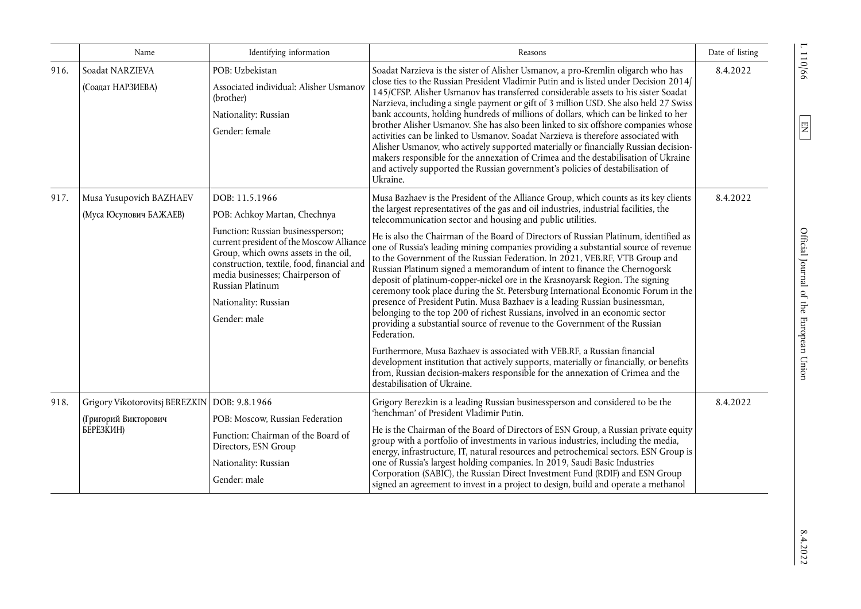|      | Name                                                                                | Identifying information                                                                                                                                                                                                                                                                                               | Reasons                                                                                                                                                                                                                                                                                                                                                                                                                                                                                                                                                                                                                                                                                                                                                                                                                                                                                                                                                                                                                                                                                                                                                                                                                                                                                                       | Date of listing |
|------|-------------------------------------------------------------------------------------|-----------------------------------------------------------------------------------------------------------------------------------------------------------------------------------------------------------------------------------------------------------------------------------------------------------------------|---------------------------------------------------------------------------------------------------------------------------------------------------------------------------------------------------------------------------------------------------------------------------------------------------------------------------------------------------------------------------------------------------------------------------------------------------------------------------------------------------------------------------------------------------------------------------------------------------------------------------------------------------------------------------------------------------------------------------------------------------------------------------------------------------------------------------------------------------------------------------------------------------------------------------------------------------------------------------------------------------------------------------------------------------------------------------------------------------------------------------------------------------------------------------------------------------------------------------------------------------------------------------------------------------------------|-----------------|
| 916. | Soadat NARZIEVA<br>(Соадат НАРЗИЕВА)                                                | POB: Uzbekistan<br>Associated individual: Alisher Usmanov<br>(brother)<br>Nationality: Russian<br>Gender: female                                                                                                                                                                                                      | Soadat Narzieva is the sister of Alisher Usmanov, a pro-Kremlin oligarch who has<br>close ties to the Russian President Vladimir Putin and is listed under Decision 2014/<br>145/CFSP. Alisher Usmanov has transferred considerable assets to his sister Soadat<br>Narzieva, including a single payment or gift of 3 million USD. She also held 27 Swiss<br>bank accounts, holding hundreds of millions of dollars, which can be linked to her<br>brother Alisher Usmanov. She has also been linked to six offshore companies whose<br>activities can be linked to Usmanov. Soadat Narzieva is therefore associated with<br>Alisher Usmanov, who actively supported materially or financially Russian decision-<br>makers responsible for the annexation of Crimea and the destabilisation of Ukraine<br>and actively supported the Russian government's policies of destabilisation of<br>Ukraine.                                                                                                                                                                                                                                                                                                                                                                                                           | 8.4.2022        |
| 917. | Musa Yusupovich BAZHAEV<br>(Муса Юсупович БАЖАЕВ)                                   | DOB: 11.5.1966<br>POB: Achkoy Martan, Chechnya<br>Function: Russian businessperson;<br>current president of the Moscow Alliance<br>Group, which owns assets in the oil,<br>construction, textile, food, financial and<br>media businesses; Chairperson of<br>Russian Platinum<br>Nationality: Russian<br>Gender: male | Musa Bazhaev is the President of the Alliance Group, which counts as its key clients<br>the largest representatives of the gas and oil industries, industrial facilities, the<br>telecommunication sector and housing and public utilities.<br>He is also the Chairman of the Board of Directors of Russian Platinum, identified as<br>one of Russia's leading mining companies providing a substantial source of revenue<br>to the Government of the Russian Federation. In 2021, VEB.RF, VTB Group and<br>Russian Platinum signed a memorandum of intent to finance the Chernogorsk<br>deposit of platinum-copper-nickel ore in the Krasnoyarsk Region. The signing<br>ceremony took place during the St. Petersburg International Economic Forum in the<br>presence of President Putin. Musa Bazhaev is a leading Russian businessman,<br>belonging to the top 200 of richest Russians, involved in an economic sector<br>providing a substantial source of revenue to the Government of the Russian<br>Federation.<br>Furthermore, Musa Bazhaev is associated with VEB.RF, a Russian financial<br>development institution that actively supports, materially or financially, or benefits<br>from, Russian decision-makers responsible for the annexation of Crimea and the<br>destabilisation of Ukraine. | 8.4.2022        |
| 918. | Grigory Vikotorovitsj BEREZKIN   DOB: 9.8.1966<br>(Григорий Викторович<br>БЕРЁЗКИН) | POB: Moscow, Russian Federation<br>Function: Chairman of the Board of<br>Directors, ESN Group<br>Nationality: Russian<br>Gender: male                                                                                                                                                                                 | Grigory Berezkin is a leading Russian businessperson and considered to be the<br>'henchman' of President Vladimir Putin.<br>He is the Chairman of the Board of Directors of ESN Group, a Russian private equity<br>group with a portfolio of investments in various industries, including the media,<br>energy, infrastructure, IT, natural resources and petrochemical sectors. ESN Group is<br>one of Russia's largest holding companies. In 2019, Saudi Basic Industries<br>Corporation (SABIC), the Russian Direct Investment Fund (RDIF) and ESN Group<br>signed an agreement to invest in a project to design, build and operate a methanol                                                                                                                                                                                                                                                                                                                                                                                                                                                                                                                                                                                                                                                             | 8.4.2022        |

110/66

 $\boxed{\text{EN}}$ 

 $8.4.2022$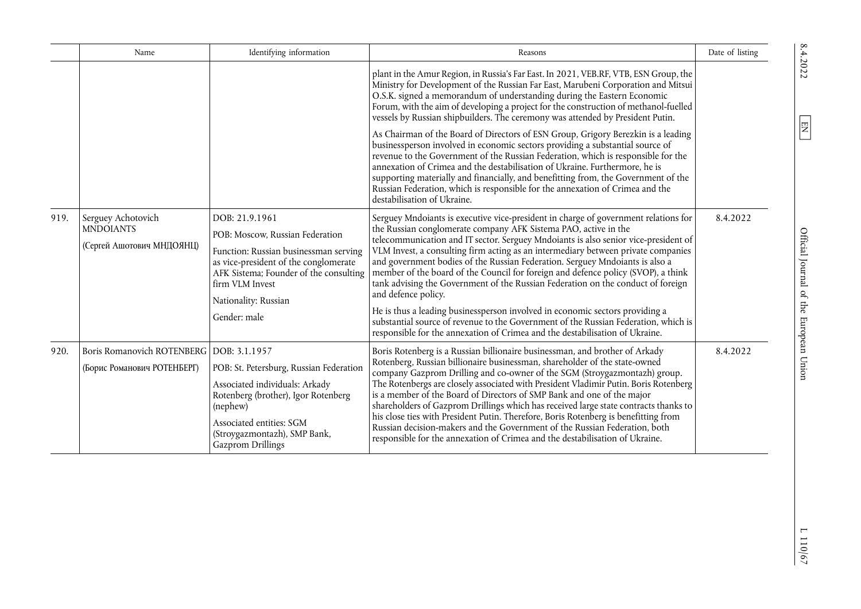|      | Name                                                                      | Identifying information                                                                                                                                                                                                                  | Reasons                                                                                                                                                                                                                                                                                                                                                                                                                                                                                                                                                                                                                                                                                                                                                                                                                                                                   | Date of listing |
|------|---------------------------------------------------------------------------|------------------------------------------------------------------------------------------------------------------------------------------------------------------------------------------------------------------------------------------|---------------------------------------------------------------------------------------------------------------------------------------------------------------------------------------------------------------------------------------------------------------------------------------------------------------------------------------------------------------------------------------------------------------------------------------------------------------------------------------------------------------------------------------------------------------------------------------------------------------------------------------------------------------------------------------------------------------------------------------------------------------------------------------------------------------------------------------------------------------------------|-----------------|
|      |                                                                           |                                                                                                                                                                                                                                          | plant in the Amur Region, in Russia's Far East. In 2021, VEB.RF, VTB, ESN Group, the<br>Ministry for Development of the Russian Far East, Marubeni Corporation and Mitsui<br>O.S.K. signed a memorandum of understanding during the Eastern Economic<br>Forum, with the aim of developing a project for the construction of methanol-fuelled<br>vessels by Russian shipbuilders. The ceremony was attended by President Putin.                                                                                                                                                                                                                                                                                                                                                                                                                                            |                 |
|      |                                                                           |                                                                                                                                                                                                                                          | As Chairman of the Board of Directors of ESN Group, Grigory Berezkin is a leading<br>businessperson involved in economic sectors providing a substantial source of<br>revenue to the Government of the Russian Federation, which is responsible for the<br>annexation of Crimea and the destabilisation of Ukraine. Furthermore, he is<br>supporting materially and financially, and benefitting from, the Government of the<br>Russian Federation, which is responsible for the annexation of Crimea and the<br>destabilisation of Ukraine.                                                                                                                                                                                                                                                                                                                              |                 |
| 919. | Serguey Achotovich<br><b>MNDOIANTS</b><br>(Сергей Ашотович МНДОЯНЦ)       | DOB: 21.9.1961<br>POB: Moscow, Russian Federation<br>Function: Russian businessman serving<br>as vice-president of the conglomerate<br>AFK Sistema; Founder of the consulting<br>firm VLM Invest<br>Nationality: Russian<br>Gender: male | Serguey Mndoiants is executive vice-president in charge of government relations for<br>the Russian conglomerate company AFK Sistema PAO, active in the<br>telecommunication and IT sector. Serguey Mndoiants is also senior vice-president of<br>VLM Invest, a consulting firm acting as an intermediary between private companies<br>and government bodies of the Russian Federation. Serguey Mndoiants is also a<br>member of the board of the Council for foreign and defence policy (SVOP), a think<br>tank advising the Government of the Russian Federation on the conduct of foreign<br>and defence policy.<br>He is thus a leading businessperson involved in economic sectors providing a<br>substantial source of revenue to the Government of the Russian Federation, which is<br>responsible for the annexation of Crimea and the destabilisation of Ukraine. | 8.4.2022        |
| 920. | Boris Romanovich ROTENBERG   DOB: 3.1.1957<br>(Борис Романович РОТЕНБЕРГ) | POB: St. Petersburg, Russian Federation<br>Associated individuals: Arkady<br>Rotenberg (brother), Igor Rotenberg<br>(nephew)<br>Associated entities: SGM<br>(Stroygazmontazh), SMP Bank,<br>Gazprom Drillings                            | Boris Rotenberg is a Russian billionaire businessman, and brother of Arkady<br>Rotenberg, Russian billionaire businessman, shareholder of the state-owned<br>company Gazprom Drilling and co-owner of the SGM (Stroygazmontazh) group.<br>The Rotenbergs are closely associated with President Vladimir Putin. Boris Rotenberg<br>is a member of the Board of Directors of SMP Bank and one of the major<br>shareholders of Gazprom Drillings which has received large state contracts thanks to<br>his close ties with President Putin. Therefore, Boris Rotenberg is benefitting from<br>Russian decision-makers and the Government of the Russian Federation, both<br>responsible for the annexation of Crimea and the destabilisation of Ukraine.                                                                                                                     | 8.4.2022        |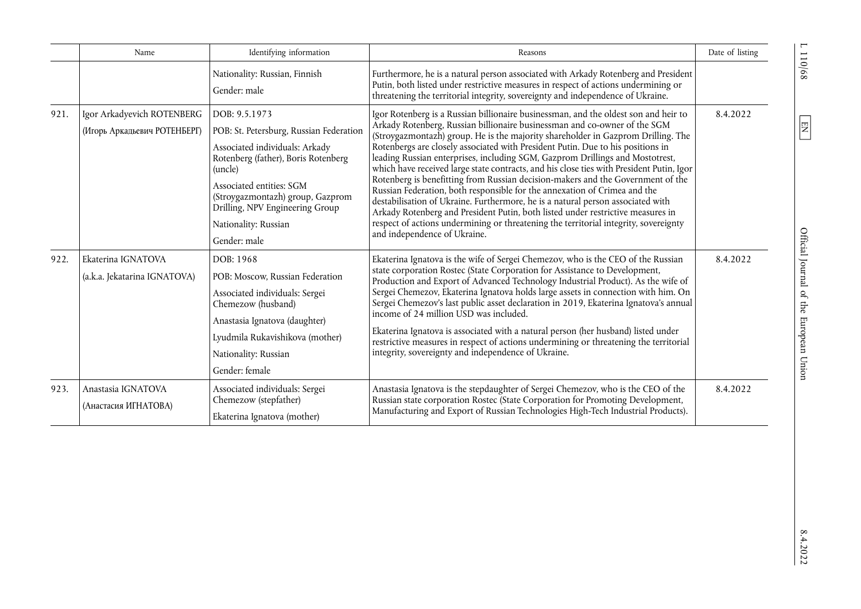|      | Name                                                       | Identifying information                                                                                                                                                                                                                                                                 | Reasons                                                                                                                                                                                                                                                                                                                                                                                                                                                                                                                                                                                                                                                                                                                                                                                                                                                                                                                                                                            | Date of listing |
|------|------------------------------------------------------------|-----------------------------------------------------------------------------------------------------------------------------------------------------------------------------------------------------------------------------------------------------------------------------------------|------------------------------------------------------------------------------------------------------------------------------------------------------------------------------------------------------------------------------------------------------------------------------------------------------------------------------------------------------------------------------------------------------------------------------------------------------------------------------------------------------------------------------------------------------------------------------------------------------------------------------------------------------------------------------------------------------------------------------------------------------------------------------------------------------------------------------------------------------------------------------------------------------------------------------------------------------------------------------------|-----------------|
|      |                                                            | Nationality: Russian, Finnish<br>Gender: male                                                                                                                                                                                                                                           | Furthermore, he is a natural person associated with Arkady Rotenberg and President<br>Putin, both listed under restrictive measures in respect of actions undermining or<br>threatening the territorial integrity, sovereignty and independence of Ukraine.                                                                                                                                                                                                                                                                                                                                                                                                                                                                                                                                                                                                                                                                                                                        |                 |
| 921. | Igor Arkadyevich ROTENBERG<br>(Игорь Аркадьевич РОТЕНБЕРГ) | DOB: 9.5.1973<br>POB: St. Petersburg, Russian Federation<br>Associated individuals: Arkady<br>Rotenberg (father), Boris Rotenberg<br>(uncle)<br>Associated entities: SGM<br>(Stroygazmontazh) group, Gazprom<br>Drilling, NPV Engineering Group<br>Nationality: Russian<br>Gender: male | Igor Rotenberg is a Russian billionaire businessman, and the oldest son and heir to<br>Arkady Rotenberg, Russian billionaire businessman and co-owner of the SGM<br>(Stroygazmontazh) group. He is the majority shareholder in Gazprom Drilling. The<br>Rotenbergs are closely associated with President Putin. Due to his positions in<br>leading Russian enterprises, including SGM, Gazprom Drillings and Mostotrest,<br>which have received large state contracts, and his close ties with President Putin, Igor<br>Rotenberg is benefitting from Russian decision-makers and the Government of the<br>Russian Federation, both responsible for the annexation of Crimea and the<br>destabilisation of Ukraine. Furthermore, he is a natural person associated with<br>Arkady Rotenberg and President Putin, both listed under restrictive measures in<br>respect of actions undermining or threatening the territorial integrity, sovereignty<br>and independence of Ukraine. | 8.4.2022        |
| 922. | Ekaterina IGNATOVA<br>(a.k.a. Jekatarina IGNATOVA)         | DOB: 1968<br>POB: Moscow, Russian Federation<br>Associated individuals: Sergei<br>Chemezow (husband)<br>Anastasia Ignatova (daughter)<br>Lyudmila Rukavishikova (mother)<br>Nationality: Russian<br>Gender: female                                                                      | Ekaterina Ignatova is the wife of Sergei Chemezov, who is the CEO of the Russian<br>state corporation Rostec (State Corporation for Assistance to Development,<br>Production and Export of Advanced Technology Industrial Product). As the wife of<br>Sergei Chemezov, Ekaterina Ignatova holds large assets in connection with him. On<br>Sergei Chemezov's last public asset declaration in 2019, Ekaterina Ignatova's annual<br>income of 24 million USD was included.<br>Ekaterina Ignatova is associated with a natural person (her husband) listed under<br>restrictive measures in respect of actions undermining or threatening the territorial<br>integrity, sovereignty and independence of Ukraine.                                                                                                                                                                                                                                                                     | 8.4.2022        |
| 923. | Anastasia IGNATOVA<br>(Анастасия ИГНАТОВА)                 | Associated individuals: Sergei<br>Chemezow (stepfather)<br>Ekaterina Ignatova (mother)                                                                                                                                                                                                  | Anastasia Ignatova is the stepdaughter of Sergei Chemezov, who is the CEO of the<br>Russian state corporation Rostec (State Corporation for Promoting Development,<br>Manufacturing and Export of Russian Technologies High-Tech Industrial Products).                                                                                                                                                                                                                                                                                                                                                                                                                                                                                                                                                                                                                                                                                                                             | 8.4.2022        |

110/68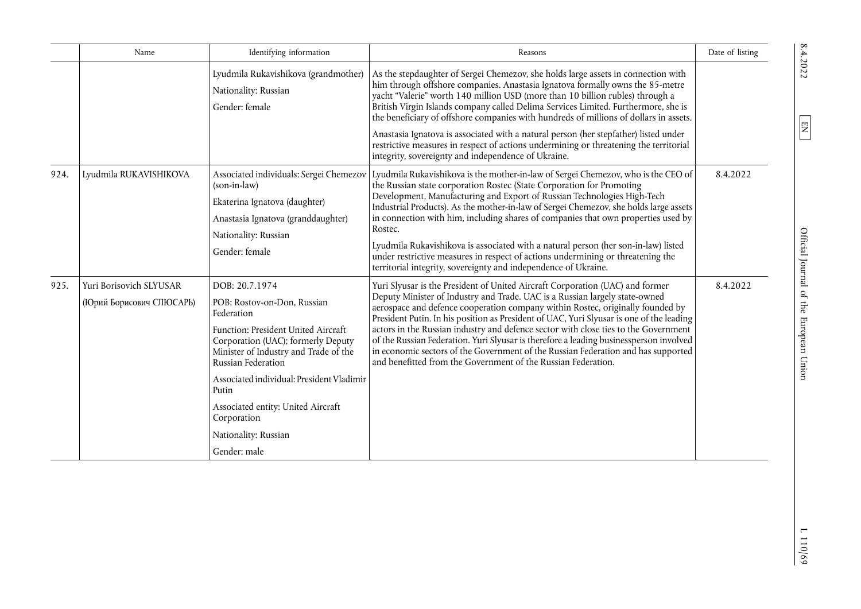|      | Name                                                | Identifying information                                                                                                                                                                                                                                                                                                                                    | Reasons                                                                                                                                                                                                                                                                                                                                                                                                                                                                                                                                                                                                                                                                           | Date of listing |
|------|-----------------------------------------------------|------------------------------------------------------------------------------------------------------------------------------------------------------------------------------------------------------------------------------------------------------------------------------------------------------------------------------------------------------------|-----------------------------------------------------------------------------------------------------------------------------------------------------------------------------------------------------------------------------------------------------------------------------------------------------------------------------------------------------------------------------------------------------------------------------------------------------------------------------------------------------------------------------------------------------------------------------------------------------------------------------------------------------------------------------------|-----------------|
|      |                                                     | Lyudmila Rukavishikova (grandmother)<br>Nationality: Russian<br>Gender: female                                                                                                                                                                                                                                                                             | As the stepdaughter of Sergei Chemezov, she holds large assets in connection with<br>him through offshore companies. Anastasia Ignatova formally owns the 85-metre<br>yacht "Valerie" worth 140 million USD (more than 10 billion rubles) through a<br>British Virgin Islands company called Delima Services Limited. Furthermore, she is<br>the beneficiary of offshore companies with hundreds of millions of dollars in assets.                                                                                                                                                                                                                                                |                 |
|      |                                                     |                                                                                                                                                                                                                                                                                                                                                            | Anastasia Ignatova is associated with a natural person (her stepfather) listed under<br>restrictive measures in respect of actions undermining or threatening the territorial<br>integrity, sovereignty and independence of Ukraine.                                                                                                                                                                                                                                                                                                                                                                                                                                              |                 |
| 924. | Lyudmila RUKAVISHIKOVA                              | Associated individuals: Sergei Chemezov<br>(son-in-law)<br>Ekaterina Ignatova (daughter)<br>Anastasia Ignatova (granddaughter)<br>Nationality: Russian<br>Gender: female                                                                                                                                                                                   | Lyudmila Rukavishikova is the mother-in-law of Sergei Chemezov, who is the CEO of<br>the Russian state corporation Rostec (State Corporation for Promoting<br>Development, Manufacturing and Export of Russian Technologies High-Tech<br>Industrial Products). As the mother-in-law of Sergei Chemezov, she holds large assets<br>in connection with him, including shares of companies that own properties used by<br>Rostec.<br>Lyudmila Rukavishikova is associated with a natural person (her son-in-law) listed<br>under restrictive measures in respect of actions undermining or threatening the<br>territorial integrity, sovereignty and independence of Ukraine.        | 8.4.2022        |
| 925. | Yuri Borisovich SLYUSAR<br>(Юрий Борисович СПЮСАРЬ) | DOB: 20.7.1974<br>POB: Rostov-on-Don, Russian<br>Federation<br>Function: President United Aircraft<br>Corporation (UAC); formerly Deputy<br>Minister of Industry and Trade of the<br>Russian Federation<br>Associated individual: President Vladimir<br>Putin<br>Associated entity: United Aircraft<br>Corporation<br>Nationality: Russian<br>Gender: male | Yuri Slyusar is the President of United Aircraft Corporation (UAC) and former<br>Deputy Minister of Industry and Trade. UAC is a Russian largely state-owned<br>aerospace and defence cooperation company within Rostec, originally founded by<br>President Putin. In his position as President of UAC, Yuri Slyusar is one of the leading<br>actors in the Russian industry and defence sector with close ties to the Government<br>of the Russian Federation. Yuri Slyusar is therefore a leading businessperson involved<br>in economic sectors of the Government of the Russian Federation and has supported<br>and benefitted from the Government of the Russian Federation. | 8.4.2022        |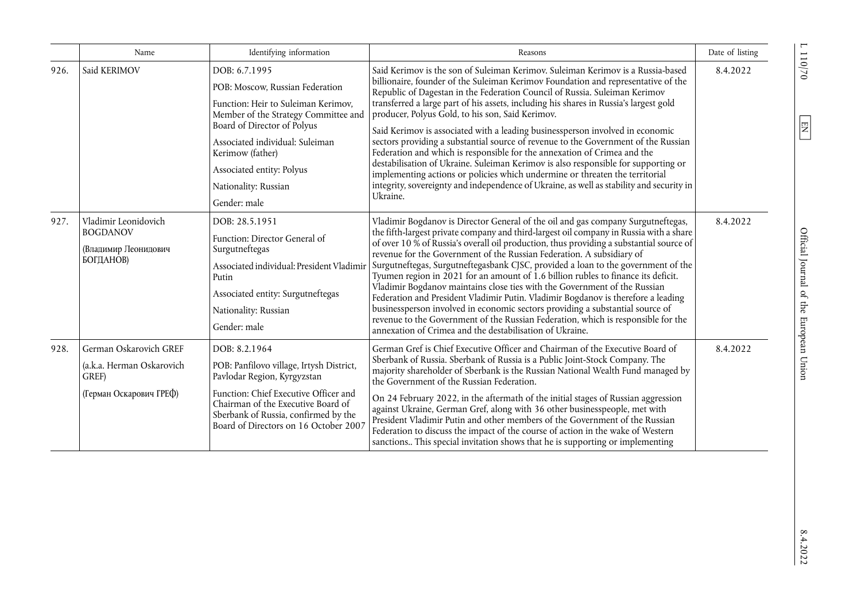|      | Name                                                                                    | Identifying information                                                                                                                                                                                                                                                                    | Reasons                                                                                                                                                                                                                                                                                                                                                                                                                                                                                                                                                                                                                                                                                                                                                                                                                                                                                                                          | Date of listing |
|------|-----------------------------------------------------------------------------------------|--------------------------------------------------------------------------------------------------------------------------------------------------------------------------------------------------------------------------------------------------------------------------------------------|----------------------------------------------------------------------------------------------------------------------------------------------------------------------------------------------------------------------------------------------------------------------------------------------------------------------------------------------------------------------------------------------------------------------------------------------------------------------------------------------------------------------------------------------------------------------------------------------------------------------------------------------------------------------------------------------------------------------------------------------------------------------------------------------------------------------------------------------------------------------------------------------------------------------------------|-----------------|
| 926. | Said KERIMOV                                                                            | DOB: 6.7.1995<br>POB: Moscow, Russian Federation<br>Function: Heir to Suleiman Kerimov,<br>Member of the Strategy Committee and<br>Board of Director of Polyus<br>Associated individual: Suleiman<br>Kerimow (father)<br>Associated entity: Polyus<br>Nationality: Russian<br>Gender: male | Said Kerimov is the son of Suleiman Kerimov. Suleiman Kerimov is a Russia-based<br>billionaire, founder of the Suleiman Kerimov Foundation and representative of the<br>Republic of Dagestan in the Federation Council of Russia. Suleiman Kerimov<br>transferred a large part of his assets, including his shares in Russia's largest gold<br>producer, Polyus Gold, to his son, Said Kerimov.<br>Said Kerimov is associated with a leading businessperson involved in economic<br>sectors providing a substantial source of revenue to the Government of the Russian<br>Federation and which is responsible for the annexation of Crimea and the<br>destabilisation of Ukraine. Suleiman Kerimov is also responsible for supporting or<br>implementing actions or policies which undermine or threaten the territorial<br>integrity, sovereignty and independence of Ukraine, as well as stability and security in<br>Ukraine. | 8.4.2022        |
| 927. | Vladimir Leonidovich<br><b>BOGDANOV</b><br>(Владимир Леонидович<br>БОГДАНОВ)            | DOB: 28.5.1951<br>Function: Director General of<br>Surgutneftegas<br>Associated individual: President Vladimir<br>Putin<br>Associated entity: Surgutneftegas<br>Nationality: Russian<br>Gender: male                                                                                       | Vladimir Bogdanov is Director General of the oil and gas company Surgutneftegas,<br>the fifth-largest private company and third-largest oil company in Russia with a share<br>of over 10 % of Russia's overall oil production, thus providing a substantial source of<br>revenue for the Government of the Russian Federation. A subsidiary of<br>Surgutneftegas, Surgutneftegasbank CJSC, provided a loan to the government of the<br>Tyumen region in 2021 for an amount of 1.6 billion rubles to finance its deficit.<br>Vladimir Bogdanov maintains close ties with the Government of the Russian<br>Federation and President Vladimir Putin. Vladimir Bogdanov is therefore a leading<br>businessperson involved in economic sectors providing a substantial source of<br>revenue to the Government of the Russian Federation, which is responsible for the<br>annexation of Crimea and the destabilisation of Ukraine.     | 8.4.2022        |
| 928. | German Oskarovich GREF<br>(a.k.a. Herman Oskarovich<br>GREF)<br>(Герман Оскарович ГРЕФ) | DOB: 8.2.1964<br>POB: Panfilovo village, Irtysh District,<br>Pavlodar Region, Kyrgyzstan<br>Function: Chief Executive Officer and<br>Chairman of the Executive Board of<br>Sberbank of Russia, confirmed by the<br>Board of Directors on 16 October 2007                                   | German Gref is Chief Executive Officer and Chairman of the Executive Board of<br>Sberbank of Russia. Sberbank of Russia is a Public Joint-Stock Company. The<br>majority shareholder of Sberbank is the Russian National Wealth Fund managed by<br>the Government of the Russian Federation.<br>On 24 February 2022, in the aftermath of the initial stages of Russian aggression<br>against Ukraine, German Gref, along with 36 other businesspeople, met with<br>President Vladimir Putin and other members of the Government of the Russian<br>Federation to discuss the impact of the course of action in the wake of Western<br>sanctions This special invitation shows that he is supporting or implementing                                                                                                                                                                                                               | 8.4.2022        |

 $\overline{0/011}$  1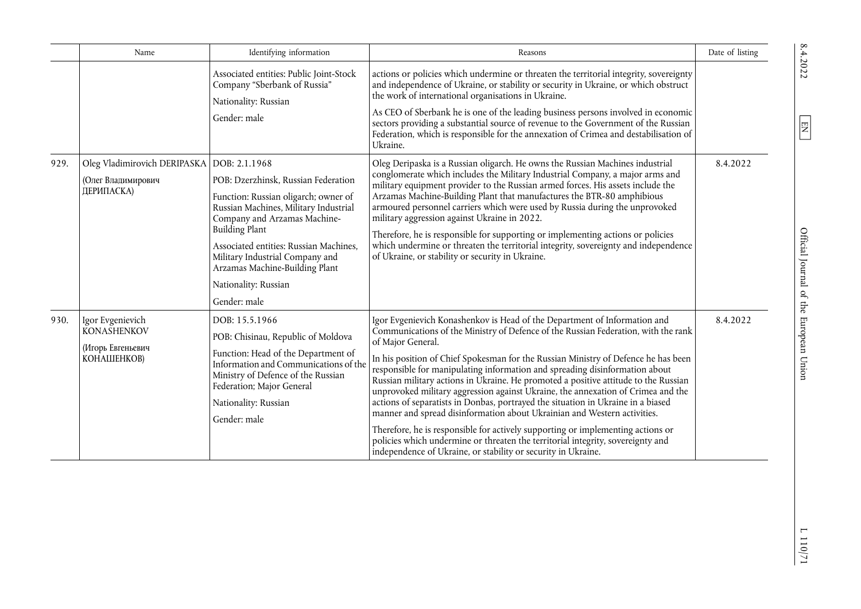|      | Name                                                                       | Identifying information                                                                                                                                                                                                                                                                                                                               | Reasons                                                                                                                                                                                                                                                                                                                                                                                                                                                                                                                                                                                                                                                                                                                                                                                                                                                                                                                                     | Date of listing |
|------|----------------------------------------------------------------------------|-------------------------------------------------------------------------------------------------------------------------------------------------------------------------------------------------------------------------------------------------------------------------------------------------------------------------------------------------------|---------------------------------------------------------------------------------------------------------------------------------------------------------------------------------------------------------------------------------------------------------------------------------------------------------------------------------------------------------------------------------------------------------------------------------------------------------------------------------------------------------------------------------------------------------------------------------------------------------------------------------------------------------------------------------------------------------------------------------------------------------------------------------------------------------------------------------------------------------------------------------------------------------------------------------------------|-----------------|
|      |                                                                            | Associated entities: Public Joint-Stock<br>Company "Sberbank of Russia"<br>Nationality: Russian<br>Gender: male                                                                                                                                                                                                                                       | actions or policies which undermine or threaten the territorial integrity, sovereignty<br>and independence of Ukraine, or stability or security in Ukraine, or which obstruct<br>the work of international organisations in Ukraine.<br>As CEO of Sberbank he is one of the leading business persons involved in economic<br>sectors providing a substantial source of revenue to the Government of the Russian<br>Federation, which is responsible for the annexation of Crimea and destabilisation of<br>Ukraine.                                                                                                                                                                                                                                                                                                                                                                                                                         |                 |
| 929. | Oleg Vladimirovich DERIPASKA<br>(Олег Владимирович<br>ДЕРИПАСКА)           | DOB: 2.1.1968<br>POB: Dzerzhinsk, Russian Federation<br>Function: Russian oligarch; owner of<br>Russian Machines, Military Industrial<br>Company and Arzamas Machine-<br><b>Building Plant</b><br>Associated entities: Russian Machines,<br>Military Industrial Company and<br>Arzamas Machine-Building Plant<br>Nationality: Russian<br>Gender: male | Oleg Deripaska is a Russian oligarch. He owns the Russian Machines industrial<br>conglomerate which includes the Military Industrial Company, a major arms and<br>military equipment provider to the Russian armed forces. His assets include the<br>Arzamas Machine-Building Plant that manufactures the BTR-80 amphibious<br>armoured personnel carriers which were used by Russia during the unprovoked<br>military aggression against Ukraine in 2022.<br>Therefore, he is responsible for supporting or implementing actions or policies<br>which undermine or threaten the territorial integrity, sovereignty and independence<br>of Ukraine, or stability or security in Ukraine.                                                                                                                                                                                                                                                    | 8.4.2022        |
| 930. | Igor Evgenievich<br>KONASHENKOV<br>(Игорь Евгеньевич<br><b>КОНАШЕНКОВ)</b> | DOB: 15.5.1966<br>POB: Chisinau, Republic of Moldova<br>Function: Head of the Department of<br>Information and Communications of the<br>Ministry of Defence of the Russian<br>Federation; Major General<br>Nationality: Russian<br>Gender: male                                                                                                       | Igor Evgenievich Konashenkov is Head of the Department of Information and<br>Communications of the Ministry of Defence of the Russian Federation, with the rank<br>of Major General.<br>In his position of Chief Spokesman for the Russian Ministry of Defence he has been<br>responsible for manipulating information and spreading disinformation about<br>Russian military actions in Ukraine. He promoted a positive attitude to the Russian<br>unprovoked military aggression against Ukraine, the annexation of Crimea and the<br>actions of separatists in Donbas, portrayed the situation in Ukraine in a biased<br>manner and spread disinformation about Ukrainian and Western activities.<br>Therefore, he is responsible for actively supporting or implementing actions or<br>policies which undermine or threaten the territorial integrity, sovereignty and<br>independence of Ukraine, or stability or security in Ukraine. | 8.4.2022        |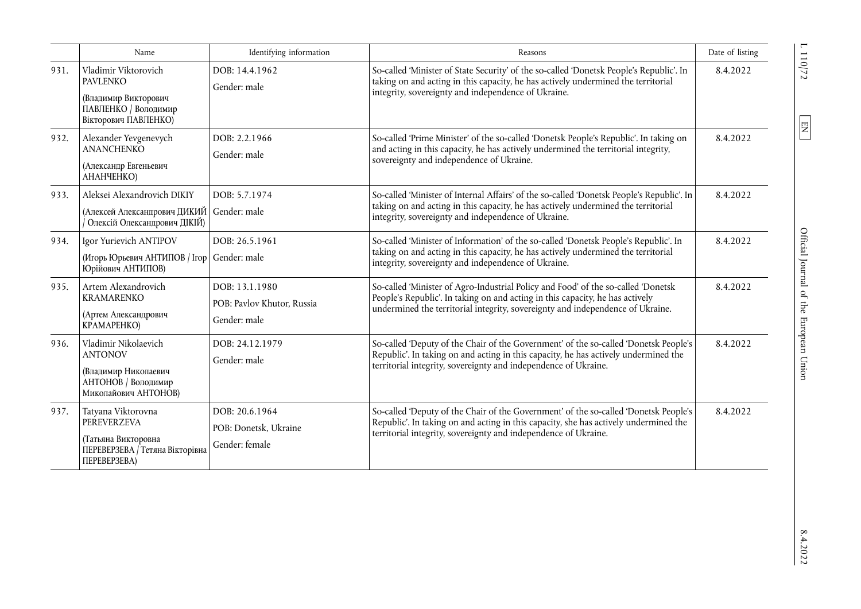|      | Name                                                                                                             | Identifying information                                      | Reasons                                                                                                                                                                                                                                              | Date of listing |
|------|------------------------------------------------------------------------------------------------------------------|--------------------------------------------------------------|------------------------------------------------------------------------------------------------------------------------------------------------------------------------------------------------------------------------------------------------------|-----------------|
| 931. | Vladimir Viktorovich<br><b>PAVLENKO</b><br>(Владимир Викторович<br>ПАВЛЕНКО / Володимир<br>Вікторович ПАВЛЕНКО)  | DOB: 14.4.1962<br>Gender: male                               | So-called 'Minister of State Security' of the so-called 'Donetsk People's Republic'. In<br>taking on and acting in this capacity, he has actively undermined the territorial<br>integrity, sovereignty and independence of Ukraine.                  | 8.4.2022        |
| 932. | Alexander Yevgenevych<br>ANANCHENKO<br>(Александр Евгеньевич<br>АНАНЧЕНКО)                                       | DOB: 2.2.1966<br>Gender: male                                | So-called 'Prime Minister' of the so-called 'Donetsk People's Republic'. In taking on<br>and acting in this capacity, he has actively undermined the territorial integrity,<br>sovereignty and independence of Ukraine.                              | 8.4.2022        |
| 933. | Aleksei Alexandrovich DIKIY<br>(Алексей Александрович ДИКИЙ<br>Олексій Олександрович ДІКІЙ)                      | DOB: 5.7.1974<br>Gender: male                                | So-called 'Minister of Internal Affairs' of the so-called 'Donetsk People's Republic'. In<br>taking on and acting in this capacity, he has actively undermined the territorial<br>integrity, sovereignty and independence of Ukraine.                | 8.4.2022        |
| 934. | Igor Yurievich ANTIPOV<br>(Игорь Юрьевич АНТИПОВ / Ігор<br>Юрійович АНТИПОВ)                                     | DOB: 26.5.1961<br>Gender: male                               | So-called 'Minister of Information' of the so-called 'Donetsk People's Republic'. In<br>taking on and acting in this capacity, he has actively undermined the territorial<br>integrity, sovereignty and independence of Ukraine.                     | 8.4.2022        |
| 935. | Artem Alexandrovich<br><b>KRAMARENKO</b><br>(Артем Александрович<br>KPAMAPEHKO)                                  | DOB: 13.1.1980<br>POB: Pavlov Khutor, Russia<br>Gender: male | So-called 'Minister of Agro-Industrial Policy and Food' of the so-called 'Donetsk<br>People's Republic'. In taking on and acting in this capacity, he has actively<br>undermined the territorial integrity, sovereignty and independence of Ukraine. | 8.4.2022        |
| 936. | Vladimir Nikolaevich<br><b>ANTONOV</b><br>(Владимир Николаевич<br>АНТОНОВ / Володимир<br>Миколайович АНТОНОВ)    | DOB: 24.12.1979<br>Gender: male                              | So-called 'Deputy of the Chair of the Government' of the so-called 'Donetsk People's<br>Republic'. In taking on and acting in this capacity, he has actively undermined the<br>territorial integrity, sovereignty and independence of Ukraine.       | 8.4.2022        |
| 937. | Tatyana Viktorovna<br>PEREVERZEVA<br>(Татьяна Викторовна<br>ПЕРЕВЕРЗЕВА Гетяна Вікторівна<br><b>ΠΕΡΕΒΕΡ3ΕΒΑ)</b> | DOB: 20.6.1964<br>POB: Donetsk, Ukraine<br>Gender: female    | So-called 'Deputy of the Chair of the Government' of the so-called 'Donetsk People's<br>Republic'. In taking on and acting in this capacity, she has actively undermined the<br>territorial integrity, sovereignty and independence of Ukraine.      | 8.4.2022        |

 $\frac{110}{2}$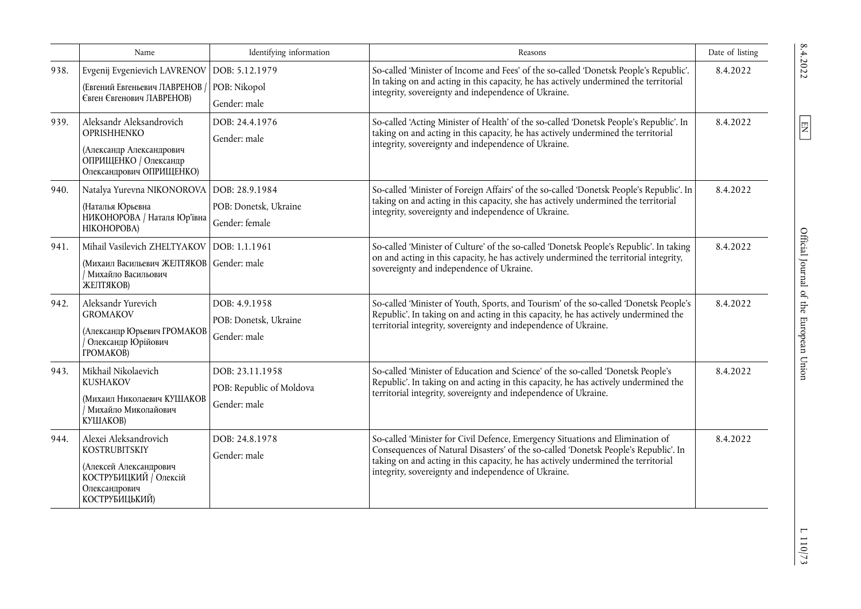|      | Name                                                                                                                                 | Identifying information                                     | Reasons                                                                                                                                                                                                                                                                                                           | Date of listing |
|------|--------------------------------------------------------------------------------------------------------------------------------------|-------------------------------------------------------------|-------------------------------------------------------------------------------------------------------------------------------------------------------------------------------------------------------------------------------------------------------------------------------------------------------------------|-----------------|
| 938. | Evgenij Evgenievich LAVRENOV<br>(Евгений Евгеньевич ЛАВРЕНОВ<br><b>Євген Євгенович ЛАВРЕНОВ)</b>                                     | DOB: 5.12.1979<br>POB: Nikopol<br>Gender: male              | So-called 'Minister of Income and Fees' of the so-called 'Donetsk People's Republic'.<br>In taking on and acting in this capacity, he has actively undermined the territorial<br>integrity, sovereignty and independence of Ukraine.                                                                              | 8.4.2022        |
| 939. | Aleksandr Aleksandrovich<br><b>OPRISHHENKO</b><br>(Александр Александрович<br>ОПРИЩЕНКО / Олександр<br>Олександрович ОПРИЩЕНКО)      | DOB: 24.4.1976<br>Gender: male                              | So-called 'Acting Minister of Health' of the so-called 'Donetsk People's Republic'. In<br>taking on and acting in this capacity, he has actively undermined the territorial<br>integrity, sovereignty and independence of Ukraine.                                                                                | 8.4.2022        |
| 940. | Natalya Yurevna NIKONOROVA<br>(Наталья Юрьевна<br>НИКОНОРОВА / Наталя Юр'ївна<br>НІКОНОРОВА)                                         | DOB: 28.9.1984<br>POB: Donetsk, Ukraine<br>Gender: female   | So-called 'Minister of Foreign Affairs' of the so-called 'Donetsk People's Republic'. In<br>taking on and acting in this capacity, she has actively undermined the territorial<br>integrity, sovereignty and independence of Ukraine.                                                                             | 8.4.2022        |
| 941. | Mihail Vasilevich ZHELTYAKOV<br>(Михаил Васильевич ЖЕЛТЯКОВ<br>Иихайло Васильович<br>ЖЕЛТЯКОВ)                                       | DOB: 1.1.1961<br>Gender: male                               | So-called 'Minister of Culture' of the so-called 'Donetsk People's Republic'. In taking<br>on and acting in this capacity, he has actively undermined the territorial integrity,<br>sovereignty and independence of Ukraine.                                                                                      | 8.4.2022        |
| 942. | Aleksandr Yurevich<br><b>GROMAKOV</b><br>(Александр Юрьевич ГРОМАКОВ<br>Олександр Юрійович<br><b>TPOMAKOB</b> )                      | DOB: 4.9.1958<br>POB: Donetsk, Ukraine<br>Gender: male      | So-called 'Minister of Youth, Sports, and Tourism' of the so-called 'Donetsk People's<br>Republic'. In taking on and acting in this capacity, he has actively undermined the<br>territorial integrity, sovereignty and independence of Ukraine.                                                                   | 8.4.2022        |
| 943. | Mikhail Nikolaevich<br><b>KUSHAKOV</b><br>(Михаил Николаевич КУШАКОВ<br>/ Михайло Миколайович<br>КУШАКОВ)                            | DOB: 23.11.1958<br>POB: Republic of Moldova<br>Gender: male | So-called 'Minister of Education and Science' of the so-called 'Donetsk People's<br>Republic'. In taking on and acting in this capacity, he has actively undermined the<br>territorial integrity, sovereignty and independence of Ukraine.                                                                        | 8.4.2022        |
| 944. | Alexei Aleksandrovich<br><b>KOSTRUBITSKIY</b><br>(Алексей Александрович<br>КОСТРУБИЦКИЙ / Олексій<br>Олександрович<br>КОСТРУБИЦЬКИЙ) | DOB: 24.8.1978<br>Gender: male                              | So-called 'Minister for Civil Defence, Emergency Situations and Elimination of<br>Consequences of Natural Disasters' of the so-called 'Donetsk People's Republic'. In<br>taking on and acting in this capacity, he has actively undermined the territorial<br>integrity, sovereignty and independence of Ukraine. | 8.4.2022        |

 $\boxed{\text{EN}}$ 

en  $\frac{100}{10}$  T 110/73.<br>
S. 4.2022 L  $\frac{100}{10}$  T 110/73. Official Journal of the European Union

 $\;$  1 $\;10/73$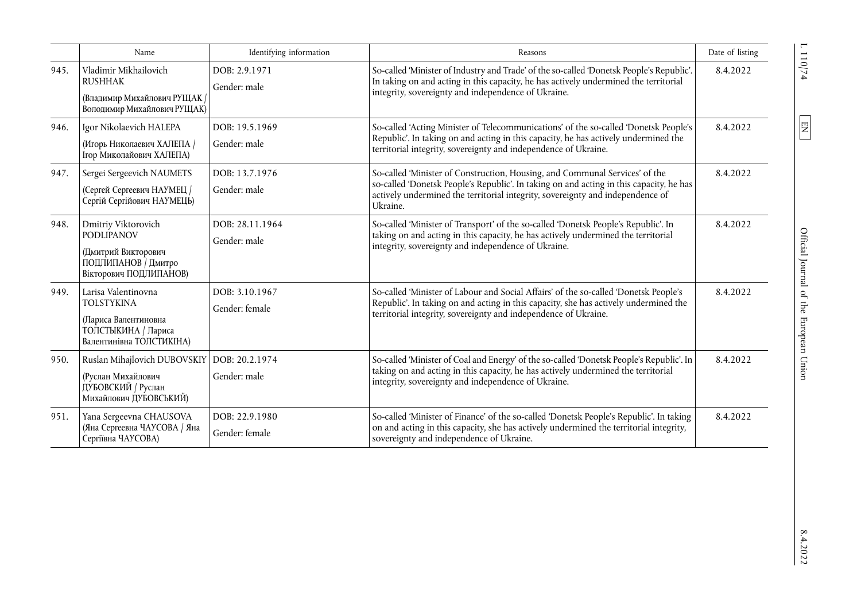|      | Name                                                                                                                | Identifying information          | Reasons                                                                                                                                                                                                                                                              | Date of listing |
|------|---------------------------------------------------------------------------------------------------------------------|----------------------------------|----------------------------------------------------------------------------------------------------------------------------------------------------------------------------------------------------------------------------------------------------------------------|-----------------|
| 945. | Vladimir Mikhailovich<br><b>RUSHHAK</b><br>(Владимир Михайлович РУЩАК /<br>Володимир Михайлович РУЩАК)              | DOB: 2.9.1971<br>Gender: male    | So-called 'Minister of Industry and Trade' of the so-called 'Donetsk People's Republic'.<br>In taking on and acting in this capacity, he has actively undermined the territorial<br>integrity, sovereignty and independence of Ukraine.                              | 8.4.2022        |
| 946. | Igor Nikolaevich HALEPA<br>(Игорь Николаевич ХАЛЕПА /<br>Ігор Миколайович ХАЛЕПА)                                   | DOB: 19.5.1969<br>Gender: male   | So-called 'Acting Minister of Telecommunications' of the so-called 'Donetsk People's<br>Republic'. In taking on and acting in this capacity, he has actively undermined the<br>territorial integrity, sovereignty and independence of Ukraine.                       | 8.4.2022        |
| 947. | Sergei Sergeevich NAUMETS<br>(Сергей Сергеевич НАУМЕЦ /<br>Сергій Сергійович НАУМЕЦЬ)                               | DOB: 13.7.1976<br>Gender: male   | So-called 'Minister of Construction, Housing, and Communal Services' of the<br>so-called 'Donetsk People's Republic'. In taking on and acting in this capacity, he has<br>actively undermined the territorial integrity, sovereignty and independence of<br>Ukraine. | 8.4.2022        |
| 948. | Dmitriy Viktorovich<br><b>PODLIPANOV</b><br>(Дмитрий Викторович<br>ПОДЛИПАНОВ / Дмитро<br>Вікторович ПОДЛИПАНОВ)    | DOB: 28.11.1964<br>Gender: male  | So-called 'Minister of Transport' of the so-called 'Donetsk People's Republic'. In<br>taking on and acting in this capacity, he has actively undermined the territorial<br>integrity, sovereignty and independence of Ukraine.                                       | 8.4.2022        |
| 949. | Larisa Valentinovna<br><b>TOLSTYKINA</b><br>(Лариса Валентиновна<br>ТОЛСТЫКИНА / Лариса<br>Валентинівна ТОЛСТИКІНА) | DOB: 3.10.1967<br>Gender: female | So-called 'Minister of Labour and Social Affairs' of the so-called 'Donetsk People's<br>Republic'. In taking on and acting in this capacity, she has actively undermined the<br>territorial integrity, sovereignty and independence of Ukraine.                      | 8.4.2022        |
| 950. | Ruslan Mihajlovich DUBOVSKIY<br>(Руслан Михайлович<br>ДУБОВСКИЙ / Руслан<br>Михайлович ДУБОВСЬКИЙ)                  | DOB: 20.2.1974<br>Gender: male   | So-called 'Minister of Coal and Energy' of the so-called 'Donetsk People's Republic'. In<br>taking on and acting in this capacity, he has actively undermined the territorial<br>integrity, sovereignty and independence of Ukraine.                                 | 8.4.2022        |
| 951. | Yana Sergeevna CHAUSOVA<br>(Яна Сергеевна ЧАУСОВА / Яна<br>Сергіївна ЧАУСОВА)                                       | DOB: 22.9.1980<br>Gender: female | So-called 'Minister of Finance' of the so-called 'Donetsk People's Republic'. In taking<br>on and acting in this capacity, she has actively undermined the territorial integrity,<br>sovereignty and independence of Ukraine.                                        | 8.4.2022        |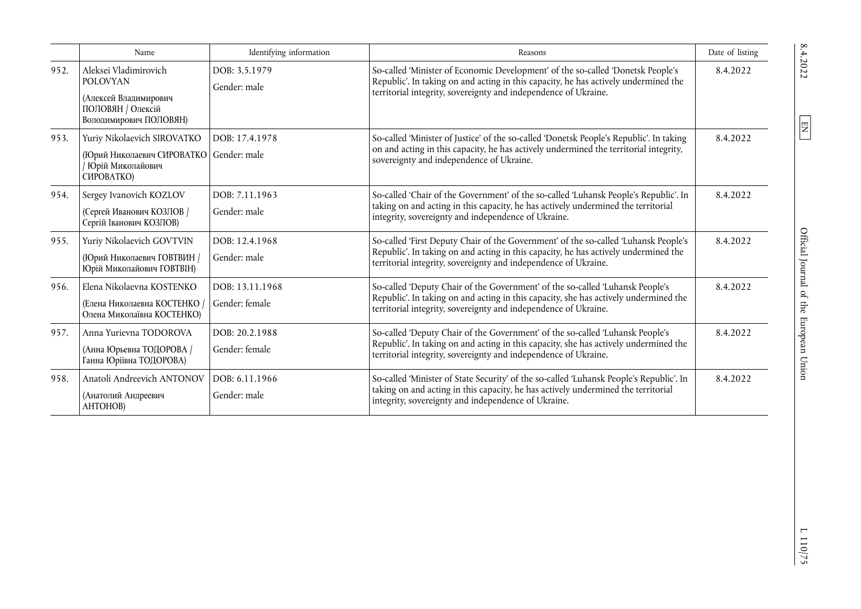|      | Name                                                                                                             | Identifying information           | Reasons                                                                                                                                                                                                                                       | Date of listing |
|------|------------------------------------------------------------------------------------------------------------------|-----------------------------------|-----------------------------------------------------------------------------------------------------------------------------------------------------------------------------------------------------------------------------------------------|-----------------|
| 952. | Aleksei Vladimirovich<br><b>POLOVYAN</b><br>(Алексей Владимирович<br>ПОЛОВЯН / Олексій<br>Володимирович ПОЛОВЯН) | DOB: 3.5.1979<br>Gender: male     | So-called 'Minister of Economic Development' of the so-called 'Donetsk People's<br>Republic'. In taking on and acting in this capacity, he has actively undermined the<br>territorial integrity, sovereignty and independence of Ukraine.     | 8.4.2022        |
| 953. | Yuriy Nikolaevich SIROVATKO<br>(Юрий Николаевич СИРОВАТКО<br>Юрій Миколайович<br>CMPOBATKO)                      | DOB: 17.4.1978<br>Gender: male    | So-called 'Minister of Justice' of the so-called 'Donetsk People's Republic'. In taking<br>on and acting in this capacity, he has actively undermined the territorial integrity,<br>sovereignty and independence of Ukraine.                  | 8.4.2022        |
| 954. | Sergey Ivanovich KOZLOV<br>(Сергей Иванович КОЗЛОВ /<br>Сергій Іванович КОЗЛОВ)                                  | DOB: 7.11.1963<br>Gender: male    | So-called 'Chair of the Government' of the so-called 'Luhansk People's Republic'. In<br>taking on and acting in this capacity, he has actively undermined the territorial<br>integrity, sovereignty and independence of Ukraine.              | 8.4.2022        |
| 955. | Yuriy Nikolaevich GOVTVIN<br>(Юрий Николаевич ГОВТВИН /<br>Юрій Миколайович ГОВТВІН)                             | DOB: 12.4.1968<br>Gender: male    | So-called 'First Deputy Chair of the Government' of the so-called 'Luhansk People's<br>Republic'. In taking on and acting in this capacity, he has actively undermined the<br>territorial integrity, sovereignty and independence of Ukraine. | 8.4.2022        |
| 956. | Elena Nikolaevna KOSTENKO<br>(Елена Николаевна КОСТЕНКО<br>Олена Миколаївна КОСТЕНКО)                            | DOB: 13.11.1968<br>Gender: female | So-called 'Deputy Chair of the Government' of the so-called 'Luhansk People's<br>Republic'. In taking on and acting in this capacity, she has actively undermined the<br>territorial integrity, sovereignty and independence of Ukraine.      | 8.4.2022        |
| 957. | Anna Yurievna TODOROVA<br>(Анна Юрьевна ТОДОРОВА /<br>Ганна Юріївна ТОДОРОВА)                                    | DOB: 20.2.1988<br>Gender: female  | So-called 'Deputy Chair of the Government' of the so-called 'Luhansk People's<br>Republic'. In taking on and acting in this capacity, she has actively undermined the<br>territorial integrity, sovereignty and independence of Ukraine.      | 8.4.2022        |
| 958. | Anatoli Andreevich ANTONOV<br>(Анатолий Андреевич<br>AHTOHOB)                                                    | DOB: 6.11.1966<br>Gender: male    | So-called 'Minister of State Security' of the so-called 'Luhansk People's Republic'. In<br>taking on and acting in this capacity, he has actively undermined the territorial<br>integrity, sovereignty and independence of Ukraine.           | 8.4.2022        |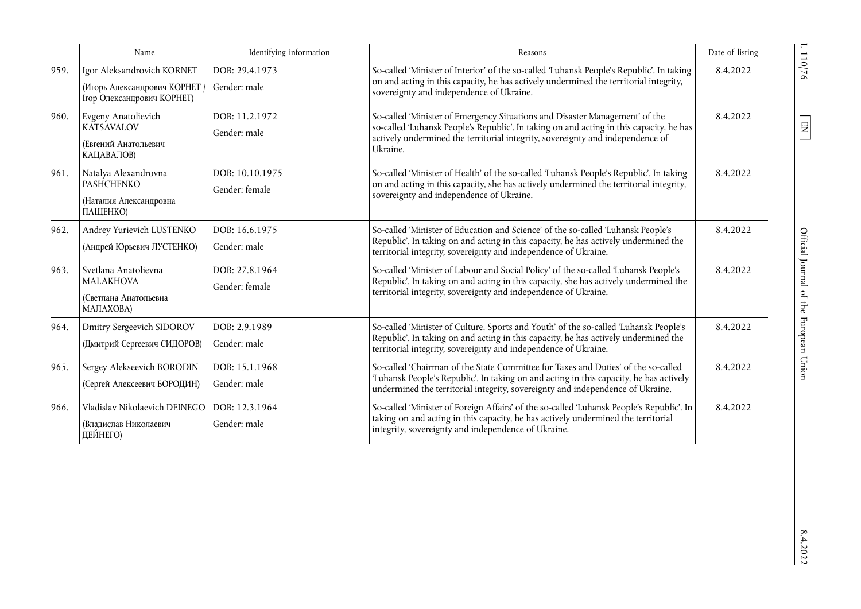|      | Name                                                                                    | Identifying information           | Reasons                                                                                                                                                                                                                                                              | Date of listing |
|------|-----------------------------------------------------------------------------------------|-----------------------------------|----------------------------------------------------------------------------------------------------------------------------------------------------------------------------------------------------------------------------------------------------------------------|-----------------|
| 959. | Igor Aleksandrovich KORNET<br>(Игорь Александрович КОРНЕТ<br>Ігор Олександрович КОРНЕТ) | DOB: 29.4.1973<br>Gender: male    | So-called 'Minister of Interior' of the so-called 'Luhansk People's Republic'. In taking<br>on and acting in this capacity, he has actively undermined the territorial integrity,<br>sovereignty and independence of Ukraine.                                        | 8.4.2022        |
| 960. | Evgeny Anatolievich<br><b>KATSAVALOV</b><br>(Евгений Анатольевич<br>КАЦАВАЛОВ)          | DOB: 11.2.1972<br>Gender: male    | So-called 'Minister of Emergency Situations and Disaster Management' of the<br>so-called 'Luhansk People's Republic'. In taking on and acting in this capacity, he has<br>actively undermined the territorial integrity, sovereignty and independence of<br>Ukraine. | 8.4.2022        |
| 961. | Natalya Alexandrovna<br><b>PASHCHENKO</b><br>(Наталия Александровна<br>ПАЩЕНКО)         | DOB: 10.10.1975<br>Gender: female | So-called 'Minister of Health' of the so-called 'Luhansk People's Republic'. In taking<br>on and acting in this capacity, she has actively undermined the territorial integrity,<br>sovereignty and independence of Ukraine.                                         | 8.4.2022        |
| 962. | Andrey Yurievich LUSTENKO<br>(Андрей Юрьевич ЛУСТЕНКО)                                  | DOB: 16.6.1975<br>Gender: male    | So-called 'Minister of Education and Science' of the so-called 'Luhansk People's<br>Republic'. In taking on and acting in this capacity, he has actively undermined the<br>territorial integrity, sovereignty and independence of Ukraine.                           | 8.4.2022        |
| 963. | Svetlana Anatolievna<br><b>MALAKHOVA</b><br>(Светлана Анатольевна<br>МАЛАХОВА)          | DOB: 27.8.1964<br>Gender: female  | So-called 'Minister of Labour and Social Policy' of the so-called 'Luhansk People's<br>Republic'. In taking on and acting in this capacity, she has actively undermined the<br>territorial integrity, sovereignty and independence of Ukraine.                       | 8.4.2022        |
| 964. | Dmitry Sergeevich SIDOROV<br>(Дмитрий Сергеевич СИДОРОВ)                                | DOB: 2.9.1989<br>Gender: male     | So-called 'Minister of Culture, Sports and Youth' of the so-called 'Luhansk People's<br>Republic'. In taking on and acting in this capacity, he has actively undermined the<br>territorial integrity, sovereignty and independence of Ukraine.                       | 8.4.2022        |
| 965. | Sergey Alekseevich BORODIN<br>(Сергей Алексеевич БОРОДИН)                               | DOB: 15.1.1968<br>Gender: male    | So-called 'Chairman of the State Committee for Taxes and Duties' of the so-called<br>'Luhansk People's Republic'. In taking on and acting in this capacity, he has actively<br>undermined the territorial integrity, sovereignty and independence of Ukraine.        | 8.4.2022        |
| 966. | Vladislav Nikolaevich DEINEGO<br>(Влапислав Николаевич<br>ДЕЙНЕГО)                      | DOB: 12.3.1964<br>Gender: male    | So-called 'Minister of Foreign Affairs' of the so-called 'Luhansk People's Republic'. In<br>taking on and acting in this capacity, he has actively undermined the territorial<br>integrity, sovereignty and independence of Ukraine.                                 | 8.4.2022        |

 $\frac{110}{26}$ 

 $\boxed{\text{EN}}$ 

 $8.4.2022$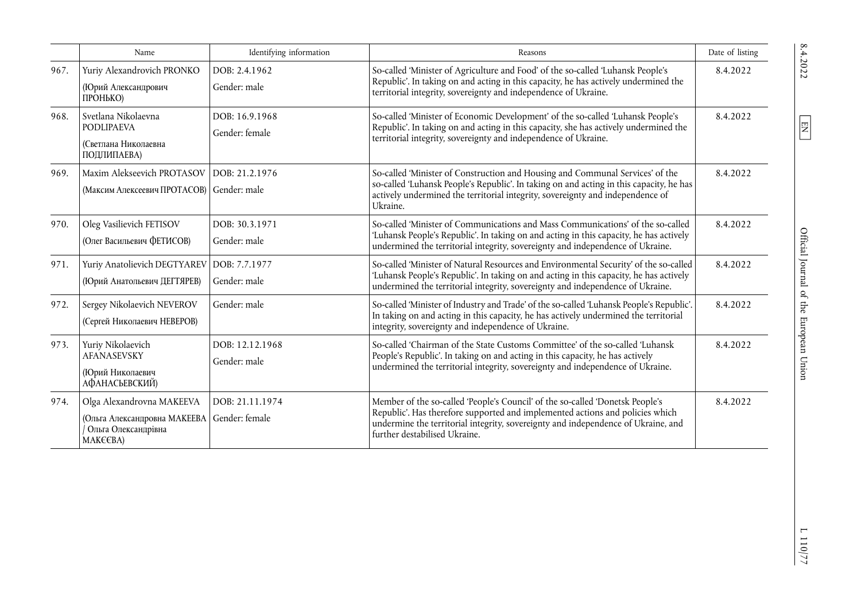|      | Name                                                                                         | Identifying information           | Reasons                                                                                                                                                                                                                                                                              | Date of listing |
|------|----------------------------------------------------------------------------------------------|-----------------------------------|--------------------------------------------------------------------------------------------------------------------------------------------------------------------------------------------------------------------------------------------------------------------------------------|-----------------|
| 967. | Yuriy Alexandrovich PRONKO<br>(Юрий Александрович<br>ПРОНЬКО)                                | DOB: 2.4.1962<br>Gender: male     | So-called 'Minister of Agriculture and Food' of the so-called 'Luhansk People's<br>Republic'. In taking on and acting in this capacity, he has actively undermined the<br>territorial integrity, sovereignty and independence of Ukraine.                                            | 8.4.2022        |
| 968. | Svetlana Nikolaevna<br><b>PODLIPAEVA</b><br>(Светлана Николаевна<br>ПОДЛИПАЕВА)              | DOB: 16.9.1968<br>Gender: female  | So-called 'Minister of Economic Development' of the so-called 'Luhansk People's<br>Republic'. In taking on and acting in this capacity, she has actively undermined the<br>territorial integrity, sovereignty and independence of Ukraine.                                           | 8.4.2022        |
| 969. | Maxim Alekseevich PROTASOV<br>(Максим Алексеевич ПРОТАСОВ)                                   | DOB: 21.2.1976<br>Gender: male    | So-called 'Minister of Construction and Housing and Communal Services' of the<br>so-called 'Luhansk People's Republic'. In taking on and acting in this capacity, he has<br>actively undermined the territorial integrity, sovereignty and independence of<br>Ukraine.               | 8.4.2022        |
| 970. | Oleg Vasilievich FETISOV<br>(Олег Васильевич ФЕТИСОВ)                                        | DOB: 30.3.1971<br>Gender: male    | So-called 'Minister of Communications and Mass Communications' of the so-called<br>'Luhansk People's Republic'. In taking on and acting in this capacity, he has actively<br>undermined the territorial integrity, sovereignty and independence of Ukraine.                          | 8.4.2022        |
| 971. | Yuriy Anatolievich DEGTYAREV<br>(Юрий Анатольевич ДЕГТЯРЕВ)                                  | DOB: 7.7.1977<br>Gender: male     | So-called 'Minister of Natural Resources and Environmental Security' of the so-called<br>'Luhansk People's Republic'. In taking on and acting in this capacity, he has actively<br>undermined the territorial integrity, sovereignty and independence of Ukraine.                    | 8.4.2022        |
| 972. | Sergey Nikolaevich NEVEROV<br>(Сергей Николаевич НЕВЕРОВ)                                    | Gender: male                      | So-called 'Minister of Industry and Trade' of the so-called 'Luhansk People's Republic'.<br>In taking on and acting in this capacity, he has actively undermined the territorial<br>integrity, sovereignty and independence of Ukraine.                                              | 8.4.2022        |
| 973. | Yuriy Nikolaevich<br><b>AFANASEVSKY</b><br>(Юрий Николаевич<br>АФАНАСЬЕВСКИЙ)                | DOB: 12.12.1968<br>Gender: male   | So-called 'Chairman of the State Customs Committee' of the so-called 'Luhansk<br>People's Republic'. In taking on and acting in this capacity, he has actively<br>undermined the territorial integrity, sovereignty and independence of Ukraine.                                     | 8.4.2022        |
| 974. | Olga Alexandrovna MAKEEVA<br>(Ольга Александровна МАКЕЕВА<br>Ольга Олександрівна<br>MAKEEBA) | DOB: 21.11.1974<br>Gender: female | Member of the so-called 'People's Council' of the so-called 'Donetsk People's<br>Republic'. Has therefore supported and implemented actions and policies which<br>undermine the territorial integrity, sovereignty and independence of Ukraine, and<br>further destabilised Ukraine. | 8.4.2022        |

 $\boxed{\text{EN}}$ 

Official Journal of the European Union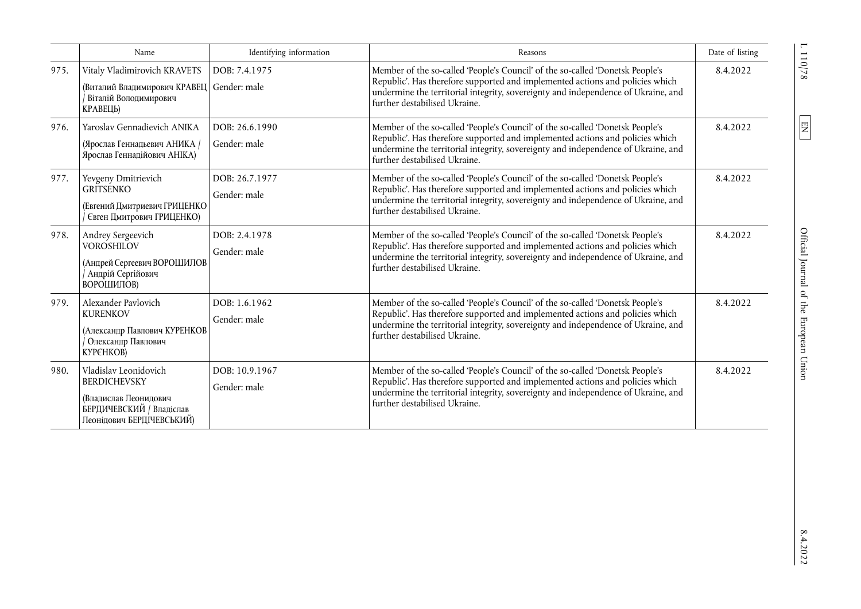|      | Name                                                                                                                           | Identifying information        | Reasons                                                                                                                                                                                                                                                                              | Date of listing |
|------|--------------------------------------------------------------------------------------------------------------------------------|--------------------------------|--------------------------------------------------------------------------------------------------------------------------------------------------------------------------------------------------------------------------------------------------------------------------------------|-----------------|
| 975. | Vitaly Vladimirovich KRAVETS<br>(Виталий Владимирович КРАВЕЦ<br>Віталій Володимирович<br>КРАВЕЦЬ)                              | DOB: 7.4.1975<br>Gender: male  | Member of the so-called 'People's Council' of the so-called 'Donetsk People's<br>Republic'. Has therefore supported and implemented actions and policies which<br>undermine the territorial integrity, sovereignty and independence of Ukraine, and<br>further destabilised Ukraine. | 8.4.2022        |
| 976. | Yaroslav Gennadievich ANIKA<br>(Ярослав Геннадьевич АНИКА /<br>Ярослав Геннадійович АНІКА)                                     | DOB: 26.6.1990<br>Gender: male | Member of the so-called 'People's Council' of the so-called 'Donetsk People's<br>Republic'. Has therefore supported and implemented actions and policies which<br>undermine the territorial integrity, sovereignty and independence of Ukraine, and<br>further destabilised Ukraine. | 8.4.2022        |
| 977. | Yevgeny Dmitrievich<br><b>GRITSENKO</b><br>(Евгений Дмитриевич ГРИЦЕНКО<br>Євген Дмитрович ГРИЦЕНКО)                           | DOB: 26.7.1977<br>Gender: male | Member of the so-called 'People's Council' of the so-called 'Donetsk People's<br>Republic'. Has therefore supported and implemented actions and policies which<br>undermine the territorial integrity, sovereignty and independence of Ukraine, and<br>further destabilised Ukraine. | 8.4.2022        |
| 978. | Andrey Sergeevich<br><b>VOROSHILOV</b><br>(Андрей Сергеевич ВОРОШИЛОВ<br>Андрій Сергійович<br>ВОРОШИЛОВ)                       | DOB: 2.4.1978<br>Gender: male  | Member of the so-called 'People's Council' of the so-called 'Donetsk People's<br>Republic'. Has therefore supported and implemented actions and policies which<br>undermine the territorial integrity, sovereignty and independence of Ukraine, and<br>further destabilised Ukraine. | 8.4.2022        |
| 979. | Alexander Pavlovich<br><b>KURENKOV</b><br>(Александр Павлович КУРЕНКОВ<br>Олександр Павлович<br>КУРЄНКОВ)                      | DOB: 1.6.1962<br>Gender: male  | Member of the so-called 'People's Council' of the so-called 'Donetsk People's<br>Republic'. Has therefore supported and implemented actions and policies which<br>undermine the territorial integrity, sovereignty and independence of Ukraine, and<br>further destabilised Ukraine. | 8.4.2022        |
| 980. | Vladislav Leonidovich<br><b>BERDICHEVSKY</b><br>(Владислав Леонидович<br>БЕРДИЧЕВСКИЙ / Владіслав<br>Леонідович БЕРДІЧЕВСЬКИЙ) | DOB: 10.9.1967<br>Gender: male | Member of the so-called 'People's Council' of the so-called 'Donetsk People's<br>Republic'. Has therefore supported and implemented actions and policies which<br>undermine the territorial integrity, sovereignty and independence of Ukraine, and<br>further destabilised Ukraine. | 8.4.2022        |

 $\frac{110/78}{1}$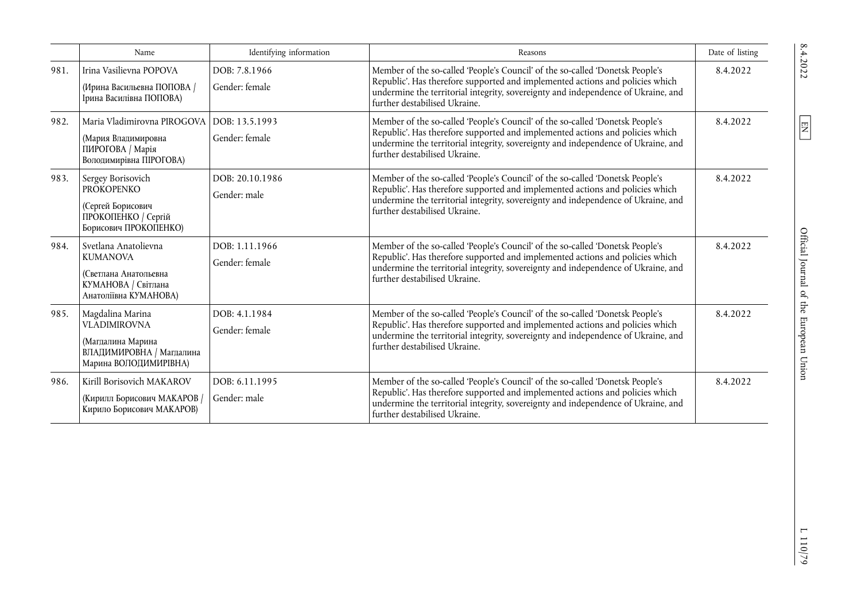|      | Name                                                                                                              | Identifying information          | Reasons                                                                                                                                                                                                                                                                              | Date of listing |
|------|-------------------------------------------------------------------------------------------------------------------|----------------------------------|--------------------------------------------------------------------------------------------------------------------------------------------------------------------------------------------------------------------------------------------------------------------------------------|-----------------|
| 981. | Irina Vasilievna POPOVA<br>(Ирина Васильевна ПОПОВА /<br>Ірина Василівна ПОПОВА)                                  | DOB: 7.8.1966<br>Gender: female  | Member of the so-called 'People's Council' of the so-called 'Donetsk People's<br>Republic'. Has therefore supported and implemented actions and policies which<br>undermine the territorial integrity, sovereignty and independence of Ukraine, and<br>further destabilised Ukraine. | 8.4.2022        |
| 982. | Maria Vladimirovna PIROGOVA<br>(Мария Владимировна<br>ПИРОГОВА / Марія<br>Володимирівна ПІРОГОВА)                 | DOB: 13.5.1993<br>Gender: female | Member of the so-called 'People's Council' of the so-called 'Donetsk People's<br>Republic'. Has therefore supported and implemented actions and policies which<br>undermine the territorial integrity, sovereignty and independence of Ukraine, and<br>further destabilised Ukraine. | 8.4.2022        |
| 983. | Sergey Borisovich<br><b>PROKOPENKO</b><br>(Сергей Борисович<br>ПРОКОПЕНКО / Сергій<br>Борисович ПРОКОПЕНКО)       | DOB: 20.10.1986<br>Gender: male  | Member of the so-called 'People's Council' of the so-called 'Donetsk People's<br>Republic'. Has therefore supported and implemented actions and policies which<br>undermine the territorial integrity, sovereignty and independence of Ukraine, and<br>further destabilised Ukraine. | 8.4.2022        |
| 984. | Svetlana Anatolievna<br><b>KUMANOVA</b><br>(Светлана Анатольевна<br>КУМАНОВА / Світлана<br>Анатоліївна КУМАНОВА)  | DOB: 1.11.1966<br>Gender: female | Member of the so-called 'People's Council' of the so-called 'Donetsk People's<br>Republic'. Has therefore supported and implemented actions and policies which<br>undermine the territorial integrity, sovereignty and independence of Ukraine, and<br>further destabilised Ukraine. | 8.4.2022        |
| 985. | Magdalina Marina<br><b>VLADIMIROVNA</b><br>(Магдалина Марина<br>ВЛАДИМИРОВНА / Магдалина<br>Марина ВОЛОДИМИРІВНА) | DOB: 4.1.1984<br>Gender: female  | Member of the so-called 'People's Council' of the so-called 'Donetsk People's<br>Republic'. Has therefore supported and implemented actions and policies which<br>undermine the territorial integrity, sovereignty and independence of Ukraine, and<br>further destabilised Ukraine. | 8.4.2022        |
| 986. | Kirill Borisovich MAKAROV<br>(Кирилл Борисович МАКАРОВ /<br>Кирило Борисович МАКАРОВ)                             | DOB: 6.11.1995<br>Gender: male   | Member of the so-called 'People's Council' of the so-called 'Donetsk People's<br>Republic'. Has therefore supported and implemented actions and policies which<br>undermine the territorial integrity, sovereignty and independence of Ukraine, and<br>further destabilised Ukraine. | 8.4.2022        |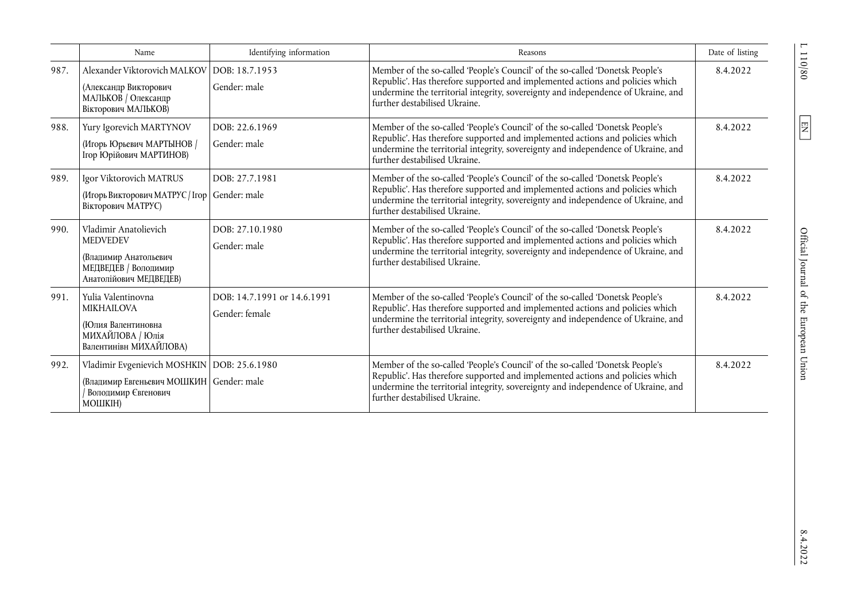|      | Name                                                                                                                | Identifying information                       | Reasons                                                                                                                                                                                                                                                                              | Date of listing |
|------|---------------------------------------------------------------------------------------------------------------------|-----------------------------------------------|--------------------------------------------------------------------------------------------------------------------------------------------------------------------------------------------------------------------------------------------------------------------------------------|-----------------|
| 987. | Alexander Viktorovich MALKOV<br>(Александр Викторович<br>МАЛЬКОВ / Олександр<br>Вікторович МАЛЬКОВ)                 | DOB: 18.7.1953<br>Gender: male                | Member of the so-called 'People's Council' of the so-called 'Donetsk People's<br>Republic'. Has therefore supported and implemented actions and policies which<br>undermine the territorial integrity, sovereignty and independence of Ukraine, and<br>further destabilised Ukraine. | 8.4.2022        |
| 988. | Yury Igorevich MARTYNOV<br>(Игорь Юрьевич МАРТЫНОВ /<br>Ігор Юрійович МАРТИНОВ)                                     | DOB: 22.6.1969<br>Gender: male                | Member of the so-called 'People's Council' of the so-called 'Donetsk People's<br>Republic'. Has therefore supported and implemented actions and policies which<br>undermine the territorial integrity, sovereignty and independence of Ukraine, and<br>further destabilised Ukraine. | 8.4.2022        |
| 989. | Igor Viktorovich MATRUS<br>(Игорь Викторович МАТРУС / Ігор<br>Вікторович МАТРУС)                                    | DOB: 27.7.1981<br>Gender: male                | Member of the so-called 'People's Council' of the so-called 'Donetsk People's<br>Republic'. Has therefore supported and implemented actions and policies which<br>undermine the territorial integrity, sovereignty and independence of Ukraine, and<br>further destabilised Ukraine. | 8.4.2022        |
| 990. | Vladimir Anatolievich<br><b>MEDVEDEV</b><br>(Владимир Анатольевич<br>МЕДВЕДЕВ / Володимир<br>Анатолійович МЕДВЕДЕВ) | DOB: 27.10.1980<br>Gender: male               | Member of the so-called 'People's Council' of the so-called 'Donetsk People's<br>Republic'. Has therefore supported and implemented actions and policies which<br>undermine the territorial integrity, sovereignty and independence of Ukraine, and<br>further destabilised Ukraine. | 8.4.2022        |
| 991. | Yulia Valentinovna<br><b>MIKHAILOVA</b><br>(Юлия Валентиновна<br>МИХАЙЛОВА / Юлія<br>Валентинівн МИХАЙЛОВА)         | DOB: 14.7.1991 or 14.6.1991<br>Gender: female | Member of the so-called 'People's Council' of the so-called 'Donetsk People's<br>Republic'. Has therefore supported and implemented actions and policies which<br>undermine the territorial integrity, sovereignty and independence of Ukraine, and<br>further destabilised Ukraine. | 8.4.2022        |
| 992. | Vladimir Evgenievich MOSHKIN<br>(Владимир Евгеньевич МОШКИН   Gender: male<br>Володимир Євгенович<br>МОШКІН)        | DOB: 25.6.1980                                | Member of the so-called 'People's Council' of the so-called 'Donetsk People's<br>Republic'. Has therefore supported and implemented actions and policies which<br>undermine the territorial integrity, sovereignty and independence of Ukraine, and<br>further destabilised Ukraine. | 8.4.2022        |

 $110/80$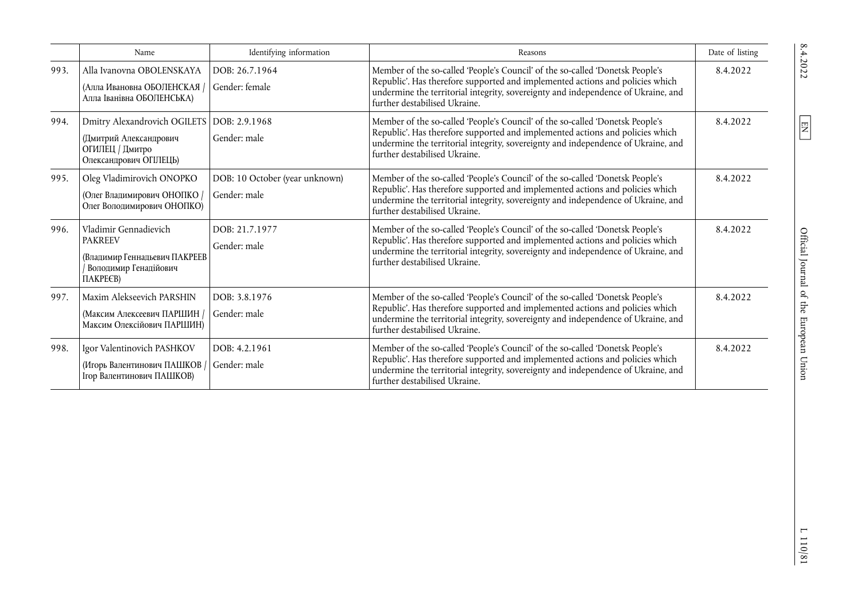|      | Name                                                                                                          | Identifying information                        | Reasons                                                                                                                                                                                                                                                                              | Date of listing |
|------|---------------------------------------------------------------------------------------------------------------|------------------------------------------------|--------------------------------------------------------------------------------------------------------------------------------------------------------------------------------------------------------------------------------------------------------------------------------------|-----------------|
| 993. | Alla Ivanovna OBOLENSKAYA<br>(Алла Ивановна ОБОЛЕНСКАЯ /<br>Алла Іванівна ОБОЛЕНСЬКА)                         | DOB: 26.7.1964<br>Gender: female               | Member of the so-called 'People's Council' of the so-called 'Donetsk People's<br>Republic'. Has therefore supported and implemented actions and policies which<br>undermine the territorial integrity, sovereignty and independence of Ukraine, and<br>further destabilised Ukraine. | 8.4.2022        |
| 994. | Dmitry Alexandrovich OGILETS<br>(Дмитрий Александрович<br>ОГИЛЕЦ / Дмитро<br>Олександрович ОГІЛЕЦЬ)           | DOB: 2.9.1968<br>Gender: male                  | Member of the so-called 'People's Council' of the so-called 'Donetsk People's<br>Republic'. Has therefore supported and implemented actions and policies which<br>undermine the territorial integrity, sovereignty and independence of Ukraine, and<br>further destabilised Ukraine. | 8.4.2022        |
| 995. | Oleg Vladimirovich ONOPKO<br>(Олег Владимирович ОНОПКО /<br>Олег Володимирович ОНОПКО)                        | DOB: 10 October (year unknown)<br>Gender: male | Member of the so-called 'People's Council' of the so-called 'Donetsk People's<br>Republic'. Has therefore supported and implemented actions and policies which<br>undermine the territorial integrity, sovereignty and independence of Ukraine, and<br>further destabilised Ukraine. | 8.4.2022        |
| 996. | Vladimir Gennadievich<br><b>PAKREEV</b><br>(Владимир Геннадьевич ПАКРЕЕВ<br>Володимир Генадійович<br>ПАКРЕ€В) | DOB: 21.7.1977<br>Gender: male                 | Member of the so-called 'People's Council' of the so-called 'Donetsk People's<br>Republic'. Has therefore supported and implemented actions and policies which<br>undermine the territorial integrity, sovereignty and independence of Ukraine, and<br>further destabilised Ukraine. | 8.4.2022        |
| 997. | Maxim Alekseevich PARSHIN<br>(Максим Алексеевич ПАРШИН)<br>Максим Олексійович ПАРШИН)                         | DOB: 3.8.1976<br>Gender: male                  | Member of the so-called 'People's Council' of the so-called 'Donetsk People's<br>Republic'. Has therefore supported and implemented actions and policies which<br>undermine the territorial integrity, sovereignty and independence of Ukraine, and<br>further destabilised Ukraine. | 8.4.2022        |
| 998. | Igor Valentinovich PASHKOV<br>(Игорь Валентинович ПАШКОВ)<br>Ігор Валентинович ПАШКОВ)                        | DOB: 4.2.1961<br>Gender: male                  | Member of the so-called 'People's Council' of the so-called 'Donetsk People's<br>Republic'. Has therefore supported and implemented actions and policies which<br>undermine the territorial integrity, sovereignty and independence of Ukraine, and<br>further destabilised Ukraine. | 8.4.2022        |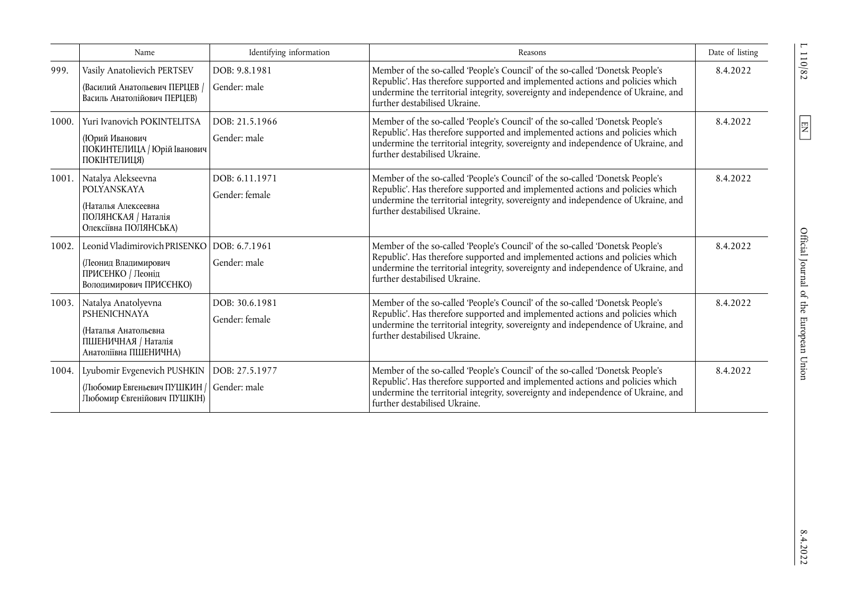|       | Name                                                                                                               | Identifying information          | Reasons                                                                                                                                                                                                                                                                              | Date of listing |
|-------|--------------------------------------------------------------------------------------------------------------------|----------------------------------|--------------------------------------------------------------------------------------------------------------------------------------------------------------------------------------------------------------------------------------------------------------------------------------|-----------------|
| 999.  | Vasily Anatolievich PERTSEV<br>(Василий Анатольевич ПЕРЦЕВ /<br>Василь Анатолійович ПЕРЦЕВ)                        | DOB: 9.8.1981<br>Gender: male    | Member of the so-called 'People's Council' of the so-called 'Donetsk People's<br>Republic'. Has therefore supported and implemented actions and policies which<br>undermine the territorial integrity, sovereignty and independence of Ukraine, and<br>further destabilised Ukraine. | 8.4.2022        |
| 1000. | Yuri Ivanovich POKINTELITSA<br>(Юрий Иванович<br>ПОКИНТЕЛИЦА / Юрій Іванович<br>ПОКІНТЕЛИЦЯ)                       | DOB: 21.5.1966<br>Gender: male   | Member of the so-called 'People's Council' of the so-called 'Donetsk People's<br>Republic'. Has therefore supported and implemented actions and policies which<br>undermine the territorial integrity, sovereignty and independence of Ukraine, and<br>further destabilised Ukraine. | 8.4.2022        |
|       | 1001. Natalya Alekseevna<br>POLYANSKAYA<br>(Наталья Алексеевна<br>ПОЛЯНСКАЯ / Наталія<br>Олексіївна ПОЛЯНСЬКА)     | DOB: 6.11.1971<br>Gender: female | Member of the so-called 'People's Council' of the so-called 'Donetsk People's<br>Republic'. Has therefore supported and implemented actions and policies which<br>undermine the territorial integrity, sovereignty and independence of Ukraine, and<br>further destabilised Ukraine. | 8.4.2022        |
| 1002. | Leonid Vladimirovich PRISENKO<br>(Леонид Владимирович<br>ПРИСЕНКО / Леонід<br>Володимирович ПРИСЄНКО)              | DOB: 6.7.1961<br>Gender: male    | Member of the so-called 'People's Council' of the so-called 'Donetsk People's<br>Republic'. Has therefore supported and implemented actions and policies which<br>undermine the territorial integrity, sovereignty and independence of Ukraine, and<br>further destabilised Ukraine. | 8.4.2022        |
| 1003. | Natalya Anatolyevna<br><b>PSHENICHNAYA</b><br>(Наталья Анатольевна<br>ПШЕНИЧНАЯ / Наталія<br>Анатоліївна ПШЕНИЧНА) | DOB: 30.6.1981<br>Gender: female | Member of the so-called 'People's Council' of the so-called 'Donetsk People's<br>Republic'. Has therefore supported and implemented actions and policies which<br>undermine the territorial integrity, sovereignty and independence of Ukraine, and<br>further destabilised Ukraine. | 8.4.2022        |
| 1004. | Lyubomir Evgenevich PUSHKIN<br>(Любомир Евгеньевич ПУШКИН /<br>Любомир Євгенійович ПУШКІН)                         | DOB: 27.5.1977<br>Gender: male   | Member of the so-called 'People's Council' of the so-called 'Donetsk People's<br>Republic'. Has therefore supported and implemented actions and policies which<br>undermine the territorial integrity, sovereignty and independence of Ukraine, and<br>further destabilised Ukraine. | 8.4.2022        |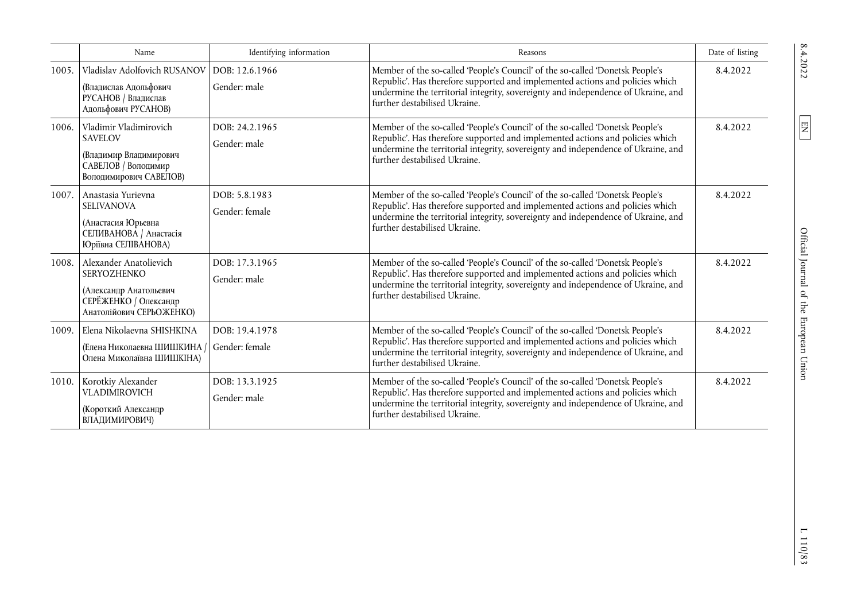|       | Name                                                                                                                        | Identifying information          | Reasons                                                                                                                                                                                                                                                                              | Date of listing |
|-------|-----------------------------------------------------------------------------------------------------------------------------|----------------------------------|--------------------------------------------------------------------------------------------------------------------------------------------------------------------------------------------------------------------------------------------------------------------------------------|-----------------|
| 1005. | Vladislav Adolfovich RUSANOV<br>(Владислав Адольфович<br>РУСАНОВ / Владислав<br>Адольфович РУСАНОВ)                         | DOB: 12.6.1966<br>Gender: male   | Member of the so-called 'People's Council' of the so-called 'Donetsk People's<br>Republic'. Has therefore supported and implemented actions and policies which<br>undermine the territorial integrity, sovereignty and independence of Ukraine, and<br>further destabilised Ukraine. | 8.4.2022        |
| 1006. | Vladimir Vladimirovich<br><b>SAVELOV</b><br>(Владимир Владимирович<br>САВЕЛОВ / Володимир<br>Володимирович САВЕЛОВ)         | DOB: 24.2.1965<br>Gender: male   | Member of the so-called 'People's Council' of the so-called 'Donetsk People's<br>Republic'. Has therefore supported and implemented actions and policies which<br>undermine the territorial integrity, sovereignty and independence of Ukraine, and<br>further destabilised Ukraine. | 8.4.2022        |
| 1007. | Anastasia Yurievna<br><b>SELIVANOVA</b><br>(Анастасия Юрьевна<br>СЕЛИВАНОВА / Анастасія<br>Юріївна СЕЛІВАНОВА)              | DOB: 5.8.1983<br>Gender: female  | Member of the so-called 'People's Council' of the so-called 'Donetsk People's<br>Republic'. Has therefore supported and implemented actions and policies which<br>undermine the territorial integrity, sovereignty and independence of Ukraine, and<br>further destabilised Ukraine. | 8.4.2022        |
| 1008. | Alexander Anatolievich<br><b>SERYOZHENKO</b><br>(Александр Анатольевич<br>СЕРЁЖЕНКО / Олександр<br>Анатолійович СЕРЬОЖЕНКО) | DOB: 17.3.1965<br>Gender: male   | Member of the so-called 'People's Council' of the so-called 'Donetsk People's<br>Republic'. Has therefore supported and implemented actions and policies which<br>undermine the territorial integrity, sovereignty and independence of Ukraine, and<br>further destabilised Ukraine. | 8.4.2022        |
| 1009. | Elena Nikolaevna SHISHKINA<br>(Елена Николаевна ШИШКИНА /<br>Олена Миколаївна ШИШКІНА)                                      | DOB: 19.4.1978<br>Gender: female | Member of the so-called 'People's Council' of the so-called 'Donetsk People's<br>Republic'. Has therefore supported and implemented actions and policies which<br>undermine the territorial integrity, sovereignty and independence of Ukraine, and<br>further destabilised Ukraine. | 8.4.2022        |
|       | 1010. Korotkiy Alexander<br><b>VLADIMIROVICH</b><br>(Короткий Александр<br>ВЛАДИМИРОВИЧ)                                    | DOB: 13.3.1925<br>Gender: male   | Member of the so-called 'People's Council' of the so-called 'Donetsk People's<br>Republic'. Has therefore supported and implemented actions and policies which<br>undermine the territorial integrity, sovereignty and independence of Ukraine, and<br>further destabilised Ukraine. | 8.4.2022        |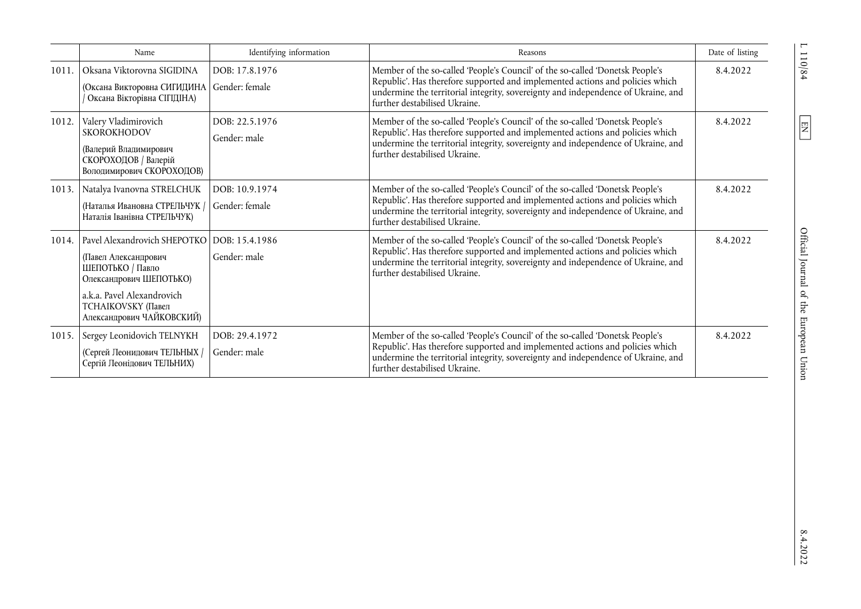|       | Name                                                                                                                                                                                                  | Identifying information          | Reasons                                                                                                                                                                                                                                                                              | Date of listing |
|-------|-------------------------------------------------------------------------------------------------------------------------------------------------------------------------------------------------------|----------------------------------|--------------------------------------------------------------------------------------------------------------------------------------------------------------------------------------------------------------------------------------------------------------------------------------|-----------------|
| 1011. | Oksana Viktorovna SIGIDINA<br>(Оксана Викторовна СИГИДИНА   Gender: female<br>Оксана Вікторівна СІГІДІНА)                                                                                             | DOB: 17.8.1976                   | Member of the so-called 'People's Council' of the so-called 'Donetsk People's<br>Republic'. Has therefore supported and implemented actions and policies which<br>undermine the territorial integrity, sovereignty and independence of Ukraine, and<br>further destabilised Ukraine. | 8.4.2022        |
| 1012. | Valery Vladimirovich<br><b>SKOROKHODOV</b><br>(Валерий Владимирович<br>СКОРОХОДОВ / Валерій<br>Володимирович СКОРОХОДОВ)                                                                              | DOB: 22.5.1976<br>Gender: male   | Member of the so-called 'People's Council' of the so-called 'Donetsk People's<br>Republic'. Has therefore supported and implemented actions and policies which<br>undermine the territorial integrity, sovereignty and independence of Ukraine, and<br>further destabilised Ukraine. | 8.4.2022        |
| 1013. | Natalya Ivanovna STRELCHUK<br>(Наталья Ивановна СТРЕЛЬЧУК /<br>Наталія Іванівна СТРЕЛЬЧУК)                                                                                                            | DOB: 10.9.1974<br>Gender: female | Member of the so-called 'People's Council' of the so-called 'Donetsk People's<br>Republic'. Has therefore supported and implemented actions and policies which<br>undermine the territorial integrity, sovereignty and independence of Ukraine, and<br>further destabilised Ukraine. | 8.4.2022        |
| 1014. | Pavel Alexandrovich SHEPOTKO   DOB: 15.4.1986<br>(Павел Александрович<br>ШЕПОТЬКО / Павло<br>Олександрович ШЕПОТЬКО)<br>a.k.a. Pavel Alexandrovich<br>ТСНАІКОVSKY (Павел<br>Александрович ЧАЙКОВСКИЙ) | Gender: male                     | Member of the so-called 'People's Council' of the so-called 'Donetsk People's<br>Republic'. Has therefore supported and implemented actions and policies which<br>undermine the territorial integrity, sovereignty and independence of Ukraine, and<br>further destabilised Ukraine. | 8.4.2022        |
| 1015. | Sergey Leonidovich TELNYKH<br>(Сергей Леонидович ТЕЛЬНЫХ /<br>Сергій Леонідович ТЕЛЬНИХ)                                                                                                              | DOB: 29.4.1972<br>Gender: male   | Member of the so-called 'People's Council' of the so-called 'Donetsk People's<br>Republic'. Has therefore supported and implemented actions and policies which<br>undermine the territorial integrity, sovereignty and independence of Ukraine, and<br>further destabilised Ukraine. | 8.4.2022        |

 $L$  110/84  $\hfill$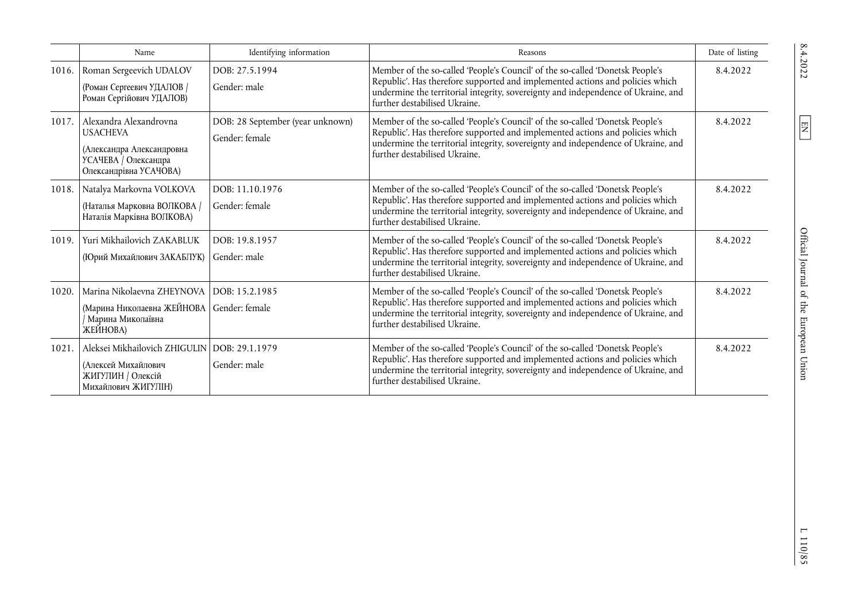|       | Name                                                                                                                           | Identifying information                            | Reasons                                                                                                                                                                                                                                                                              | Date of listing |
|-------|--------------------------------------------------------------------------------------------------------------------------------|----------------------------------------------------|--------------------------------------------------------------------------------------------------------------------------------------------------------------------------------------------------------------------------------------------------------------------------------------|-----------------|
|       | 1016. Roman Sergeevich UDALOV<br>(Роман Сергеевич УДАЛОВ /<br>Роман Сергійович УДАЛОВ)                                         | DOB: 27.5.1994<br>Gender: male                     | Member of the so-called 'People's Council' of the so-called 'Donetsk People's<br>Republic'. Has therefore supported and implemented actions and policies which<br>undermine the territorial integrity, sovereignty and independence of Ukraine, and<br>further destabilised Ukraine. | 8.4.2022        |
|       | 1017. Alexandra Alexandrovna<br><b>USACHEVA</b><br>(Александра Александровна<br>УСАЧЕВА / Олександра<br>Олександрівна УСАЧОВА) | DOB: 28 September (year unknown)<br>Gender: female | Member of the so-called 'People's Council' of the so-called 'Donetsk People's<br>Republic'. Has therefore supported and implemented actions and policies which<br>undermine the territorial integrity, sovereignty and independence of Ukraine, and<br>further destabilised Ukraine. | 8.4.2022        |
|       | 1018. Natalya Markovna VOLKOVA<br>(Наталья Марковна ВОЛКОВА /<br>Наталія Марківна ВОЛКОВА)                                     | DOB: 11.10.1976<br>Gender: female                  | Member of the so-called 'People's Council' of the so-called 'Donetsk People's<br>Republic'. Has therefore supported and implemented actions and policies which<br>undermine the territorial integrity, sovereignty and independence of Ukraine, and<br>further destabilised Ukraine. | 8.4.2022        |
| 1019. | Yuri Mikhailovich ZAKABLUK<br>(Юрий Михайлович ЗАКАБЛУК)                                                                       | DOB: 19.8.1957<br>Gender: male                     | Member of the so-called 'People's Council' of the so-called 'Donetsk People's<br>Republic'. Has therefore supported and implemented actions and policies which<br>undermine the territorial integrity, sovereignty and independence of Ukraine, and<br>further destabilised Ukraine. | 8.4.2022        |
| 1020. | Marina Nikolaevna ZHEYNOVA<br>(Марина Николаевна ЖЕЙНОВА<br>/ Марина Миколаївна<br>ЖЕЙНОВА)                                    | DOB: 15.2.1985<br>Gender: female                   | Member of the so-called 'People's Council' of the so-called 'Donetsk People's<br>Republic'. Has therefore supported and implemented actions and policies which<br>undermine the territorial integrity, sovereignty and independence of Ukraine, and<br>further destabilised Ukraine. | 8.4.2022        |
| 1021. | Aleksei Mikhailovich ZHIGULIN   DOB: 29.1.1979<br>(Алексей Михайлович<br>ЖИГУЛИН / Олексій<br>Михайлович ЖИГУЛІН)              | Gender: male                                       | Member of the so-called 'People's Council' of the so-called 'Donetsk People's<br>Republic'. Has therefore supported and implemented actions and policies which<br>undermine the territorial integrity, sovereignty and independence of Ukraine, and<br>further destabilised Ukraine. | 8.4.2022        |

 $\boxed{\text{EN}}$ 

 $1110/85$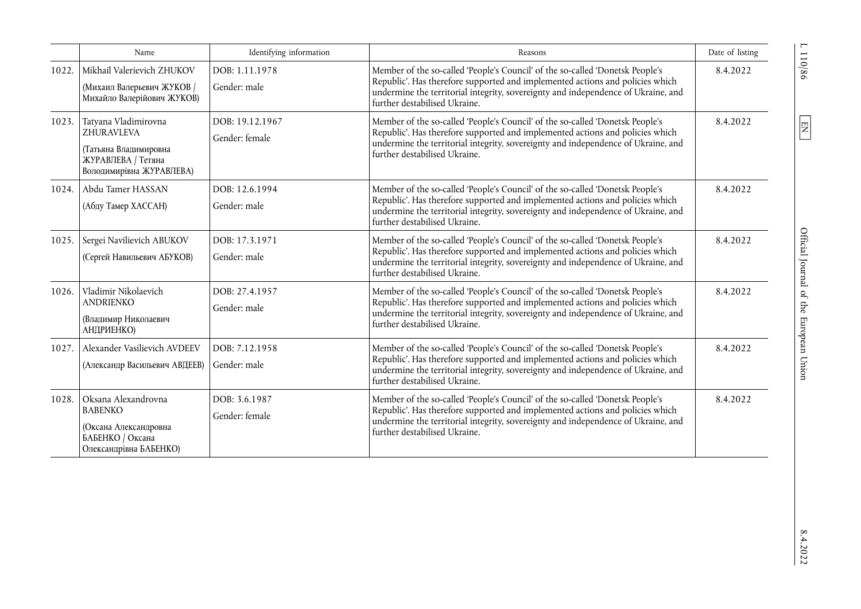|       | Name                                                                                                                 | Identifying information           | Reasons                                                                                                                                                                                                                                                                              | Date of listing |
|-------|----------------------------------------------------------------------------------------------------------------------|-----------------------------------|--------------------------------------------------------------------------------------------------------------------------------------------------------------------------------------------------------------------------------------------------------------------------------------|-----------------|
| 1022. | Mikhail Valerievich ZHUKOV<br>(Михаил Валерьевич ЖУКОВ /<br>Михайло Валерійович ЖУКОВ)                               | DOB: 1.11.1978<br>Gender: male    | Member of the so-called 'People's Council' of the so-called 'Donetsk People's<br>Republic'. Has therefore supported and implemented actions and policies which<br>undermine the territorial integrity, sovereignty and independence of Ukraine, and<br>further destabilised Ukraine. | 8.4.2022        |
| 1023. | Tatyana Vladimirovna<br><b>ZHURAVLEVA</b><br>(Татьяна Владимировна<br>ЖУРАВЛЕВА / Тетяна<br>Володимирівна ЖУРАВЛЕВА) | DOB: 19.12.1967<br>Gender: female | Member of the so-called 'People's Council' of the so-called 'Donetsk People's<br>Republic'. Has therefore supported and implemented actions and policies which<br>undermine the territorial integrity, sovereignty and independence of Ukraine, and<br>further destabilised Ukraine. | 8.4.2022        |
| 1024. | Abdu Tamer HASSAN<br>(Абду Тамер ХАССАН)                                                                             | DOB: 12.6.1994<br>Gender: male    | Member of the so-called 'People's Council' of the so-called 'Donetsk People's<br>Republic'. Has therefore supported and implemented actions and policies which<br>undermine the territorial integrity, sovereignty and independence of Ukraine, and<br>further destabilised Ukraine. | 8.4.2022        |
| 1025. | Sergei Navilievich ABUKOV<br>(Сергей Навильевич АБУКОВ)                                                              | DOB: 17.3.1971<br>Gender: male    | Member of the so-called 'People's Council' of the so-called 'Donetsk People's<br>Republic'. Has therefore supported and implemented actions and policies which<br>undermine the territorial integrity, sovereignty and independence of Ukraine, and<br>further destabilised Ukraine. | 8.4.2022        |
| 1026. | Vladimir Nikolaevich<br><b>ANDRIENKO</b><br>(Владимир Николаевич<br>АНДРИЕНКО)                                       | DOB: 27.4.1957<br>Gender: male    | Member of the so-called 'People's Council' of the so-called 'Donetsk People's<br>Republic'. Has therefore supported and implemented actions and policies which<br>undermine the territorial integrity, sovereignty and independence of Ukraine, and<br>further destabilised Ukraine. | 8.4.2022        |
| 1027. | Alexander Vasilievich AVDEEV<br>(Александр Васильевич АВДЕЕВ)                                                        | DOB: 7.12.1958<br>Gender: male    | Member of the so-called 'People's Council' of the so-called 'Donetsk People's<br>Republic'. Has therefore supported and implemented actions and policies which<br>undermine the territorial integrity, sovereignty and independence of Ukraine, and<br>further destabilised Ukraine. | 8.4.2022        |
| 1028. | Oksana Alexandrovna<br><b>BABENKO</b><br>(Оксана Александровна<br>БАБЕНКО / Оксана<br>Олександрівна БАБЕНКО)         | DOB: 3.6.1987<br>Gender: female   | Member of the so-called 'People's Council' of the so-called 'Donetsk People's<br>Republic'. Has therefore supported and implemented actions and policies which<br>undermine the territorial integrity, sovereignty and independence of Ukraine, and<br>further destabilised Ukraine. | 8.4.2022        |

110/86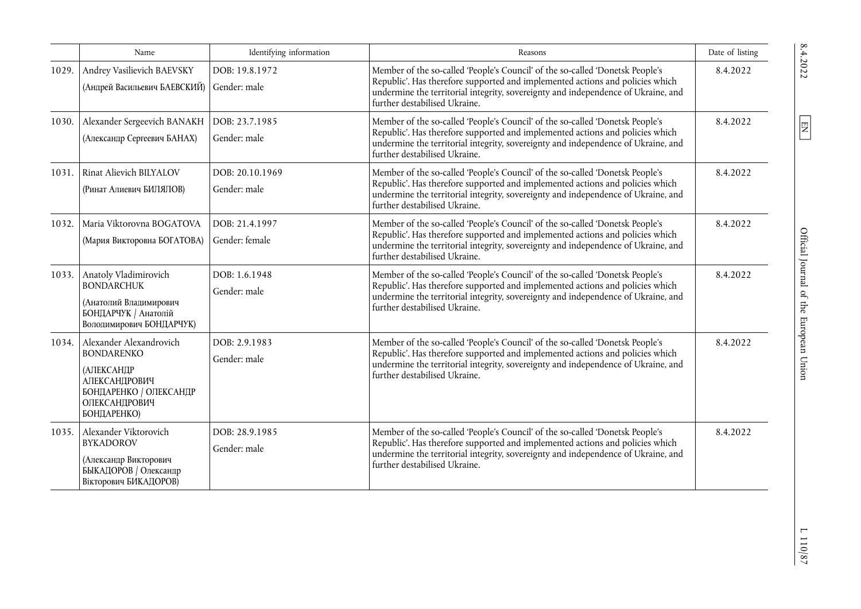|       | Name                                                                                                                                         | Identifying information          | Reasons                                                                                                                                                                                                                                                                              | Date of listing |
|-------|----------------------------------------------------------------------------------------------------------------------------------------------|----------------------------------|--------------------------------------------------------------------------------------------------------------------------------------------------------------------------------------------------------------------------------------------------------------------------------------|-----------------|
| 1029. | Andrey Vasilievich BAEVSKY<br>(Андрей Васильевич БАЕВСКИЙ)                                                                                   | DOB: 19.8.1972<br>Gender: male   | Member of the so-called 'People's Council' of the so-called 'Donetsk People's<br>Republic'. Has therefore supported and implemented actions and policies which<br>undermine the territorial integrity, sovereignty and independence of Ukraine, and<br>further destabilised Ukraine. | 8.4.2022        |
| 1030. | Alexander Sergeevich BANAKH<br>(Александр Сергеевич БАНАХ)                                                                                   | DOB: 23.7.1985<br>Gender: male   | Member of the so-called 'People's Council' of the so-called 'Donetsk People's<br>Republic'. Has therefore supported and implemented actions and policies which<br>undermine the territorial integrity, sovereignty and independence of Ukraine, and<br>further destabilised Ukraine. | 8.4.2022        |
| 1031. | Rinat Alievich BILYALOV<br>(Ринат Алиевич БИЛЯЛОВ)                                                                                           | DOB: 20.10.1969<br>Gender: male  | Member of the so-called 'People's Council' of the so-called 'Donetsk People's<br>Republic'. Has therefore supported and implemented actions and policies which<br>undermine the territorial integrity, sovereignty and independence of Ukraine, and<br>further destabilised Ukraine. | 8.4.2022        |
| 1032. | Maria Viktorovna BOGATOVA<br>(Мария Викторовна БОГАТОВА)                                                                                     | DOB: 21.4.1997<br>Gender: female | Member of the so-called 'People's Council' of the so-called 'Donetsk People's<br>Republic'. Has therefore supported and implemented actions and policies which<br>undermine the territorial integrity, sovereignty and independence of Ukraine, and<br>further destabilised Ukraine. | 8.4.2022        |
| 1033. | Anatoly Vladimirovich<br><b>BONDARCHUK</b><br>(Анатолий Владимирович<br>БОНДАРЧУК / Анатолій<br>Володимирович БОНДАРЧУК)                     | DOB: 1.6.1948<br>Gender: male    | Member of the so-called 'People's Council' of the so-called 'Donetsk People's<br>Republic'. Has therefore supported and implemented actions and policies which<br>undermine the territorial integrity, sovereignty and independence of Ukraine, and<br>further destabilised Ukraine. | 8.4.2022        |
| 1034. | Alexander Alexandrovich<br><b>BONDARENKO</b><br><b>(АЛЕКСАНДР</b><br>АЛЕКСАНДРОВИЧ<br>БОНДАРЕНКО / ОЛЕКСАНДР<br>ОЛЕКСАНДРОВИЧ<br>БОНДАРЕНКО) | DOB: 2.9.1983<br>Gender: male    | Member of the so-called 'People's Council' of the so-called 'Donetsk People's<br>Republic'. Has therefore supported and implemented actions and policies which<br>undermine the territorial integrity, sovereignty and independence of Ukraine, and<br>further destabilised Ukraine. | 8.4.2022        |
|       | 1035. Alexander Viktorovich<br><b>BYKADOROV</b><br>(Александр Викторович<br>БЫКАДОРОВ / Олександр<br>Вікторович БИКАДОРОВ)                   | DOB: 28.9.1985<br>Gender: male   | Member of the so-called 'People's Council' of the so-called 'Donetsk People's<br>Republic'. Has therefore supported and implemented actions and policies which<br>undermine the territorial integrity, sovereignty and independence of Ukraine, and<br>further destabilised Ukraine. | 8.4.2022        |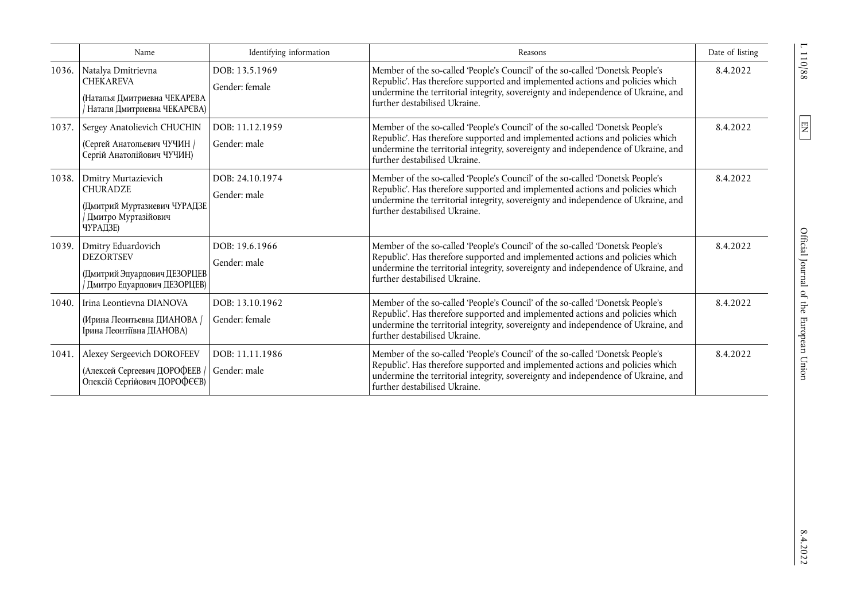|       | Name                                                                                                      | Identifying information           | Reasons                                                                                                                                                                                                                                                                              | Date of listing |
|-------|-----------------------------------------------------------------------------------------------------------|-----------------------------------|--------------------------------------------------------------------------------------------------------------------------------------------------------------------------------------------------------------------------------------------------------------------------------------|-----------------|
| 1036. | Natalya Dmitrievna<br><b>CHEKAREVA</b><br>(Наталья Дмитриевна ЧЕКАРЕВА<br>Наталя Дмитриевна ЧЕКАРЄВА)     | DOB: 13.5.1969<br>Gender: female  | Member of the so-called 'People's Council' of the so-called 'Donetsk People's<br>Republic'. Has therefore supported and implemented actions and policies which<br>undermine the territorial integrity, sovereignty and independence of Ukraine, and<br>further destabilised Ukraine. | 8.4.2022        |
| 1037. | Sergey Anatolievich CHUCHIN<br>(Сергей Анатольевич ЧУЧИН /<br>Сергій Анатолійович ЧУЧИН)                  | DOB: 11.12.1959<br>Gender: male   | Member of the so-called 'People's Council' of the so-called 'Donetsk People's<br>Republic'. Has therefore supported and implemented actions and policies which<br>undermine the territorial integrity, sovereignty and independence of Ukraine, and<br>further destabilised Ukraine. | 8.4.2022        |
| 1038. | Dmitry Murtazievich<br><b>CHURADZE</b><br>(Дмитрий Муртазиевич ЧУРАДЗЕ<br>Дмитро Муртазійович<br>ЧУРАДЗЕ) | DOB: 24.10.1974<br>Gender: male   | Member of the so-called 'People's Council' of the so-called 'Donetsk People's<br>Republic'. Has therefore supported and implemented actions and policies which<br>undermine the territorial integrity, sovereignty and independence of Ukraine, and<br>further destabilised Ukraine. | 8.4.2022        |
| 1039. | Dmitry Eduardovich<br><b>DEZORTSEV</b><br>(Дмитрий Эдуардович ДЕЗОРЦЕВ<br>/ Дмитро Едуардович ДЕЗОРЦЕВ)   | DOB: 19.6.1966<br>Gender: male    | Member of the so-called 'People's Council' of the so-called 'Donetsk People's<br>Republic'. Has therefore supported and implemented actions and policies which<br>undermine the territorial integrity, sovereignty and independence of Ukraine, and<br>further destabilised Ukraine. | 8.4.2022        |
| 1040. | Irina Leontievna DIANOVA<br>(Ирина Леонтьевна ДИАНОВА /<br>Ірина Леонтіївна ДІАНОВА)                      | DOB: 13.10.1962<br>Gender: female | Member of the so-called 'People's Council' of the so-called 'Donetsk People's<br>Republic'. Has therefore supported and implemented actions and policies which<br>undermine the territorial integrity, sovereignty and independence of Ukraine, and<br>further destabilised Ukraine. | 8.4.2022        |
| 1041. | Alexey Sergeevich DOROFEEV<br>(Алексей Сергеевич ДОРОФЕЕВ /<br>Олексій Сергійович ДОРОФЄЄВ)               | DOB: 11.11.1986<br>Gender: male   | Member of the so-called 'People's Council' of the so-called 'Donetsk People's<br>Republic'. Has therefore supported and implemented actions and policies which<br>undermine the territorial integrity, sovereignty and independence of Ukraine, and<br>further destabilised Ukraine. | 8.4.2022        |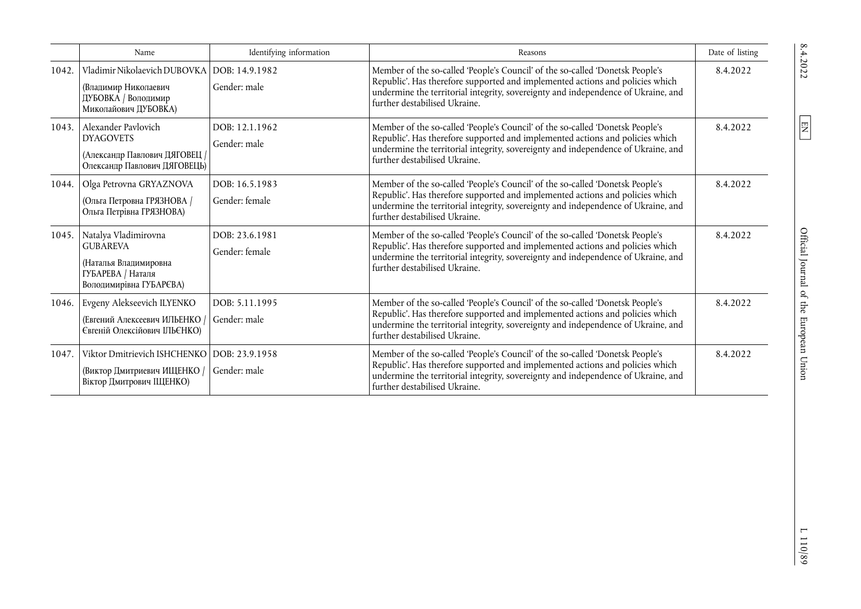|       | Name                                                                                                               | Identifying information          | Reasons                                                                                                                                                                                                                                                                              | Date of listing |
|-------|--------------------------------------------------------------------------------------------------------------------|----------------------------------|--------------------------------------------------------------------------------------------------------------------------------------------------------------------------------------------------------------------------------------------------------------------------------------|-----------------|
| 1042. | Vladimir Nikolaevich DUBOVKA DOB: 14.9.1982<br>(Владимир Николаевич<br>ДУБОВКА / Володимир<br>Миколайович ДУБОВКА) | Gender: male                     | Member of the so-called 'People's Council' of the so-called 'Donetsk People's<br>Republic'. Has therefore supported and implemented actions and policies which<br>undermine the territorial integrity, sovereignty and independence of Ukraine, and<br>further destabilised Ukraine. | 8.4.2022        |
| 1043. | Alexander Pavlovich<br><b>DYAGOVETS</b><br>(Александр Павлович ДЯГОВЕЦ /<br>Олександр Павлович ДЯГОВЕЦЬ)           | DOB: 12.1.1962<br>Gender: male   | Member of the so-called 'People's Council' of the so-called 'Donetsk People's<br>Republic'. Has therefore supported and implemented actions and policies which<br>undermine the territorial integrity, sovereignty and independence of Ukraine, and<br>further destabilised Ukraine. | 8.4.2022        |
| 1044. | Olga Petrovna GRYAZNOVA<br>(Ольга Петровна ГРЯЗНОВА /<br>Ольга Петрівна ГРЯЗНОВА)                                  | DOB: 16.5.1983<br>Gender: female | Member of the so-called 'People's Council' of the so-called 'Donetsk People's<br>Republic'. Has therefore supported and implemented actions and policies which<br>undermine the territorial integrity, sovereignty and independence of Ukraine, and<br>further destabilised Ukraine. | 8.4.2022        |
| 1045. | Natalya Vladimirovna<br><b>GUBAREVA</b><br>(Наталья Владимировна<br>ГУБАРЕВА / Наталя<br>Володимирівна ГУБАРЄВА)   | DOB: 23.6.1981<br>Gender: female | Member of the so-called 'People's Council' of the so-called 'Donetsk People's<br>Republic'. Has therefore supported and implemented actions and policies which<br>undermine the territorial integrity, sovereignty and independence of Ukraine, and<br>further destabilised Ukraine. | 8.4.2022        |
| 1046. | Evgeny Alekseevich ILYENKO<br>(Евгений Алексеевич ИЛЬЕНКО /<br>Євгеній Олексійович ІЛЬЄНКО)                        | DOB: 5.11.1995<br>Gender: male   | Member of the so-called 'People's Council' of the so-called 'Donetsk People's<br>Republic'. Has therefore supported and implemented actions and policies which<br>undermine the territorial integrity, sovereignty and independence of Ukraine, and<br>further destabilised Ukraine. | 8.4.2022        |
| 1047. | Viktor Dmitrievich ISHCHENKO   DOB: 23.9.1958<br>(Виктор Дмитриевич ИЩЕНКО /<br>Віктор Дмитрович ШЈЕНКО)           | Gender: male                     | Member of the so-called 'People's Council' of the so-called 'Donetsk People's<br>Republic'. Has therefore supported and implemented actions and policies which<br>undermine the territorial integrity, sovereignty and independence of Ukraine, and<br>further destabilised Ukraine. | 8.4.2022        |

 $\boxed{\text{EN}}$ 

 $\;$  1 10/89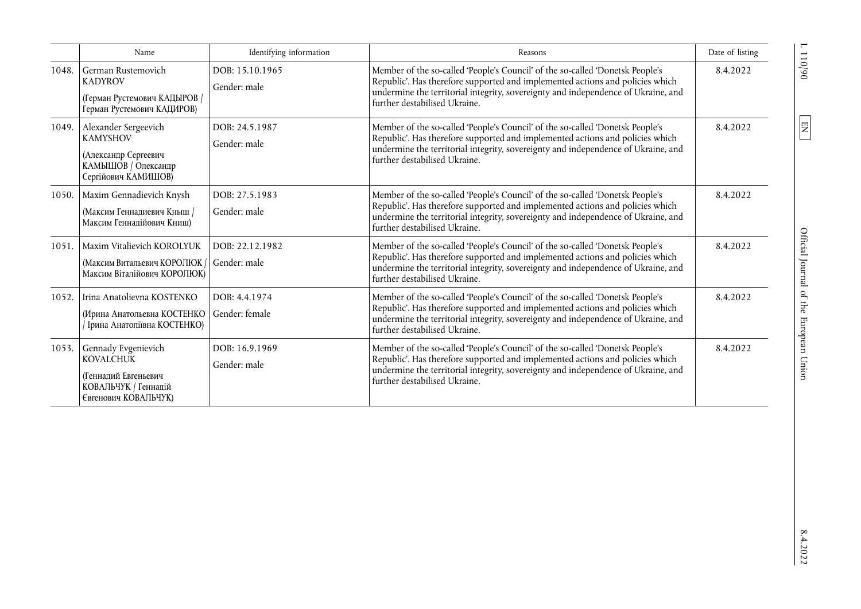|       | Name                                                                                                                | Identifying information         | Reasons                                                                                                                                                                                                                                                                              | Date of listing |
|-------|---------------------------------------------------------------------------------------------------------------------|---------------------------------|--------------------------------------------------------------------------------------------------------------------------------------------------------------------------------------------------------------------------------------------------------------------------------------|-----------------|
| 1048. | German Rustemovich<br><b>KADYROV</b><br>(Герман Рустемович КАДЫРОВ /<br>Герман Рустемович КАДИРОВ)                  | DOB: 15.10.1965<br>Gender: male | Member of the so-called 'People's Council' of the so-called 'Donetsk People's<br>Republic'. Has therefore supported and implemented actions and policies which<br>undermine the territorial integrity, sovereignty and independence of Ukraine, and<br>further destabilised Ukraine. | 8.4.2022        |
|       | 1049. Alexander Sergeevich<br><b>KAMYSHOV</b><br>(Александр Сергеевич<br>КАМЫШОВ / Олександр<br>Сергійович КАМИШОВ) | DOB: 24.5.1987<br>Gender: male  | Member of the so-called 'People's Council' of the so-called 'Donetsk People's<br>Republic'. Has therefore supported and implemented actions and policies which<br>undermine the territorial integrity, sovereignty and independence of Ukraine, and<br>further destabilised Ukraine. | 8.4.2022        |
| 1050. | Maxim Gennadievich Knysh<br>(Максим Геннадиевич Кныш /<br>Максим Геннадійович Книш)                                 | DOB: 27.5.1983<br>Gender: male  | Member of the so-called 'People's Council' of the so-called 'Donetsk People's<br>Republic'. Has therefore supported and implemented actions and policies which<br>undermine the territorial integrity, sovereignty and independence of Ukraine, and<br>further destabilised Ukraine. | 8.4.2022        |
| 1051. | Maxim Vitalievich KOROLYUK<br>(Максим Витальевич КОРОЛЮК /<br>Максим Віталійович КОРОЛЮК)                           | DOB: 22.12.1982<br>Gender: male | Member of the so-called 'People's Council' of the so-called 'Donetsk People's<br>Republic'. Has therefore supported and implemented actions and policies which<br>undermine the territorial integrity, sovereignty and independence of Ukraine, and<br>further destabilised Ukraine. | 8.4.2022        |
| 1052. | Irina Anatolievna KOSTENKO<br>(Ирина Анатольевна КОСТЕНКО<br>/ Ірина Анатоліївна КОСТЕНКО)                          | DOB: 4.4.1974<br>Gender: female | Member of the so-called 'People's Council' of the so-called 'Donetsk People's<br>Republic'. Has therefore supported and implemented actions and policies which<br>undermine the territorial integrity, sovereignty and independence of Ukraine, and<br>further destabilised Ukraine. | 8.4.2022        |
| 1053. | Gennady Evgenievich<br><b>KOVALCHUK</b><br>(Геннадий Евгеньевич<br>КОВАЛЬЧУК / Геннадій<br>Євгенович КОВАЛЬЧУК)     | DOB: 16.9.1969<br>Gender: male  | Member of the so-called 'People's Council' of the so-called 'Donetsk People's<br>Republic'. Has therefore supported and implemented actions and policies which<br>undermine the territorial integrity, sovereignty and independence of Ukraine, and<br>further destabilised Ukraine. | 8.4.2022        |

 $06/011$  J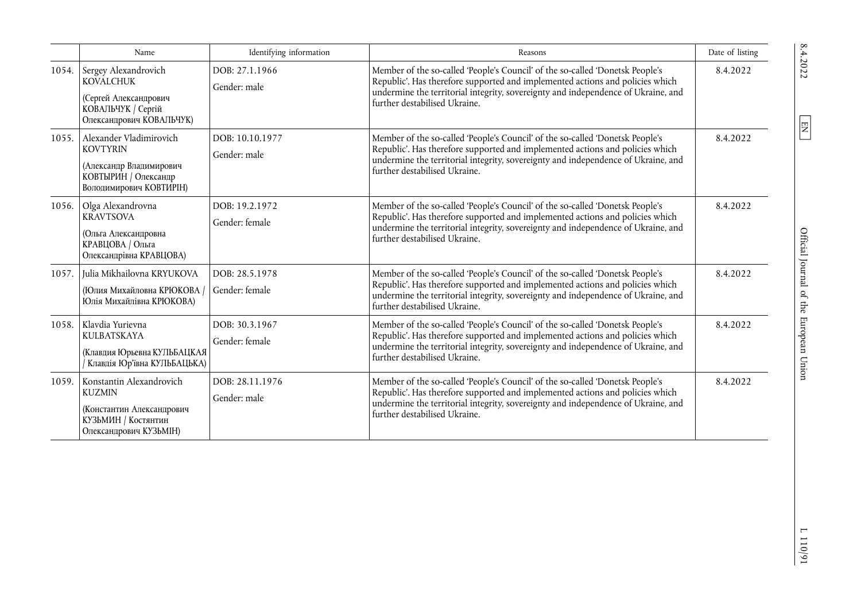|       | Name                                                                                                                     | Identifying information          | Reasons                                                                                                                                                                                                                                                                              | Date of listing |
|-------|--------------------------------------------------------------------------------------------------------------------------|----------------------------------|--------------------------------------------------------------------------------------------------------------------------------------------------------------------------------------------------------------------------------------------------------------------------------------|-----------------|
| 1054. | Sergey Alexandrovich<br><b>KOVALCHUK</b><br>(Сергей Александрович<br>КОВАЛЬЧУК / Сергій<br>Олександрович КОВАЛЬЧУК)      | DOB: 27.1.1966<br>Gender: male   | Member of the so-called 'People's Council' of the so-called 'Donetsk People's<br>Republic'. Has therefore supported and implemented actions and policies which<br>undermine the territorial integrity, sovereignty and independence of Ukraine, and<br>further destabilised Ukraine. | 8.4.2022        |
| 1055. | Alexander Vladimirovich<br><b>KOVTYRIN</b><br>(Александр Владимирович<br>КОВТЫРИН / Олександр<br>Володимирович КОВТИРІН) | DOB: 10.10.1977<br>Gender: male  | Member of the so-called 'People's Council' of the so-called 'Donetsk People's<br>Republic'. Has therefore supported and implemented actions and policies which<br>undermine the territorial integrity, sovereignty and independence of Ukraine, and<br>further destabilised Ukraine. | 8.4.2022        |
| 1056. | Olga Alexandrovna<br><b>KRAVTSOVA</b><br>(Ольга Александровна<br>КРАВЦОВА / Ольга<br>Олександрівна КРАВЦОВА)             | DOB: 19.2.1972<br>Gender: female | Member of the so-called 'People's Council' of the so-called 'Donetsk People's<br>Republic'. Has therefore supported and implemented actions and policies which<br>undermine the territorial integrity, sovereignty and independence of Ukraine, and<br>further destabilised Ukraine. | 8.4.2022        |
| 1057. | Julia Mikhailovna KRYUKOVA<br>(Юлия Михайловна КРЮКОВА /<br>Юлія Михайлівна КРЮКОВА)                                     | DOB: 28.5.1978<br>Gender: female | Member of the so-called 'People's Council' of the so-called 'Donetsk People's<br>Republic'. Has therefore supported and implemented actions and policies which<br>undermine the territorial integrity, sovereignty and independence of Ukraine, and<br>further destabilised Ukraine. | 8.4.2022        |
| 1058. | Klavdia Yurievna<br><b>KULBATSKAYA</b><br>(Клавдия Юрьевна КУЛЬБАЦКАЯ<br>Клавдія Юр'ївна КУЛЬБАЦЬКА)                     | DOB: 30.3.1967<br>Gender: female | Member of the so-called 'People's Council' of the so-called 'Donetsk People's<br>Republic'. Has therefore supported and implemented actions and policies which<br>undermine the territorial integrity, sovereignty and independence of Ukraine, and<br>further destabilised Ukraine. | 8.4.2022        |
| 1059. | Konstantin Alexandrovich<br><b>KUZMIN</b><br>(Константин Александрович<br>КУЗЬМИН / Костянтин<br>Олександрович КУЗЬМІН)  | DOB: 28.11.1976<br>Gender: male  | Member of the so-called 'People's Council' of the so-called 'Donetsk People's<br>Republic'. Has therefore supported and implemented actions and policies which<br>undermine the territorial integrity, sovereignty and independence of Ukraine, and<br>further destabilised Ukraine. | 8.4.2022        |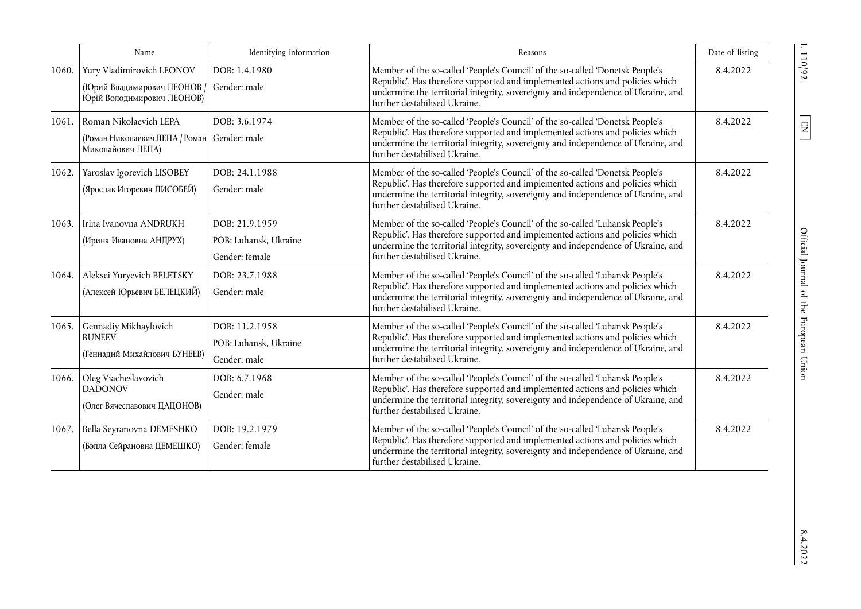|       | Name                                                                                         | Identifying information                                   | Reasons                                                                                                                                                                                                                                                                              | Date of listing |
|-------|----------------------------------------------------------------------------------------------|-----------------------------------------------------------|--------------------------------------------------------------------------------------------------------------------------------------------------------------------------------------------------------------------------------------------------------------------------------------|-----------------|
| 1060. | Yury Vladimirovich LEONOV<br>(Юрий Владимирович ЛЕОНОВ<br>Юрій Володимирович ЛЕОНОВ)         | DOB: 1.4.1980<br>Gender: male                             | Member of the so-called 'People's Council' of the so-called 'Donetsk People's<br>Republic'. Has therefore supported and implemented actions and policies which<br>undermine the territorial integrity, sovereignty and independence of Ukraine, and<br>further destabilised Ukraine. | 8.4.2022        |
| 1061. | Roman Nikolaevich LEPA<br>(Роман Николаевич ЛЕПА / Роман   Gender: male<br>Миколайович ЛЕПА) | DOB: 3.6.1974                                             | Member of the so-called 'People's Council' of the so-called 'Donetsk People's<br>Republic'. Has therefore supported and implemented actions and policies which<br>undermine the territorial integrity, sovereignty and independence of Ukraine, and<br>further destabilised Ukraine. | 8.4.2022        |
| 1062. | Yaroslav Igorevich LISOBEY<br>(Ярослав Игоревич ЛИСОБЕЙ)                                     | DOB: 24.1.1988<br>Gender: male                            | Member of the so-called 'People's Council' of the so-called 'Donetsk People's<br>Republic'. Has therefore supported and implemented actions and policies which<br>undermine the territorial integrity, sovereignty and independence of Ukraine, and<br>further destabilised Ukraine. | 8.4.2022        |
| 1063. | Irina Ivanovna ANDRUKH<br>(Ирина Ивановна АНДРУХ)                                            | DOB: 21.9.1959<br>POB: Luhansk, Ukraine<br>Gender: female | Member of the so-called 'People's Council' of the so-called 'Luhansk People's<br>Republic'. Has therefore supported and implemented actions and policies which<br>undermine the territorial integrity, sovereignty and independence of Ukraine, and<br>further destabilised Ukraine. | 8.4.2022        |
| 1064. | Aleksei Yuryevich BELETSKY<br>(Алексей Юрьевич БЕЛЕЦКИЙ)                                     | DOB: 23.7.1988<br>Gender: male                            | Member of the so-called 'People's Council' of the so-called 'Luhansk People's<br>Republic'. Has therefore supported and implemented actions and policies which<br>undermine the territorial integrity, sovereignty and independence of Ukraine, and<br>further destabilised Ukraine. | 8.4.2022        |
| 1065. | Gennadiy Mikhaylovich<br><b>BUNEEV</b><br>(Геннадий Михайлович БУНЕЕВ)                       | DOB: 11.2.1958<br>POB: Luhansk, Ukraine<br>Gender: male   | Member of the so-called 'People's Council' of the so-called 'Luhansk People's<br>Republic'. Has therefore supported and implemented actions and policies which<br>undermine the territorial integrity, sovereignty and independence of Ukraine, and<br>further destabilised Ukraine. | 8.4.2022        |
| 1066. | Oleg Viacheslavovich<br><b>DADONOV</b><br>(Олег Вячеславович ДАДОНОВ)                        | DOB: 6.7.1968<br>Gender: male                             | Member of the so-called 'People's Council' of the so-called 'Luhansk People's<br>Republic'. Has therefore supported and implemented actions and policies which<br>undermine the territorial integrity, sovereignty and independence of Ukraine, and<br>further destabilised Ukraine. | 8.4.2022        |
| 1067. | Bella Seyranovna DEMESHKO<br>(Бэлла Сейрановна ДЕМЕШКО)                                      | DOB: 19.2.1979<br>Gender: female                          | Member of the so-called 'People's Council' of the so-called 'Luhansk People's<br>Republic'. Has therefore supported and implemented actions and policies which<br>undermine the territorial integrity, sovereignty and independence of Ukraine, and<br>further destabilised Ukraine. | 8.4.2022        |

 $L$  110/92  $\,$ 

 $\boxed{\text{EN}}$ 

 $8.4.2022$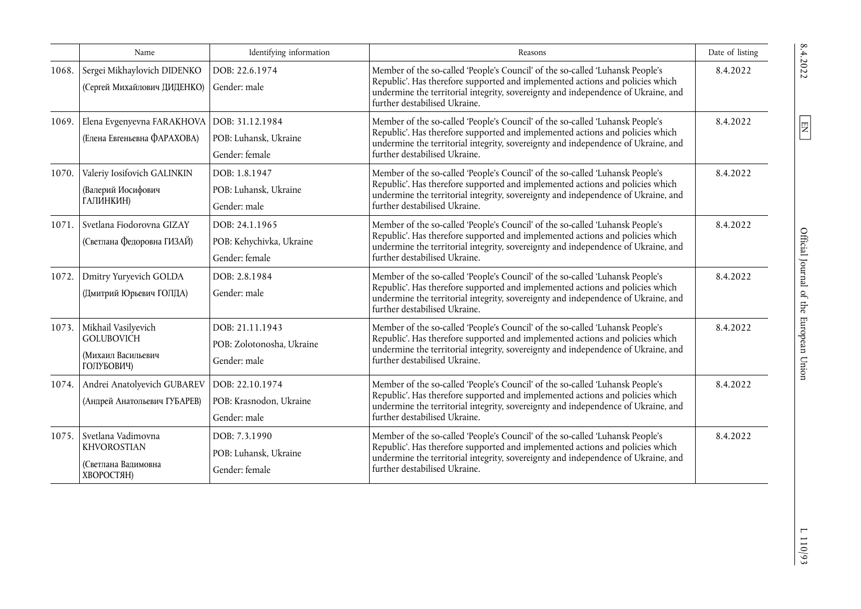|       | Name                                                                          | Identifying information                                      | Reasons                                                                                                                                                                                                                                                                              | Date of listing |
|-------|-------------------------------------------------------------------------------|--------------------------------------------------------------|--------------------------------------------------------------------------------------------------------------------------------------------------------------------------------------------------------------------------------------------------------------------------------------|-----------------|
| 1068. | Sergei Mikhaylovich DIDENKO<br>(Сергей Михайлович ДИДЕНКО)                    | DOB: 22.6.1974<br>Gender: male                               | Member of the so-called 'People's Council' of the so-called 'Luhansk People's<br>Republic'. Has therefore supported and implemented actions and policies which<br>undermine the territorial integrity, sovereignty and independence of Ukraine, and<br>further destabilised Ukraine. | 8.4.2022        |
| 1069. | Elena Evgenyevna FARAKHOVA<br>(Елена Евгеньевна ФАРАХОВА)                     | DOB: 31.12.1984<br>POB: Luhansk, Ukraine<br>Gender: female   | Member of the so-called 'People's Council' of the so-called 'Luhansk People's<br>Republic'. Has therefore supported and implemented actions and policies which<br>undermine the territorial integrity, sovereignty and independence of Ukraine, and<br>further destabilised Ukraine. | 8.4.2022        |
| 1070. | Valeriy Iosifovich GALINKIN<br>(Валерий Иосифович<br>ГАЛИНКИН)                | DOB: 1.8.1947<br>POB: Luhansk, Ukraine<br>Gender: male       | Member of the so-called 'People's Council' of the so-called 'Luhansk People's<br>Republic'. Has therefore supported and implemented actions and policies which<br>undermine the territorial integrity, sovereignty and independence of Ukraine, and<br>further destabilised Ukraine. | 8.4.2022        |
| 1071. | Svetlana Fiodorovna GIZAY<br>(Светлана Федоровна ГИЗАЙ)                       | DOB: 24.1.1965<br>POB: Kehychivka, Ukraine<br>Gender: female | Member of the so-called 'People's Council' of the so-called 'Luhansk People's<br>Republic'. Has therefore supported and implemented actions and policies which<br>undermine the territorial integrity, sovereignty and independence of Ukraine, and<br>further destabilised Ukraine. | 8.4.2022        |
| 1072. | Dmitry Yuryevich GOLDA<br>(Дмитрий Юрьевич ГОЛДА)                             | DOB: 2.8.1984<br>Gender: male                                | Member of the so-called 'People's Council' of the so-called 'Luhansk People's<br>Republic'. Has therefore supported and implemented actions and policies which<br>undermine the territorial integrity, sovereignty and independence of Ukraine, and<br>further destabilised Ukraine. | 8.4.2022        |
| 1073. | Mikhail Vasilyevich<br><b>GOLUBOVICH</b><br>(Михаил Васильевич<br>ГОЛУБОВИЧ)  | DOB: 21.11.1943<br>POB: Zolotonosha, Ukraine<br>Gender: male | Member of the so-called 'People's Council' of the so-called 'Luhansk People's<br>Republic'. Has therefore supported and implemented actions and policies which<br>undermine the territorial integrity, sovereignty and independence of Ukraine, and<br>further destabilised Ukraine. | 8.4.2022        |
| 1074. | Andrei Anatolyevich GUBAREV<br>(Андрей Анатольевич ГУБАРЕВ)                   | DOB: 22.10.1974<br>POB: Krasnodon, Ukraine<br>Gender: male   | Member of the so-called 'People's Council' of the so-called 'Luhansk People's<br>Republic'. Has therefore supported and implemented actions and policies which<br>undermine the territorial integrity, sovereignty and independence of Ukraine, and<br>further destabilised Ukraine. | 8.4.2022        |
| 1075. | Svetlana Vadimovna<br><b>KHVOROSTIAN</b><br>(Светлана Вадимовна<br>ХВОРОСТЯН) | DOB: 7.3.1990<br>POB: Luhansk, Ukraine<br>Gender: female     | Member of the so-called 'People's Council' of the so-called 'Luhansk People's<br>Republic'. Has therefore supported and implemented actions and policies which<br>undermine the territorial integrity, sovereignty and independence of Ukraine, and<br>further destabilised Ukraine. | 8.4.2022        |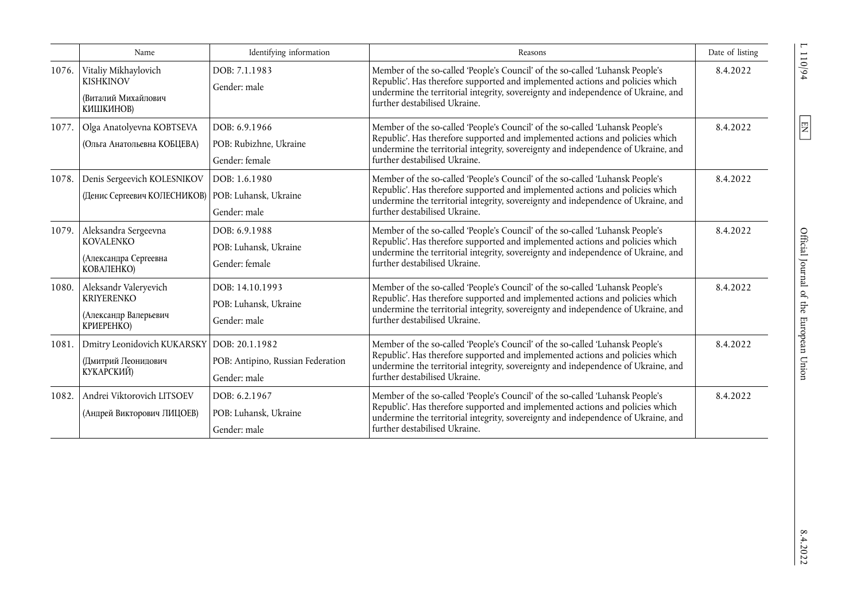|       | Name                                                                                | Identifying information                                             | Reasons                                                                                                                                                                                                                                                                              | Date of listing |
|-------|-------------------------------------------------------------------------------------|---------------------------------------------------------------------|--------------------------------------------------------------------------------------------------------------------------------------------------------------------------------------------------------------------------------------------------------------------------------------|-----------------|
| 1076. | Vitaliy Mikhaylovich<br><b>KISHKINOV</b><br>(Виталий Михайлович<br>КИШКИНОВ)        | DOB: 7.1.1983<br>Gender: male                                       | Member of the so-called 'People's Council' of the so-called 'Luhansk People's<br>Republic'. Has therefore supported and implemented actions and policies which<br>undermine the territorial integrity, sovereignty and independence of Ukraine, and<br>further destabilised Ukraine. | 8.4.2022        |
| 1077. | Olga Anatolyevna KOBTSEVA<br>(Ольга Анатольевна КОБЦЕВА)                            | DOB: 6.9.1966<br>POB: Rubizhne, Ukraine<br>Gender: female           | Member of the so-called 'People's Council' of the so-called 'Luhansk People's<br>Republic'. Has therefore supported and implemented actions and policies which<br>undermine the territorial integrity, sovereignty and independence of Ukraine, and<br>further destabilised Ukraine. | 8.4.2022        |
| 1078. | Denis Sergeevich KOLESNIKOV<br>(Денис Сергеевич КОЛЕСНИКОВ)   РОВ: Luhansk, Ukraine | DOB: 1.6.1980<br>Gender: male                                       | Member of the so-called 'People's Council' of the so-called 'Luhansk People's<br>Republic'. Has therefore supported and implemented actions and policies which<br>undermine the territorial integrity, sovereignty and independence of Ukraine, and<br>further destabilised Ukraine. | 8.4.2022        |
| 1079. | Aleksandra Sergeevna<br><b>KOVALENKO</b><br>(Александра Сергеевна<br>КОВАЛЕНКО)     | DOB: 6.9.1988<br>POB: Luhansk, Ukraine<br>Gender: female            | Member of the so-called 'People's Council' of the so-called 'Luhansk People's<br>Republic'. Has therefore supported and implemented actions and policies which<br>undermine the territorial integrity, sovereignty and independence of Ukraine, and<br>further destabilised Ukraine. | 8.4.2022        |
| 1080. | Aleksandr Valeryevich<br><b>KRIYERENKO</b><br>(Александр Валерьевич<br>КРИЕРЕНКО)   | DOB: 14.10.1993<br>POB: Luhansk, Ukraine<br>Gender: male            | Member of the so-called 'People's Council' of the so-called 'Luhansk People's<br>Republic'. Has therefore supported and implemented actions and policies which<br>undermine the territorial integrity, sovereignty and independence of Ukraine, and<br>further destabilised Ukraine. | 8.4.2022        |
| 1081. | Dmitry Leonidovich KUKARSKY<br>(Дмитрий Леонидович<br>КУКАРСКИЙ)                    | DOB: 20.1.1982<br>POB: Antipino, Russian Federation<br>Gender: male | Member of the so-called 'People's Council' of the so-called 'Luhansk People's<br>Republic'. Has therefore supported and implemented actions and policies which<br>undermine the territorial integrity, sovereignty and independence of Ukraine, and<br>further destabilised Ukraine. | 8.4.2022        |
| 1082. | Andrei Viktorovich LITSOEV<br>(Андрей Викторович ЛИЦОЕВ)                            | DOB: 6.2.1967<br>POB: Luhansk, Ukraine<br>Gender: male              | Member of the so-called 'People's Council' of the so-called 'Luhansk People's<br>Republic'. Has therefore supported and implemented actions and policies which<br>undermine the territorial integrity, sovereignty and independence of Ukraine, and<br>further destabilised Ukraine. | 8.4.2022        |

 $L 110/94$ 

 $\boxed{\text{EN}}$ 

 $8.4.2022$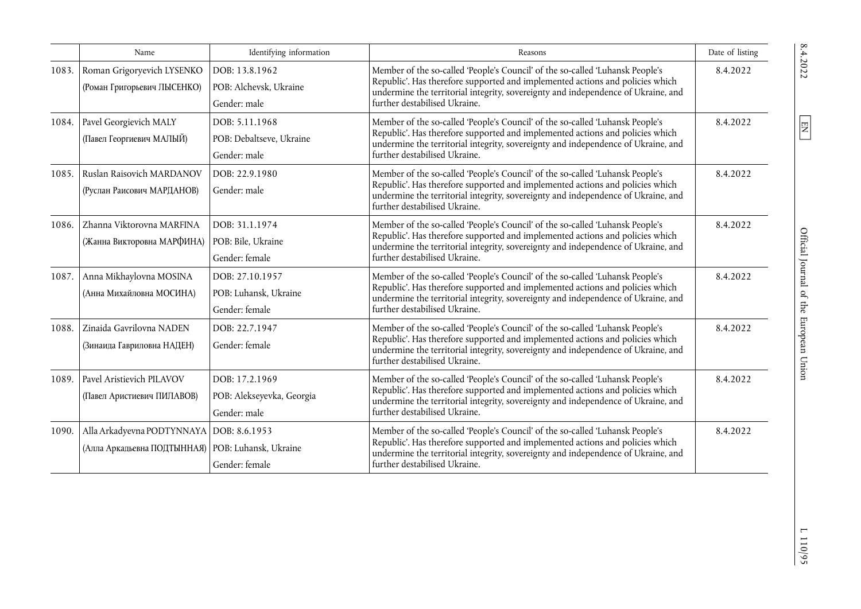|       | Name                                                                                              | Identifying information                                     | Reasons                                                                                                                                                                                                                                                                              | Date of listing |
|-------|---------------------------------------------------------------------------------------------------|-------------------------------------------------------------|--------------------------------------------------------------------------------------------------------------------------------------------------------------------------------------------------------------------------------------------------------------------------------------|-----------------|
| 1083. | Roman Grigoryevich LYSENKO<br>(Роман Григорьевич ЛЫСЕНКО)                                         | DOB: 13.8.1962<br>POB: Alchevsk, Ukraine<br>Gender: male    | Member of the so-called 'People's Council' of the so-called 'Luhansk People's<br>Republic'. Has therefore supported and implemented actions and policies which<br>undermine the territorial integrity, sovereignty and independence of Ukraine, and<br>further destabilised Ukraine. | 8.4.2022        |
| 1084. | Pavel Georgievich MALY<br>(Павел Георгиевич МАЛЫЙ)                                                | DOB: 5.11.1968<br>POB: Debaltseve, Ukraine<br>Gender: male  | Member of the so-called 'People's Council' of the so-called 'Luhansk People's<br>Republic'. Has therefore supported and implemented actions and policies which<br>undermine the territorial integrity, sovereignty and independence of Ukraine, and<br>further destabilised Ukraine. | 8.4.2022        |
| 1085. | Ruslan Raisovich MARDANOV<br>(Руслан Раисович МАРДАНОВ)                                           | DOB: 22.9.1980<br>Gender: male                              | Member of the so-called 'People's Council' of the so-called 'Luhansk People's<br>Republic'. Has therefore supported and implemented actions and policies which<br>undermine the territorial integrity, sovereignty and independence of Ukraine, and<br>further destabilised Ukraine. | 8.4.2022        |
| 1086. | Zhanna Viktorovna MARFINA<br>(Жанна Викторовна МАРФИНА)                                           | DOB: 31.1.1974<br>POB: Bile, Ukraine<br>Gender: female      | Member of the so-called 'People's Council' of the so-called 'Luhansk People's<br>Republic'. Has therefore supported and implemented actions and policies which<br>undermine the territorial integrity, sovereignty and independence of Ukraine, and<br>further destabilised Ukraine. | 8.4.2022        |
| 1087. | Anna Mikhaylovna MOSINA<br>(Анна Михайловна МОСИНА)                                               | DOB: 27.10.1957<br>POB: Luhansk, Ukraine<br>Gender: female  | Member of the so-called 'People's Council' of the so-called 'Luhansk People's<br>Republic'. Has therefore supported and implemented actions and policies which<br>undermine the territorial integrity, sovereignty and independence of Ukraine, and<br>further destabilised Ukraine. | 8.4.2022        |
| 1088. | Zinaida Gavrilovna NADEN<br>(Зинаида Гавриловна НАДЕН)                                            | DOB: 22.7.1947<br>Gender: female                            | Member of the so-called 'People's Council' of the so-called 'Luhansk People's<br>Republic'. Has therefore supported and implemented actions and policies which<br>undermine the territorial integrity, sovereignty and independence of Ukraine, and<br>further destabilised Ukraine. | 8.4.2022        |
| 1089. | Pavel Aristievich PILAVOV<br>(Павел Аристиевич ПИЛАВОВ)                                           | DOB: 17.2.1969<br>POB: Alekseyevka, Georgia<br>Gender: male | Member of the so-called 'People's Council' of the so-called 'Luhansk People's<br>Republic'. Has therefore supported and implemented actions and policies which<br>undermine the territorial integrity, sovereignty and independence of Ukraine, and<br>further destabilised Ukraine. | 8.4.2022        |
| 1090. | Alla Arkadyevna PODTYNNAYA   DOB: 8.6.1953<br>(Алла Аркадьевна ПОДТЫННАЯ)   POB: Luhansk, Ukraine | Gender: female                                              | Member of the so-called 'People's Council' of the so-called 'Luhansk People's<br>Republic'. Has therefore supported and implemented actions and policies which<br>undermine the territorial integrity, sovereignty and independence of Ukraine, and<br>further destabilised Ukraine. | 8.4.2022        |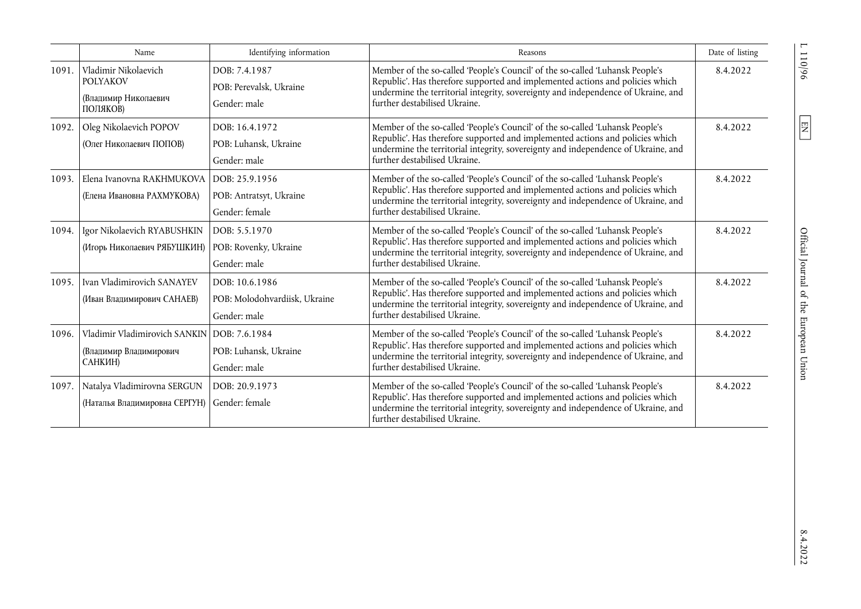|       | Name                                                                          | Identifying information                                         | Reasons                                                                                                                                                                                                                                                                              | Date of listing |
|-------|-------------------------------------------------------------------------------|-----------------------------------------------------------------|--------------------------------------------------------------------------------------------------------------------------------------------------------------------------------------------------------------------------------------------------------------------------------------|-----------------|
| 1091. | Vladimir Nikolaevich<br><b>POLYAKOV</b><br>(Владимир Николаевич<br>ПОЛЯКОВ)   | DOB: 7.4.1987<br>POB: Perevalsk, Ukraine<br>Gender: male        | Member of the so-called 'People's Council' of the so-called 'Luhansk People's<br>Republic'. Has therefore supported and implemented actions and policies which<br>undermine the territorial integrity, sovereignty and independence of Ukraine, and<br>further destabilised Ukraine. | 8.4.2022        |
| 1092. | Oleg Nikolaevich POPOV<br>(Олег Николаевич ПОПОВ)                             | DOB: 16.4.1972<br>POB: Luhansk, Ukraine<br>Gender: male         | Member of the so-called 'People's Council' of the so-called 'Luhansk People's<br>Republic'. Has therefore supported and implemented actions and policies which<br>undermine the territorial integrity, sovereignty and independence of Ukraine, and<br>further destabilised Ukraine. | 8.4.2022        |
| 1093. | Elena Ivanovna RAKHMUKOVA<br>(Елена Ивановна РАХМУКОВА)                       | DOB: 25.9.1956<br>POB: Antratsyt, Ukraine<br>Gender: female     | Member of the so-called 'People's Council' of the so-called 'Luhansk People's<br>Republic'. Has therefore supported and implemented actions and policies which<br>undermine the territorial integrity, sovereignty and independence of Ukraine, and<br>further destabilised Ukraine. | 8.4.2022        |
| 1094. | Igor Nikolaevich RYABUSHKIN<br>(Игорь Николаевич РЯБУШКИН)                    | DOB: 5.5.1970<br>POB: Rovenky, Ukraine<br>Gender: male          | Member of the so-called 'People's Council' of the so-called 'Luhansk People's<br>Republic'. Has therefore supported and implemented actions and policies which<br>undermine the territorial integrity, sovereignty and independence of Ukraine, and<br>further destabilised Ukraine. | 8.4.2022        |
| 1095. | Ivan Vladimirovich SANAYEV<br>(Иван Владимирович САНАЕВ)                      | DOB: 10.6.1986<br>POB: Molodohvardiisk, Ukraine<br>Gender: male | Member of the so-called 'People's Council' of the so-called 'Luhansk People's<br>Republic'. Has therefore supported and implemented actions and policies which<br>undermine the territorial integrity, sovereignty and independence of Ukraine, and<br>further destabilised Ukraine. | 8.4.2022        |
| 1096. | Vladimir Vladimirovich SANKIN<br>(Владимир Владимирович<br>САНКИН)            | DOB: 7.6.1984<br>POB: Luhansk, Ukraine<br>Gender: male          | Member of the so-called 'People's Council' of the so-called 'Luhansk People's<br>Republic'. Has therefore supported and implemented actions and policies which<br>undermine the territorial integrity, sovereignty and independence of Ukraine, and<br>further destabilised Ukraine. | 8.4.2022        |
| 1097. | Natalya Vladimirovna SERGUN<br>(Наталья Владимировна СЕРГУН)   Gender: female | DOB: 20.9.1973                                                  | Member of the so-called 'People's Council' of the so-called 'Luhansk People's<br>Republic'. Has therefore supported and implemented actions and policies which<br>undermine the territorial integrity, sovereignty and independence of Ukraine, and<br>further destabilised Ukraine. | 8.4.2022        |

 $110/96$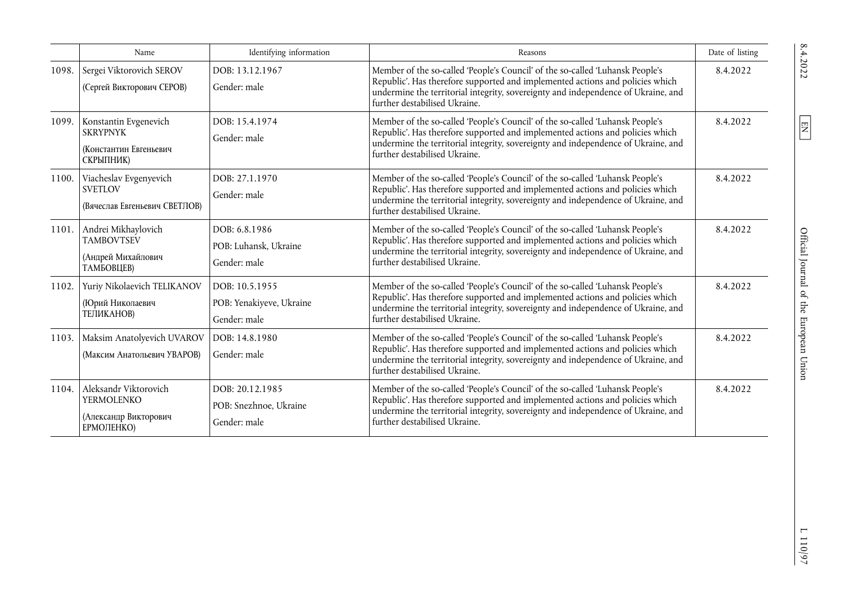|       | Name                                                                              | Identifying information                                    | Reasons                                                                                                                                                                                                                                                                              | Date of listing |
|-------|-----------------------------------------------------------------------------------|------------------------------------------------------------|--------------------------------------------------------------------------------------------------------------------------------------------------------------------------------------------------------------------------------------------------------------------------------------|-----------------|
| 1098. | Sergei Viktorovich SEROV<br>(Сергей Викторович СЕРОВ)                             | DOB: 13.12.1967<br>Gender: male                            | Member of the so-called 'People's Council' of the so-called 'Luhansk People's<br>Republic'. Has therefore supported and implemented actions and policies which<br>undermine the territorial integrity, sovereignty and independence of Ukraine, and<br>further destabilised Ukraine. | 8.4.2022        |
| 1099. | Konstantin Evgenevich<br><b>SKRYPNYK</b><br>(Константин Евгеньевич<br>СКРЫПНИК)   | DOB: 15.4.1974<br>Gender: male                             | Member of the so-called 'People's Council' of the so-called 'Luhansk People's<br>Republic'. Has therefore supported and implemented actions and policies which<br>undermine the territorial integrity, sovereignty and independence of Ukraine, and<br>further destabilised Ukraine. | 8.4.2022        |
| 1100. | Viacheslav Evgenyevich<br><b>SVETLOV</b><br>(Вячеслав Евгеньевич СВЕТЛОВ)         | DOB: 27.1.1970<br>Gender: male                             | Member of the so-called 'People's Council' of the so-called 'Luhansk People's<br>Republic'. Has therefore supported and implemented actions and policies which<br>undermine the territorial integrity, sovereignty and independence of Ukraine, and<br>further destabilised Ukraine. | 8.4.2022        |
| 1101. | Andrei Mikhaylovich<br><b>TAMBOVTSEV</b><br>(Андрей Михайлович<br>ТАМБОВЦЕВ)      | DOB: 6.8.1986<br>POB: Luhansk, Ukraine<br>Gender: male     | Member of the so-called 'People's Council' of the so-called 'Luhansk People's<br>Republic'. Has therefore supported and implemented actions and policies which<br>undermine the territorial integrity, sovereignty and independence of Ukraine, and<br>further destabilised Ukraine. | 8.4.2022        |
| 1102. | Yuriy Nikolaevich TELIKANOV<br>(Юрий Николаевич<br>ТЕЛИКАНОВ)                     | DOB: 10.5.1955<br>POB: Yenakiyeve, Ukraine<br>Gender: male | Member of the so-called 'People's Council' of the so-called 'Luhansk People's<br>Republic'. Has therefore supported and implemented actions and policies which<br>undermine the territorial integrity, sovereignty and independence of Ukraine, and<br>further destabilised Ukraine. | 8.4.2022        |
| 1103. | Maksim Anatolyevich UVAROV<br>(Максим Анатольевич УВАРОВ)                         | DOB: 14.8.1980<br>Gender: male                             | Member of the so-called 'People's Council' of the so-called 'Luhansk People's<br>Republic'. Has therefore supported and implemented actions and policies which<br>undermine the territorial integrity, sovereignty and independence of Ukraine, and<br>further destabilised Ukraine. | 8.4.2022        |
| 1104. | Aleksandr Viktorovich<br><b>YERMOLENKO</b><br>(Александр Викторович<br>ЕРМОЛЕНКО) | DOB: 20.12.1985<br>POB: Snezhnoe, Ukraine<br>Gender: male  | Member of the so-called 'People's Council' of the so-called 'Luhansk People's<br>Republic'. Has therefore supported and implemented actions and policies which<br>undermine the territorial integrity, sovereignty and independence of Ukraine, and<br>further destabilised Ukraine. | 8.4.2022        |

 $\boxed{\text{EN}}$ 

 $\;$  1 10/97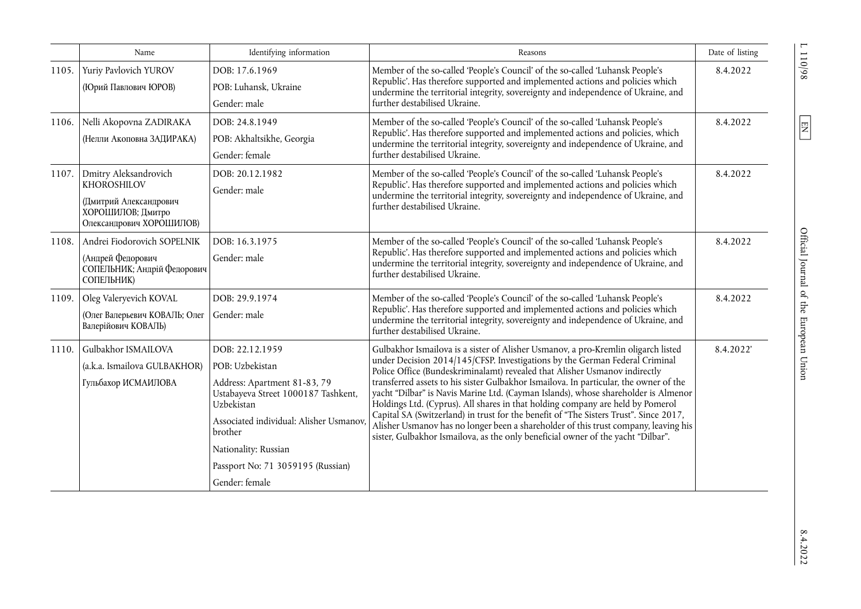|       | Name                                                                                                            | Identifying information                                                                                                                                                                                                                                      | Reasons                                                                                                                                                                                                                                                                                                                                                                                                                                                                                                                                                                                                                                                                                                                                                                             | Date of listing |
|-------|-----------------------------------------------------------------------------------------------------------------|--------------------------------------------------------------------------------------------------------------------------------------------------------------------------------------------------------------------------------------------------------------|-------------------------------------------------------------------------------------------------------------------------------------------------------------------------------------------------------------------------------------------------------------------------------------------------------------------------------------------------------------------------------------------------------------------------------------------------------------------------------------------------------------------------------------------------------------------------------------------------------------------------------------------------------------------------------------------------------------------------------------------------------------------------------------|-----------------|
| 1105. | Yuriy Pavlovich YUROV<br>(Юрий Павлович ЮРОВ)                                                                   | DOB: 17.6.1969<br>POB: Luhansk, Ukraine<br>Gender: male                                                                                                                                                                                                      | Member of the so-called 'People's Council' of the so-called 'Luhansk People's<br>Republic'. Has therefore supported and implemented actions and policies which<br>undermine the territorial integrity, sovereignty and independence of Ukraine, and<br>further destabilised Ukraine.                                                                                                                                                                                                                                                                                                                                                                                                                                                                                                | 8.4.2022        |
| 1106. | Nelli Akopovna ZADIRAKA<br>(Нелли Акоповна ЗАДИРАКА)                                                            | DOB: 24.8.1949<br>POB: Akhaltsikhe, Georgia<br>Gender: female                                                                                                                                                                                                | Member of the so-called 'People's Council' of the so-called 'Luhansk People's<br>Republic'. Has therefore supported and implemented actions and policies, which<br>undermine the territorial integrity, sovereignty and independence of Ukraine, and<br>further destabilised Ukraine.                                                                                                                                                                                                                                                                                                                                                                                                                                                                                               | 8.4.2022        |
| 1107. | Dmitry Aleksandrovich<br>KHOROSHILOV<br>(Дмитрий Александрович<br>ХОРОШИЛОВ; Дмитро<br>Олександрович ХОРОШИЛОВ) | DOB: 20.12.1982<br>Gender: male                                                                                                                                                                                                                              | Member of the so-called 'People's Council' of the so-called 'Luhansk People's<br>Republic'. Has therefore supported and implemented actions and policies which<br>undermine the territorial integrity, sovereignty and independence of Ukraine, and<br>further destabilised Ukraine.                                                                                                                                                                                                                                                                                                                                                                                                                                                                                                | 8.4.2022        |
| 1108. | Andrei Fiodorovich SOPELNIK<br>(Андрей Федорович<br>СОПЕЛЬНИК; Андрій Федорович<br>СОПЕЛЬНИК)                   | DOB: 16.3.1975<br>Gender: male                                                                                                                                                                                                                               | Member of the so-called 'People's Council' of the so-called 'Luhansk People's<br>Republic'. Has therefore supported and implemented actions and policies which<br>undermine the territorial integrity, sovereignty and independence of Ukraine, and<br>further destabilised Ukraine.                                                                                                                                                                                                                                                                                                                                                                                                                                                                                                | 8.4.2022        |
| 1109. | Oleg Valeryevich KOVAL<br>(Олег Валерьевич КОВАЛЬ; Олег<br>Валерійович КОВАЛЬ)                                  | DOB: 29.9.1974<br>Gender: male                                                                                                                                                                                                                               | Member of the so-called 'People's Council' of the so-called 'Luhansk People's<br>Republic'. Has therefore supported and implemented actions and policies which<br>undermine the territorial integrity, sovereignty and independence of Ukraine, and<br>further destabilised Ukraine.                                                                                                                                                                                                                                                                                                                                                                                                                                                                                                | 8.4.2022        |
| 1110. | Gulbakhor ISMAILOVA<br>(a.k.a. Ismailova GULBAKHOR)<br>Гульбахор ИСМАИЛОВА                                      | DOB: 22.12.1959<br>POB: Uzbekistan<br>Address: Apartment 81-83, 79<br>Ustabayeva Street 1000187 Tashkent,<br>Uzbekistan<br>Associated individual: Alisher Usmanov,<br>brother<br>Nationality: Russian<br>Passport No: 71 3059195 (Russian)<br>Gender: female | Gulbakhor Ismailova is a sister of Alisher Usmanov, a pro-Kremlin oligarch listed<br>under Decision 2014/145/CFSP. Investigations by the German Federal Criminal<br>Police Office (Bundeskriminalamt) revealed that Alisher Usmanov indirectly<br>transferred assets to his sister Gulbakhor Ismailova. In particular, the owner of the<br>yacht "Dilbar" is Navis Marine Ltd. (Cayman Islands), whose shareholder is Almenor<br>Holdings Ltd. (Cyprus). All shares in that holding company are held by Pomerol<br>Capital SA (Switzerland) in trust for the benefit of "The Sisters Trust". Since 2017,<br>Alisher Usmanov has no longer been a shareholder of this trust company, leaving his<br>sister, Gulbakhor Ismailova, as the only beneficial owner of the yacht "Dilbar". | 8.4.2022        |

 $\frac{110}{9}$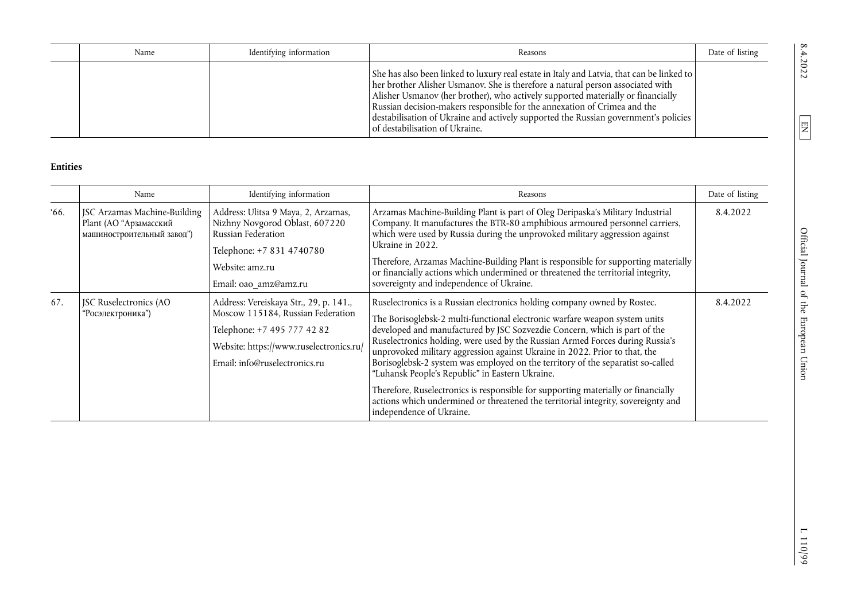| Name | Identifying information | Reasons                                                                                                                                                                                                                                                                                                                                                                                                                                                                 | Date of listing |
|------|-------------------------|-------------------------------------------------------------------------------------------------------------------------------------------------------------------------------------------------------------------------------------------------------------------------------------------------------------------------------------------------------------------------------------------------------------------------------------------------------------------------|-----------------|
|      |                         | She has also been linked to luxury real estate in Italy and Latvia, that can be linked to<br>her brother Alisher Usmanov. She is therefore a natural person associated with<br>Alisher Usmanov (her brother), who actively supported materially or financially<br>Russian decision-makers responsible for the annexation of Crimea and the<br>destabilisation of Ukraine and actively supported the Russian government's policies  <br>l of destabilisation of Ukraine. |                 |

## **Entities**

|              | Name                                                                                 | Identifying information                                                                                                                                                                | Reasons                                                                                                                                                                                                                                                                                                                                                                                                                                                                                                                                                                                                                                                                                                                                        | Date of listing |
|--------------|--------------------------------------------------------------------------------------|----------------------------------------------------------------------------------------------------------------------------------------------------------------------------------------|------------------------------------------------------------------------------------------------------------------------------------------------------------------------------------------------------------------------------------------------------------------------------------------------------------------------------------------------------------------------------------------------------------------------------------------------------------------------------------------------------------------------------------------------------------------------------------------------------------------------------------------------------------------------------------------------------------------------------------------------|-----------------|
| <i>'</i> 66. | JSC Arzamas Machine-Building<br>Plant (АО "Арзамасский<br>машиностроительный завод") | Address: Ulitsa 9 Maya, 2, Arzamas,<br>Nizhny Novgorod Oblast, 607220<br>Russian Federation<br>Telephone: +7 831 4740780<br>Website: amz.ru<br>Email: oao_amz@amz.ru                   | Arzamas Machine-Building Plant is part of Oleg Deripaska's Military Industrial<br>Company. It manufactures the BTR-80 amphibious armoured personnel carriers,<br>which were used by Russia during the unprovoked military aggression against<br>Ukraine in 2022.<br>Therefore, Arzamas Machine-Building Plant is responsible for supporting materially<br>or financially actions which undermined or threatened the territorial integrity,<br>sovereignty and independence of Ukraine.                                                                                                                                                                                                                                                         | 8.4.2022        |
| 67.          | JSC Ruselectronics (AO<br>"Росэлектроника")                                          | Address: Vereiskaya Str., 29, p. 141.,<br>Moscow 115184, Russian Federation<br>Telephone: +7 495 777 42 82<br>Website: https://www.ruselectronics.ru/<br>Email: info@ruselectronics.ru | Ruselectronics is a Russian electronics holding company owned by Rostec.<br>The Borisoglebsk-2 multi-functional electronic warfare weapon system units<br>developed and manufactured by JSC Sozvezdie Concern, which is part of the<br>Ruselectronics holding, were used by the Russian Armed Forces during Russia's<br>unprovoked military aggression against Ukraine in 2022. Prior to that, the<br>Borisoglebsk-2 system was employed on the territory of the separatist so-called<br>"Luhansk People's Republic" in Eastern Ukraine.<br>Therefore, Ruselectronics is responsible for supporting materially or financially<br>actions which undermined or threatened the territorial integrity, sovereignty and<br>independence of Ukraine. | 8.4.2022        |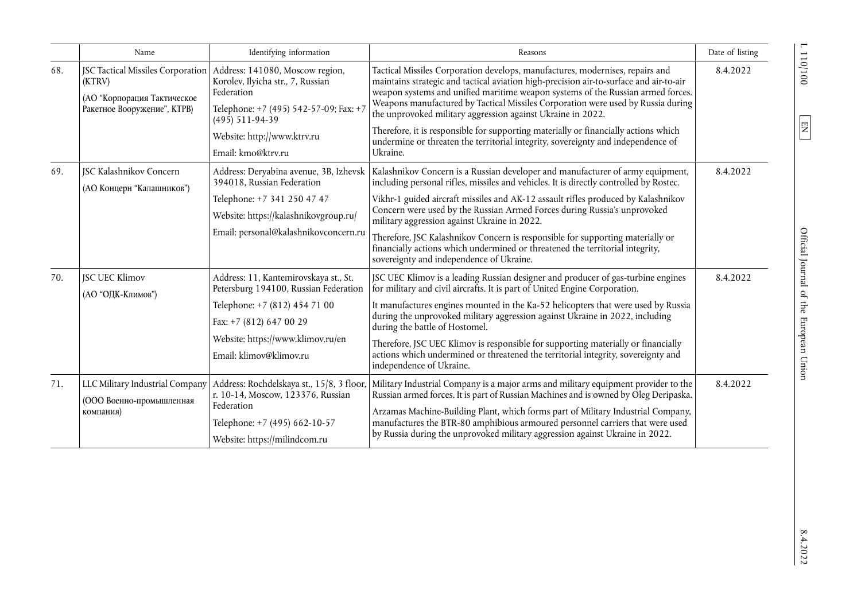|     | Name                                                                                                      | Identifying information                                                                                                                                                                                    | Reasons                                                                                                                                                                                                                                                                                                                                                                                                                                                                                                                                                                                                  | Date of listing |
|-----|-----------------------------------------------------------------------------------------------------------|------------------------------------------------------------------------------------------------------------------------------------------------------------------------------------------------------------|----------------------------------------------------------------------------------------------------------------------------------------------------------------------------------------------------------------------------------------------------------------------------------------------------------------------------------------------------------------------------------------------------------------------------------------------------------------------------------------------------------------------------------------------------------------------------------------------------------|-----------------|
| 68. | JSC Tactical Missiles Corporation<br>(KTRV)<br>(АО "Корпорация Тактическое<br>Ракетное Вооружение", КТРВ) | Address: 141080, Moscow region,<br>Korolev, Ilyicha str., 7, Russian<br>Federation<br>Telephone: +7 (495) 542-57-09; Fax: +7<br>$(495)$ 511-94-39<br>Website: http://www.ktrv.ru<br>Email: kmo@ktrv.ru     | Tactical Missiles Corporation develops, manufactures, modernises, repairs and<br>maintains strategic and tactical aviation high-precision air-to-surface and air-to-air<br>weapon systems and unified maritime weapon systems of the Russian armed forces.<br>Weapons manufactured by Tactical Missiles Corporation were used by Russia during<br>the unprovoked military aggression against Ukraine in 2022.<br>Therefore, it is responsible for supporting materially or financially actions which<br>undermine or threaten the territorial integrity, sovereignty and independence of<br>Ukraine.     | 8.4.2022        |
| 69. | <b>JSC Kalashnikov Concern</b><br>(АО Концерн "Калашников")                                               | Address: Deryabina avenue, 3B, Izhevsk<br>394018, Russian Federation<br>Telephone: +7 341 250 47 47<br>Website: https://kalashnikovgroup.ru/<br>Email: personal@kalashnikovconcern.ru                      | Kalashnikov Concern is a Russian developer and manufacturer of army equipment,<br>including personal rifles, missiles and vehicles. It is directly controlled by Rostec.<br>Vikhr-1 guided aircraft missiles and AK-12 assault rifles produced by Kalashnikov<br>Concern were used by the Russian Armed Forces during Russia's unprovoked<br>military aggression against Ukraine in 2022.<br>Therefore, JSC Kalashnikov Concern is responsible for supporting materially or<br>financially actions which undermined or threatened the territorial integrity,<br>sovereignty and independence of Ukraine. | 8.4.2022        |
| 70. | <b>JSC UEC Klimov</b><br>(АО "ОДК-Климов")                                                                | Address: 11, Kantemirovskaya st., St.<br>Petersburg 194100, Russian Federation<br>Telephone: +7 (812) 454 71 00<br>Fax: +7 (812) 647 00 29<br>Website: https://www.klimov.ru/en<br>Email: klimov@klimov.ru | JSC UEC Klimov is a leading Russian designer and producer of gas-turbine engines<br>for military and civil aircrafts. It is part of United Engine Corporation.<br>It manufactures engines mounted in the Ka-52 helicopters that were used by Russia<br>during the unprovoked military aggression against Ukraine in 2022, including<br>during the battle of Hostomel.<br>Therefore, JSC UEC Klimov is responsible for supporting materially or financially<br>actions which undermined or threatened the territorial integrity, sovereignty and<br>independence of Ukraine.                              | 8.4.2022        |
| 71. | LLC Military Industrial Company<br>(ООО Военно-промышленная<br>компания)                                  | Address: Rochdelskaya st., 15/8, 3 floor<br>r. 10-14, Moscow, 123376, Russian<br>Federation<br>Telephone: +7 (495) 662-10-57<br>Website: https://milindcom.ru                                              | Military Industrial Company is a major arms and military equipment provider to the<br>Russian armed forces. It is part of Russian Machines and is owned by Oleg Deripaska.<br>Arzamas Machine-Building Plant, which forms part of Military Industrial Company,<br>manufactures the BTR-80 amphibious armoured personnel carriers that were used<br>by Russia during the unprovoked military aggression against Ukraine in 2022.                                                                                                                                                                          | 8.4.2022        |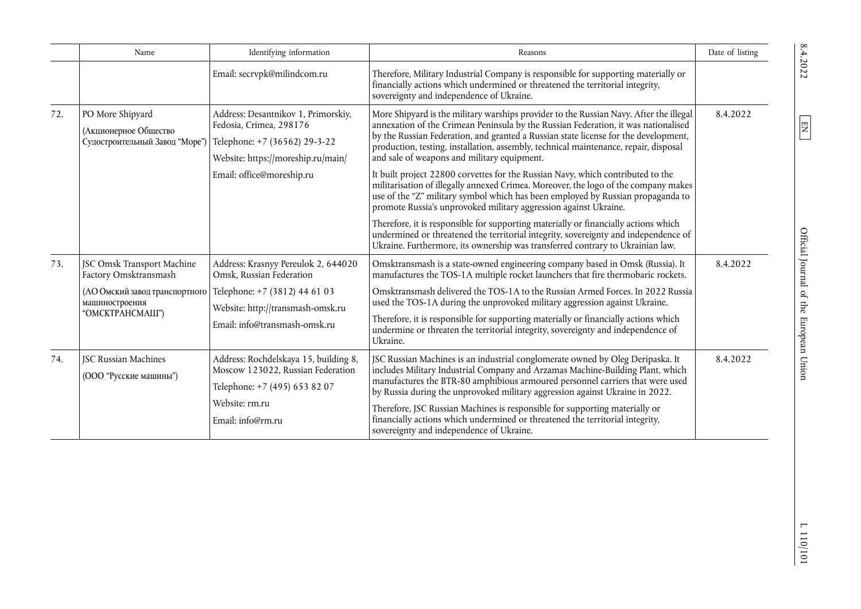|     | Name                                                                        | Identifying information                                                                                                               | Reasons                                                                                                                                                                                                                                                                                                                                                                                                    | Date of listing |
|-----|-----------------------------------------------------------------------------|---------------------------------------------------------------------------------------------------------------------------------------|------------------------------------------------------------------------------------------------------------------------------------------------------------------------------------------------------------------------------------------------------------------------------------------------------------------------------------------------------------------------------------------------------------|-----------------|
|     |                                                                             | Email: secrvpk@milindcom.ru                                                                                                           | Therefore, Military Industrial Company is responsible for supporting materially or<br>financially actions which undermined or threatened the territorial integrity,<br>sovereignty and independence of Ukraine.                                                                                                                                                                                            |                 |
| 72. | PO More Shipyard<br>(Акционерное Общество<br>Судостроительный Завод "Море") | Address: Desantnikov 1, Primorskiy,<br>Fedosia, Crimea, 298176<br>Telephone: +7 (36562) 29-3-22<br>Website: https://moreship.ru/main/ | More Shipyard is the military warships provider to the Russian Navy. After the illegal<br>annexation of the Crimean Peninsula by the Russian Federation, it was nationalised<br>by the Russian Federation, and granted a Russian state license for the development,<br>production, testing, installation, assembly, technical maintenance, repair, disposal<br>and sale of weapons and military equipment. | 8.4.2022        |
|     |                                                                             | Email: office@moreship.ru                                                                                                             | It built project 22800 corvettes for the Russian Navy, which contributed to the<br>militarisation of illegally annexed Crimea. Moreover, the logo of the company makes<br>use of the "Z" military symbol which has been employed by Russian propaganda to<br>promote Russia's unprovoked military aggression against Ukraine.                                                                              |                 |
|     |                                                                             |                                                                                                                                       | Therefore, it is responsible for supporting materially or financially actions which<br>undermined or threatened the territorial integrity, sovereignty and independence of<br>Ukraine. Furthermore, its ownership was transferred contrary to Ukrainian law.                                                                                                                                               |                 |
| 73. | JSC Omsk Transport Machine<br>Factory Omsktransmash                         | Address: Krasnyy Pereulok 2, 644020<br>Omsk, Russian Federation                                                                       | Omsktransmash is a state-owned engineering company based in Omsk (Russia). It<br>manufactures the TOS-1A multiple rocket launchers that fire thermobaric rockets.                                                                                                                                                                                                                                          | 8.4.2022        |
|     | (АО Омский завод транспортного<br>машиностроения<br>"OMCKTPAHCMAIII")       | Telephone: +7 (3812) 44 61 03<br>Website: http://transmash-omsk.ru                                                                    | Omsktransmash delivered the TOS-1A to the Russian Armed Forces. In 2022 Russia<br>used the TOS-1A during the unprovoked military aggression against Ukraine.                                                                                                                                                                                                                                               |                 |
|     |                                                                             | Email: info@transmash-omsk.ru                                                                                                         | Therefore, it is responsible for supporting materially or financially actions which<br>undermine or threaten the territorial integrity, sovereignty and independence of<br>Ukraine.                                                                                                                                                                                                                        |                 |
| 74. | <b>JSC Russian Machines</b><br>(ООО "Русские машины")                       | Address: Rochdelskaya 15, building 8,<br>Moscow 123022, Russian Federation<br>Telephone: +7 (495) 653 82 07                           | JSC Russian Machines is an industrial conglomerate owned by Oleg Deripaska. It<br>includes Military Industrial Company and Arzamas Machine-Building Plant, which<br>manufactures the BTR-80 amphibious armoured personnel carriers that were used<br>by Russia during the unprovoked military aggression against Ukraine in 2022.                                                                          | 8.4.2022        |
|     |                                                                             | Website: rm.ru<br>Email: info@rm.ru                                                                                                   | Therefore, JSC Russian Machines is responsible for supporting materially or<br>financially actions which undermined or threatened the territorial integrity,<br>sovereignty and independence of Ukraine.                                                                                                                                                                                                   |                 |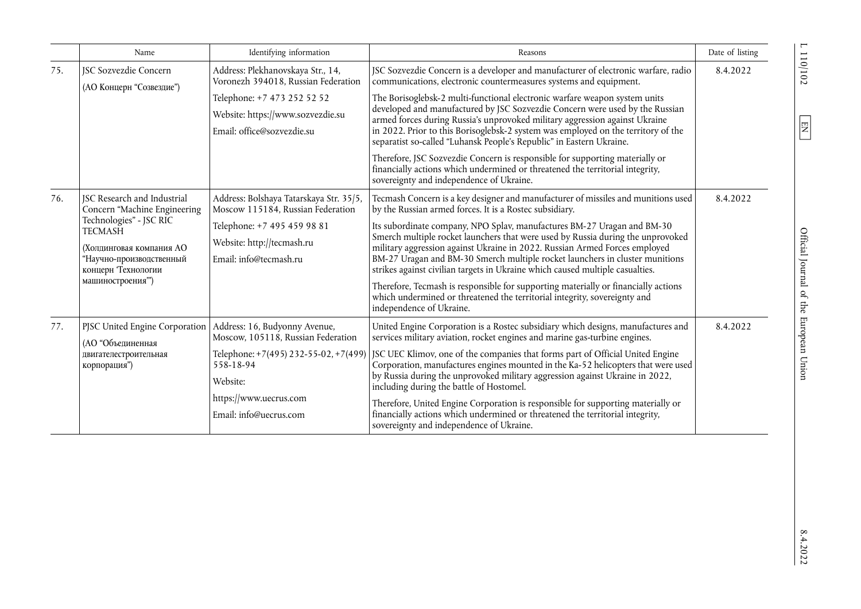|     | Name                                                                                                                                                                                                              | Identifying information                                                                                                                                                                                                                                                                                                                                                                                | Reasons                                                                                                                                                                                                                                                                                                                                                                                                                                                                                                                                                                                                                                                                                                                                                  | Date of listing |
|-----|-------------------------------------------------------------------------------------------------------------------------------------------------------------------------------------------------------------------|--------------------------------------------------------------------------------------------------------------------------------------------------------------------------------------------------------------------------------------------------------------------------------------------------------------------------------------------------------------------------------------------------------|----------------------------------------------------------------------------------------------------------------------------------------------------------------------------------------------------------------------------------------------------------------------------------------------------------------------------------------------------------------------------------------------------------------------------------------------------------------------------------------------------------------------------------------------------------------------------------------------------------------------------------------------------------------------------------------------------------------------------------------------------------|-----------------|
| 75. | <b>ISC Sozvezdie Concern</b><br>(АО Концерн "Созвездие")                                                                                                                                                          | Address: Plekhanovskaya Str., 14,<br>Voronezh 394018, Russian Federation                                                                                                                                                                                                                                                                                                                               | JSC Sozvezdie Concern is a developer and manufacturer of electronic warfare, radio<br>communications, electronic countermeasures systems and equipment.                                                                                                                                                                                                                                                                                                                                                                                                                                                                                                                                                                                                  | 8.4.2022        |
|     | Telephone: +7 473 252 52 52<br>Website: https://www.sozvezdie.su<br>Email: office@sozvezdie.su                                                                                                                    | The Borisoglebsk-2 multi-functional electronic warfare weapon system units<br>developed and manufactured by JSC Sozvezdie Concern were used by the Russian<br>armed forces during Russia's unprovoked military aggression against Ukraine<br>in 2022. Prior to this Borisoglebsk-2 system was employed on the territory of the<br>separatist so-called "Luhansk People's Republic" in Eastern Ukraine. |                                                                                                                                                                                                                                                                                                                                                                                                                                                                                                                                                                                                                                                                                                                                                          |                 |
|     |                                                                                                                                                                                                                   |                                                                                                                                                                                                                                                                                                                                                                                                        | Therefore, JSC Sozvezdie Concern is responsible for supporting materially or<br>financially actions which undermined or threatened the territorial integrity,<br>sovereignty and independence of Ukraine.                                                                                                                                                                                                                                                                                                                                                                                                                                                                                                                                                |                 |
| 76. | <b>ISC Research and Industrial</b><br>Concern "Machine Engineering<br>Technologies" - JSC RIC<br><b>TECMASH</b><br>(Холпинговая компания АО<br>"Научно-производственный<br>концерн Технологии<br>машиностроения") | Address: Bolshaya Tatarskaya Str. 35/5,<br>Moscow 115184, Russian Federation<br>Telephone: +7 495 459 98 81<br>Website: http://tecmash.ru<br>Email: info@tecmash.ru                                                                                                                                                                                                                                    | Tecmash Concern is a key designer and manufacturer of missiles and munitions used<br>by the Russian armed forces. It is a Rostec subsidiary.<br>Its subordinate company, NPO Splav, manufactures BM-27 Uragan and BM-30<br>Smerch multiple rocket launchers that were used by Russia during the unprovoked<br>military aggression against Ukraine in 2022. Russian Armed Forces employed<br>BM-27 Uragan and BM-30 Smerch multiple rocket launchers in cluster munitions<br>strikes against civilian targets in Ukraine which caused multiple casualties.<br>Therefore, Tecmash is responsible for supporting materially or financially actions<br>which undermined or threatened the territorial integrity, sovereignty and<br>independence of Ukraine. | 8.4.2022        |
| 77. | PJSC United Engine Corporation<br>(АО "Объединенная<br>двигателестроительная<br>корпорация")                                                                                                                      | Address: 16, Budyonny Avenue,<br>Moscow, 105118, Russian Federation<br>558-18-94<br>Website:<br>https://www.uecrus.com<br>Email: info@uecrus.com                                                                                                                                                                                                                                                       | United Engine Corporation is a Rostec subsidiary which designs, manufactures and<br>services military aviation, rocket engines and marine gas-turbine engines.<br>Telephone: $+7(495)$ 232-55-02, $+7(499)$ JSC UEC Klimov, one of the companies that forms part of Official United Engine<br>Corporation, manufactures engines mounted in the Ka-52 helicopters that were used<br>by Russia during the unprovoked military aggression against Ukraine in 2022,<br>including during the battle of Hostomel.<br>Therefore, United Engine Corporation is responsible for supporting materially or<br>financially actions which undermined or threatened the territorial integrity,<br>sovereignty and independence of Ukraine.                             | 8.4.2022        |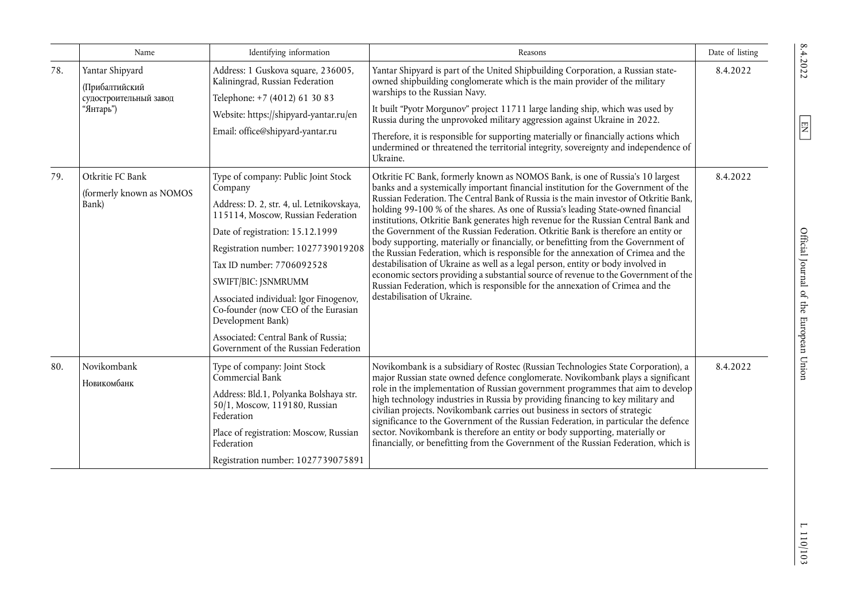|     | Name                                                                            | Identifying information                                                                                                                                                                                                                                                                                                                                                                                                                              | Reasons                                                                                                                                                                                                                                                                                                                                                                                                                                                                                                                                                                                                                                                                                                                                                                                                                                                                                                                                                                                           | Date of listing |
|-----|---------------------------------------------------------------------------------|------------------------------------------------------------------------------------------------------------------------------------------------------------------------------------------------------------------------------------------------------------------------------------------------------------------------------------------------------------------------------------------------------------------------------------------------------|---------------------------------------------------------------------------------------------------------------------------------------------------------------------------------------------------------------------------------------------------------------------------------------------------------------------------------------------------------------------------------------------------------------------------------------------------------------------------------------------------------------------------------------------------------------------------------------------------------------------------------------------------------------------------------------------------------------------------------------------------------------------------------------------------------------------------------------------------------------------------------------------------------------------------------------------------------------------------------------------------|-----------------|
| 78. | Yantar Shipyard<br><b>(Прибалтийский</b><br>судостроительный завод<br>"Янтарь") | Address: 1 Guskova square, 236005,<br>Kaliningrad, Russian Federation<br>Telephone: +7 (4012) 61 30 83<br>Website: https://shipyard-yantar.ru/en                                                                                                                                                                                                                                                                                                     | Yantar Shipyard is part of the United Shipbuilding Corporation, a Russian state-<br>owned shipbuilding conglomerate which is the main provider of the military<br>warships to the Russian Navy.<br>It built "Pyotr Morgunov" project 11711 large landing ship, which was used by<br>Russia during the unprovoked military aggression against Ukraine in 2022.                                                                                                                                                                                                                                                                                                                                                                                                                                                                                                                                                                                                                                     | 8.4.2022        |
|     |                                                                                 | Email: office@shipyard-yantar.ru                                                                                                                                                                                                                                                                                                                                                                                                                     | Therefore, it is responsible for supporting materially or financially actions which<br>undermined or threatened the territorial integrity, sovereignty and independence of<br>Ukraine.                                                                                                                                                                                                                                                                                                                                                                                                                                                                                                                                                                                                                                                                                                                                                                                                            |                 |
| 79. | Otkritie FC Bank<br>(formerly known as NOMOS<br>Bank)                           | Type of company: Public Joint Stock<br>Company<br>Address: D. 2, str. 4, ul. Letnikovskaya,<br>115114, Moscow, Russian Federation<br>Date of registration: 15.12.1999<br>Registration number: 1027739019208<br>Tax ID number: 7706092528<br>SWIFT/BIC: JSNMRUMM<br>Associated individual: Igor Finogenov,<br>Co-founder (now CEO of the Eurasian<br>Development Bank)<br>Associated: Central Bank of Russia;<br>Government of the Russian Federation | Otkritie FC Bank, formerly known as NOMOS Bank, is one of Russia's 10 largest<br>banks and a systemically important financial institution for the Government of the<br>Russian Federation. The Central Bank of Russia is the main investor of Otkritie Bank,<br>holding 99-100 % of the shares. As one of Russia's leading State-owned financial<br>institutions, Otkritie Bank generates high revenue for the Russian Central Bank and<br>the Government of the Russian Federation. Otkritie Bank is therefore an entity or<br>body supporting, materially or financially, or benefitting from the Government of<br>the Russian Federation, which is responsible for the annexation of Crimea and the<br>destabilisation of Ukraine as well as a legal person, entity or body involved in<br>economic sectors providing a substantial source of revenue to the Government of the<br>Russian Federation, which is responsible for the annexation of Crimea and the<br>destabilisation of Ukraine. | 8.4.2022        |
| 80. | Novikombank<br>Новикомбанк                                                      | Type of company: Joint Stock<br>Commercial Bank<br>Address: Bld.1, Polyanka Bolshaya str.<br>50/1, Moscow, 119180, Russian<br>Federation<br>Place of registration: Moscow, Russian<br>Federation<br>Registration number: 1027739075891                                                                                                                                                                                                               | Novikombank is a subsidiary of Rostec (Russian Technologies State Corporation), a<br>major Russian state owned defence conglomerate. Novikombank plays a significant<br>role in the implementation of Russian government programmes that aim to develop<br>high technology industries in Russia by providing financing to key military and<br>civilian projects. Novikombank carries out business in sectors of strategic<br>significance to the Government of the Russian Federation, in particular the defence<br>sector. Novikombank is therefore an entity or body supporting, materially or<br>financially, or benefitting from the Government of the Russian Federation, which is                                                                                                                                                                                                                                                                                                           | 8.4.2022        |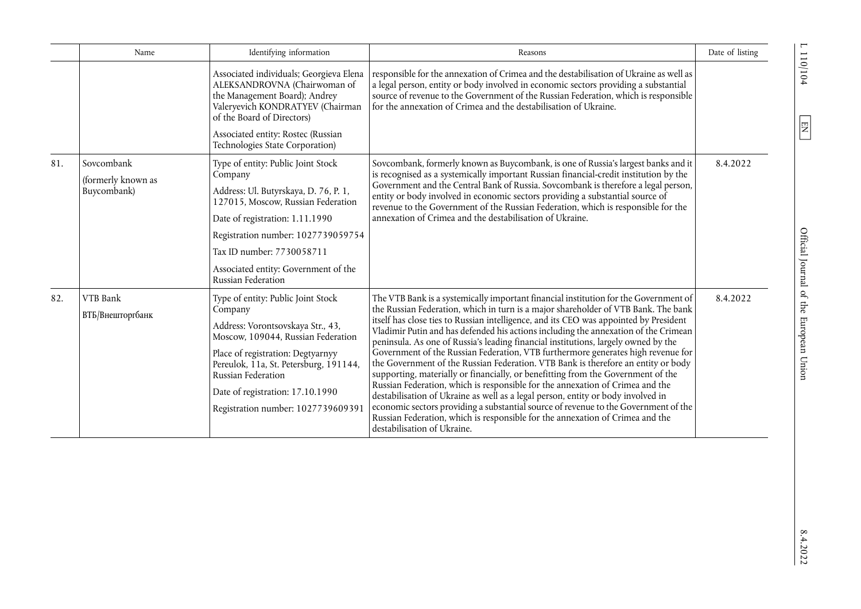|     | Name                                                                                                                                      | Identifying information                                                                                                                                                                                                                                                                                 | Reasons                                                                                                                                                                                                                                                                                                                                                                                                                                                                                                                                                                                                                                                                                                                                                                                                                                                                                                                                                                                                                                                                                                                                                                                                                                                                                      | Date of listing |
|-----|-------------------------------------------------------------------------------------------------------------------------------------------|---------------------------------------------------------------------------------------------------------------------------------------------------------------------------------------------------------------------------------------------------------------------------------------------------------|----------------------------------------------------------------------------------------------------------------------------------------------------------------------------------------------------------------------------------------------------------------------------------------------------------------------------------------------------------------------------------------------------------------------------------------------------------------------------------------------------------------------------------------------------------------------------------------------------------------------------------------------------------------------------------------------------------------------------------------------------------------------------------------------------------------------------------------------------------------------------------------------------------------------------------------------------------------------------------------------------------------------------------------------------------------------------------------------------------------------------------------------------------------------------------------------------------------------------------------------------------------------------------------------|-----------------|
|     |                                                                                                                                           | Associated individuals; Georgieva Elena<br>ALEKSANDROVNA (Chairwoman of<br>the Management Board); Andrey<br>Valeryevich KONDRATYEV (Chairman<br>of the Board of Directors)<br>Associated entity: Rostec (Russian                                                                                        | responsible for the annexation of Crimea and the destabilisation of Ukraine as well as<br>a legal person, entity or body involved in economic sectors providing a substantial<br>source of revenue to the Government of the Russian Federation, which is responsible<br>for the annexation of Crimea and the destabilisation of Ukraine.                                                                                                                                                                                                                                                                                                                                                                                                                                                                                                                                                                                                                                                                                                                                                                                                                                                                                                                                                     |                 |
|     |                                                                                                                                           | Technologies State Corporation)                                                                                                                                                                                                                                                                         |                                                                                                                                                                                                                                                                                                                                                                                                                                                                                                                                                                                                                                                                                                                                                                                                                                                                                                                                                                                                                                                                                                                                                                                                                                                                                              |                 |
| 81. | Sovcombank<br>Type of entity: Public Joint Stock<br>Company<br>(formerly known as<br>Buycombank)<br>Address: Ul. Butyrskaya, D. 76, P. 1, | Sovcombank, formerly known as Buycombank, is one of Russia's largest banks and it<br>is recognised as a systemically important Russian financial-credit institution by the<br>Government and the Central Bank of Russia. Sovcombank is therefore a legal person,                                        | 8.4.2022                                                                                                                                                                                                                                                                                                                                                                                                                                                                                                                                                                                                                                                                                                                                                                                                                                                                                                                                                                                                                                                                                                                                                                                                                                                                                     |                 |
|     |                                                                                                                                           | 127015, Moscow, Russian Federation<br>Date of registration: 1.11.1990                                                                                                                                                                                                                                   | entity or body involved in economic sectors providing a substantial source of<br>revenue to the Government of the Russian Federation, which is responsible for the<br>annexation of Crimea and the destabilisation of Ukraine.<br>The VTB Bank is a systemically important financial institution for the Government of<br>the Russian Federation, which in turn is a major shareholder of VTB Bank. The bank<br>itself has close ties to Russian intelligence, and its CEO was appointed by President<br>Vladimir Putin and has defended his actions including the annexation of the Crimean<br>peninsula. As one of Russia's leading financial institutions, largely owned by the<br>Government of the Russian Federation, VTB furthermore generates high revenue for<br>the Government of the Russian Federation. VTB Bank is therefore an entity or body<br>supporting, materially or financially, or benefitting from the Government of the<br>Russian Federation, which is responsible for the annexation of Crimea and the<br>destabilisation of Ukraine as well as a legal person, entity or body involved in<br>economic sectors providing a substantial source of revenue to the Government of the<br>Russian Federation, which is responsible for the annexation of Crimea and the |                 |
|     |                                                                                                                                           | Registration number: 1027739059754                                                                                                                                                                                                                                                                      |                                                                                                                                                                                                                                                                                                                                                                                                                                                                                                                                                                                                                                                                                                                                                                                                                                                                                                                                                                                                                                                                                                                                                                                                                                                                                              |                 |
|     |                                                                                                                                           | Tax ID number: 7730058711                                                                                                                                                                                                                                                                               |                                                                                                                                                                                                                                                                                                                                                                                                                                                                                                                                                                                                                                                                                                                                                                                                                                                                                                                                                                                                                                                                                                                                                                                                                                                                                              |                 |
|     |                                                                                                                                           | Associated entity: Government of the<br>Russian Federation                                                                                                                                                                                                                                              |                                                                                                                                                                                                                                                                                                                                                                                                                                                                                                                                                                                                                                                                                                                                                                                                                                                                                                                                                                                                                                                                                                                                                                                                                                                                                              |                 |
| 82. | VTB Bank<br>ВТБ/Внешторгбанк                                                                                                              | Type of entity: Public Joint Stock<br>Company<br>Address: Vorontsovskaya Str., 43,<br>Moscow, 109044, Russian Federation<br>Place of registration: Degtyarnyy<br>Pereulok, 11a, St. Petersburg, 191144,<br>Russian Federation<br>Date of registration: 17.10.1990<br>Registration number: 1027739609391 | destabilisation of Ukraine.                                                                                                                                                                                                                                                                                                                                                                                                                                                                                                                                                                                                                                                                                                                                                                                                                                                                                                                                                                                                                                                                                                                                                                                                                                                                  | 8.4.2022        |